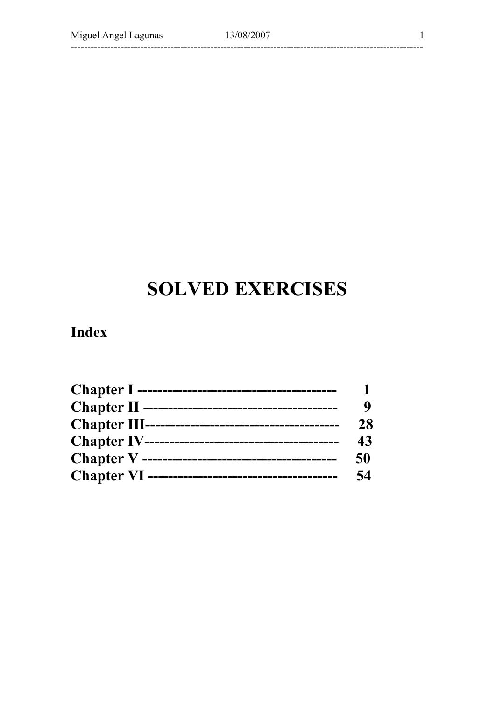.\_\_\_\_\_\_\_\_\_\_\_\_\_\_\_\_\_\_\_

 $\mathbf{1}$ 

-------------------

# **SOLVED EXERCISES**

## **Index**

| Chapter I ----------------------------------        |    |
|-----------------------------------------------------|----|
| Chapter II --------------------------------         |    |
|                                                     | 28 |
| <b>Chapter IV----------------------------------</b> | 43 |
| <b>Chapter V</b> ---------------------------------  | 50 |
| Chapter VI ----------------------------------       | 54 |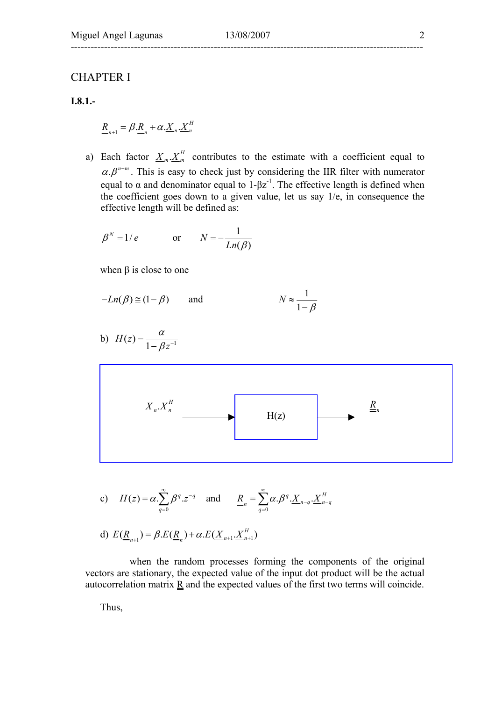## ----------------------------------------------------------------------------------------------------------

#### CHAPTER I

**I.8.1.-** 

$$
\underline{\underline{R}}_{n+1} = \beta \cdot \underline{\underline{R}}_n + \alpha \cdot \underline{X}_n \cdot \underline{X}_n^H
$$

a) Each factor  $\underline{X}_m \cdot \underline{X}_m^H$  contributes to the estimate with a coefficient equal to  $\alpha \beta^{n-m}$ . This is easy to check just by considering the IIR filter with numerator equal to  $\alpha$  and denominator equal to 1- $\beta z^{-1}$ . The effective length is defined when the coefficient goes down to a given value, let us say 1/e, in consequence the effective length will be defined as:

$$
\beta^N = 1/e \qquad \text{or} \qquad N = -\frac{1}{Ln(\beta)}
$$

when  $\beta$  is close to one

$$
-Ln(\beta) \cong (1 - \beta) \qquad \text{and} \qquad N \approx \frac{1}{1 - \beta}
$$

b)  $H(z) = \frac{\alpha}{1 - \beta z^{-1}}$ *z*  $=\frac{\alpha}{1-\beta z^{-}}$ 



c) 
$$
H(z) = \alpha \cdot \sum_{q=0}^{\infty} \beta^q \cdot z^{-q}
$$
 and  $\underline{R}_{n} = \sum_{q=0}^{\infty} \alpha \cdot \beta^q \cdot \underline{X}_{n-q} \cdot \underline{X}_{n-q}^H$ 

d) 
$$
E(\underline{\underline{R}}_{n+1}) = \beta.E(\underline{\underline{R}}_n) + \alpha.E(\underline{X}_{n+1} \cdot \underline{X}_{n+1}^H)
$$

 when the random processes forming the components of the original vectors are stationary, the expected value of the input dot product will be the actual autocorrelation matrix  $\underline{R}$  and the expected values of the first two terms will coincide.

Thus,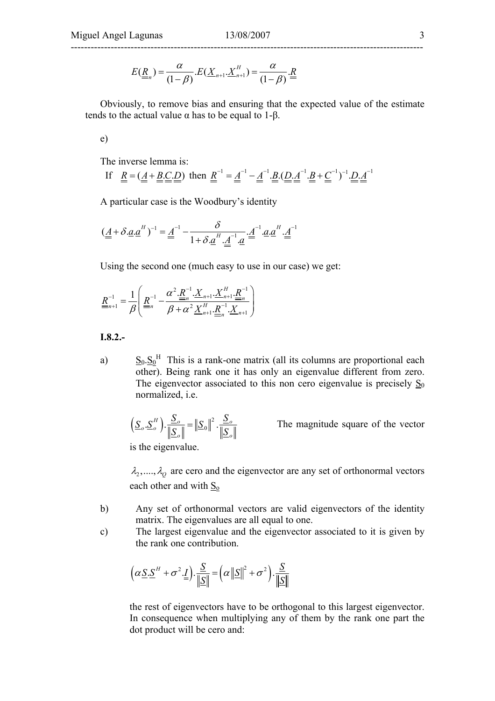$$
E(\underline{R}_{n}) = \frac{\alpha}{(1-\beta)} E(\underline{X}_{n+1} \cdot \underline{X}_{n+1}^{H}) = \frac{\alpha}{(1-\beta)} \cdot \underline{R}
$$

Obviously, to remove bias and ensuring that the expected value of the estimate tends to the actual value  $\alpha$  has to be equal to 1-β.

e)

The inverse lemma is:

If 
$$
\underline{R} = (\underline{A} + \underline{B} \cdot \underline{C} \cdot \underline{D})
$$
 then  $\underline{R}^{-1} = \underline{A}^{-1} - \underline{A}^{-1} \cdot \underline{B} \cdot (\underline{D} \cdot \underline{A}^{-1} \cdot \underline{B} + \underline{C}^{-1})^{-1} \cdot \underline{D} \cdot \underline{A}^{-1}$ 

A particular case is the Woodbury's identity

$$
(\underline{\underline{A}} + \delta \cdot \underline{a} \cdot \underline{a}^H)^{-1} = \underline{\underline{A}}^{-1} - \frac{\delta}{1 + \delta \cdot \underline{a}^H \cdot \underline{\underline{A}}^{-1} \cdot \underline{a}} \cdot \underline{\underline{A}}^{-1} \cdot \underline{a} \cdot \underline{a}^H \cdot \underline{\underline{A}}^{-1}
$$

Using the second one (much easy to use in our case) we get:

$$
\underline{R}_{n+1}^{-1} = \frac{1}{\beta} \left( \underline{R}_{n}^{-1} - \frac{\alpha^2 \cdot \underline{R}_{n}^{-1} \cdot X_{n+1} \cdot \underline{X}_{n+1}^H \cdot \underline{R}_{n}^{-1}}{\beta + \alpha^2 \underline{X}_{n+1}^H \cdot \underline{R}_{n}^{-1} \cdot X_{n+1}} \right)
$$

**I.8.2.-** 

a)  $S_0.S_0^{\text{H}}$  This is a rank-one matrix (all its columns are proportional each  $\frac{d}{dt}$  other). Being rank one it has only an eigenvalue different from zero. The eigenvector associated to this non cero eigenvalue is precisely  $S_0$ normalized, i.e.

$$
\left(\underline{S}_{o} \cdot \underline{S}_{o}^{H}\right) \cdot \frac{\underline{S}_{o}}{\|\underline{S}_{o}\|} = \|\underline{S}_{0}\|^{2} \cdot \frac{\underline{S}_{o}}{\|\underline{S}_{o}\|}
$$

The magnitude square of the vector

is the eigenvalue.

 $\lambda_2$ ,....,  $\lambda_0$  are cero and the eigenvector are any set of orthonormal vectors each other and with  $S_0$ 

- b) Any set of orthonormal vectors are valid eigenvectors of the identity matrix. The eigenvalues are all equal to one.
- c) The largest eigenvalue and the eigenvector associated to it is given by the rank one contribution.

$$
\left(\alpha \underline{S}.\underline{S}^H + \sigma^2.\underline{I}\right).\frac{\underline{S}}{\|\underline{S}\|} = \left(\alpha \left\|\underline{S}\right\|^2 + \sigma^2\right).\frac{\underline{S}}{\|\underline{S}\|}
$$

the rest of eigenvectors have to be orthogonal to this largest eigenvector. In consequence when multiplying any of them by the rank one part the dot product will be cero and: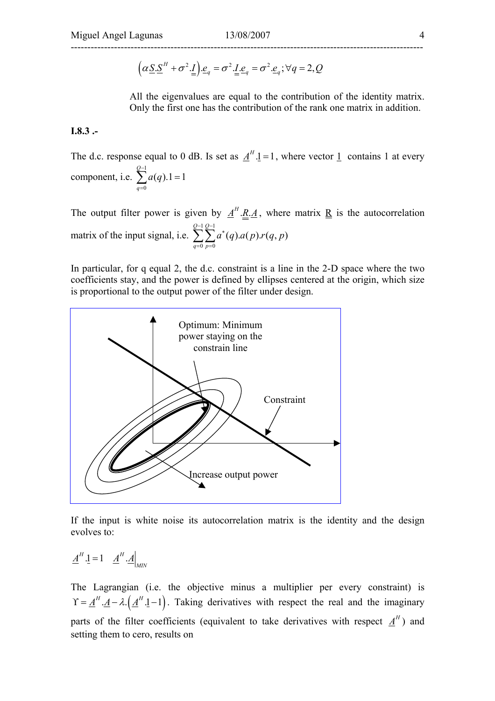$$
(\alpha \underline{S}.\underline{S}^H + \sigma^2.\underline{I}).\underline{e}_q = \sigma^2.\underline{I}.\underline{e}_q = \sigma^2.\underline{e}_q; \forall q = 2, Q
$$

All the eigenvalues are equal to the contribution of the identity matrix. Only the first one has the contribution of the rank one matrix in addition.

#### **I.8.3 .-**

The d.c. response equal to 0 dB. Is set as  $\underline{A}^H \cdot \underline{1} = 1$ , where vector  $\underline{1}$  contains 1 at every component, i.e. 1 0  $(q)$ .1 = 1 *Q q a q* −  $\sum_{q=0}^{\infty} a(q).1 =$ 

The output filter power is given by  $\underline{A}^H \cdot \underline{R} \cdot \underline{A}$ , where matrix  $\underline{R}$  is the autocorrelation matrix of the input signal, i.e.  $1 Q-1$ 0  $p=0$  $(q)$ . $a(p)$ . $r(q, p)$ *Q Q q p*  $a^*(q)$ *.a* $(p)$ *.r* $(q, p)$  $\overline{C}$ <sup>-1</sup> $\overline{C}$ <sub> $\alpha$ </sub>\*  $\sum_{q=0}^{\infty}\sum_{p=0}^{\infty}$ 

In particular, for q equal 2, the d.c. constraint is a line in the 2-D space where the two coefficients stay, and the power is defined by ellipses centered at the origin, which size is proportional to the output power of the filter under design.



If the input is white noise its autocorrelation matrix is the identity and the design evolves to:

 $\underline{A}^H \cdot \underline{1} = 1 \quad \underline{A}^H \cdot \underline{A}\Big|_{MIN}$ 

The Lagrangian (i.e. the objective minus a multiplier per every constraint) is  $\Upsilon = \underline{A}^H \cdot \underline{A} - \lambda \cdot (\underline{A}^H \cdot \underline{1} - 1)$ . Taking derivatives with respect the real and the imaginary parts of the filter coefficients (equivalent to take derivatives with respect  $A<sup>H</sup>$ ) and setting them to cero, results on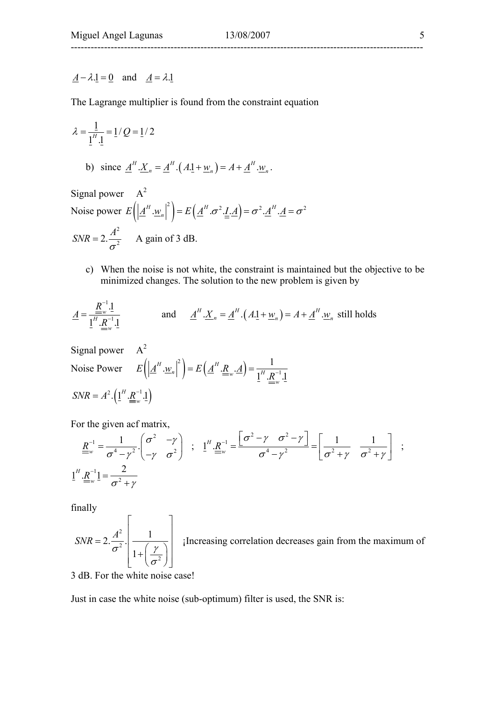### $\underline{A} - \lambda \cdot \underline{1} = 0$  and  $\underline{A} = \lambda \cdot \underline{1}$

The Lagrange multiplier is found from the constraint equation

$$
\lambda = \frac{1}{1^{H} \cdot 1} = 1/Q = 1/2
$$
  
b) since  $\underline{A}^{H} \cdot \underline{X}_{n} = \underline{A}^{H} \cdot (A \cdot 1 + \underline{w}_{n}) = A + \underline{A}^{H} \cdot \underline{w}_{n}$ .

Signal power  $A^2$ Noise power  $E([ \underline{A}^H \cdot \underline{w}_n ]^2) = E([ \underline{A}^H \cdot \sigma^2 \cdot \underline{I} \cdot \underline{A}] = \sigma^2 \cdot \underline{A}^H \cdot \underline{A} = \sigma^2$  $SNR = 2 \cdot \frac{A^2}{\sigma^2}$  A gain of 3 dB.

c) When the noise is not white, the constraint is maintained but the objective to be minimized changes. The solution to the new problem is given by

$$
\underline{A} = \frac{\underline{R}^{-1} \cdot \underline{1}}{\underline{1}^H \cdot \underline{R}^{-1} \cdot \underline{1}}
$$
 and 
$$
\underline{A}^H \cdot \underline{X}_n = \underline{A}^H \cdot (A \cdot \underline{1} + \underline{w}_n) = A + \underline{A}^H \cdot \underline{w}_n
$$
 still holds

Signal power  $A^2$ 

Noise Power 
$$
E\left(\left|\underline{A}^H \cdot \underline{w}_n\right|^2\right) = E\left(\underline{A}^H \cdot \underline{R}_w \cdot \underline{A}\right) = \frac{1}{\underline{1}^H \cdot \underline{R}^{-1} \cdot \underline{1}}.
$$
  
\n $SNR = A^2 \cdot \left(\underline{1}^H \cdot \underline{R}^{-1} \cdot \underline{1}\right)$ 

For the given acf matrix,

$$
\underline{R}_{w}^{-1} = \frac{1}{\sigma^{4} - \gamma^{2}} \cdot \begin{pmatrix} \sigma^{2} & -\gamma \\ -\gamma & \sigma^{2} \end{pmatrix} ; \quad \underline{1}^{H} \cdot \underline{R}_{w}^{-1} = \frac{\begin{bmatrix} \sigma^{2} - \gamma & \sigma^{2} - \gamma \end{bmatrix}}{\sigma^{4} - \gamma^{2}} = \begin{bmatrix} \frac{1}{\sigma^{2} + \gamma} & \frac{1}{\sigma^{2} + \gamma} \end{bmatrix} ;
$$
\n
$$
\underline{1}^{H} \cdot \underline{R}_{w}^{-1} = \frac{2}{\sigma^{2} + \gamma}
$$

finally

$$
SNR = 2 \cdot \frac{A^2}{\sigma^2} \cdot \left[ \frac{1}{1 + \left(\frac{\gamma}{\sigma^2}\right)} \right]
$$
 [Increasing correlation decreases gain from the maximum of

3 dB. For the white noise case!

Just in case the white noise (sub-optimum) filter is used, the SNR is: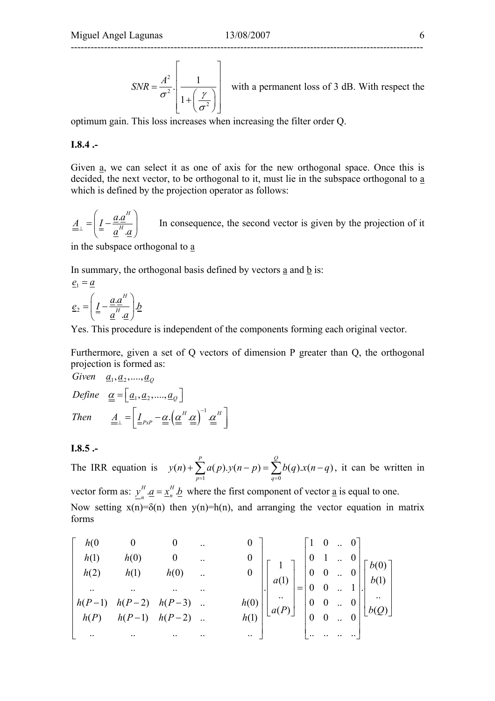$$
SNR = \frac{A^2}{\sigma^2} \cdot \left[ \frac{1}{1 + \left( \frac{\gamma}{\sigma^2} \right)} \right]
$$
 with a permanent loss of 3 dB. With respect the

optimum gain. This loss increases when increasing the filter order Q.

#### **I.8.4 .-**

Given <u>a</u>, we can select it as one of axis for the new orthogonal space. Once this is decided, the next vector, to be orthogonal to it, must lie in the subspace orthogonal to a which is defined by the projection operator as follows:

. . *H*  $\underline{A}_{\perp} = \left( \underline{I} - \frac{\underline{a} \cdot \underline{a}}{\overline{I}} \right)$  $\perp$   $\left| \frac{2}{\pi} \right|$   $\frac{a^H}{A}$  $\left( a \cdot a^H \right)$  $=$   $\left( \frac{I}{\frac{a}{a} - \frac{a}{a}} \right)$  In consequence, the second vector is given by the projection of it

in the subspace orthogonal to a

In summary, the orthogonal basis defined by vectors a and b is:

$$
\underline{e}_1 = \underline{a}
$$
\n
$$
\underline{e}_2 = \left(\underline{I} - \frac{\underline{a} \cdot \underline{a}^H}{\underline{a}^H \cdot \underline{a}}\right) \underline{b}
$$

Yes. This procedure is independent of the components forming each original vector.

Furthermore, given a set of Q vectors of dimension P greater than Q, the orthogonal projection is formed as:

Given 
$$
\underline{a}_1, \underline{a}_2, ..., \underline{a}_Q
$$
  
\nDefine  $\underline{\underline{\alpha}} = [\underline{a}_1, \underline{a}_2, ..., \underline{a}_Q]$   
\nThen  $\underline{A}_\perp = [\underline{I}_{PxP} - \underline{\underline{\alpha}} \cdot (\underline{\underline{\alpha}}^H \cdot \underline{\underline{\alpha}})^{-1} \cdot \underline{\underline{\alpha}}^H]$ 

#### **I.8.5 .-**

The IRR equation is  $q=0$  $(n) + \sum a(p) \cdot y(n-p) = \sum b(q) \cdot x(n-q)$ *P Q*  $p=1$  q  $y(n) + \sum a(p) \cdot y(n-p) = \sum b(q) \cdot x(n-q)$  $+\sum_{p=1} a(p) \cdot y(n-p) = \sum_{q=0}^{8} b(q) \cdot x(n-q)$ , it can be written in vector form as:  $y_n^H \cdot \underline{a} = x_n^H \cdot \underline{b}$  where the first component of vector <u>a</u> is equal to one.

Now setting  $x(n)=\delta(n)$  then  $y(n)=h(n)$ , and arranging the vector equation in matrix forms

$$
\begin{bmatrix}\nh(0 & 0 & 0 & \cdots & 0 \\
h(1) & h(0) & 0 & \cdots & 0 \\
h(2) & h(1) & h(0) & \cdots & 0 \\
\vdots & \vdots & \ddots & \vdots & \vdots \\
h(P-1) & h(P-2) & h(P-3) & \cdots & h(0) \\
\vdots & \vdots & \vdots & \vdots & \ddots & \vdots \\
h(P) & h(P-1) & h(P-2) & \cdots & h(1)\n\end{bmatrix}\n\begin{bmatrix}\n1 & 0 & \cdots & 0 \\
0 & 1 & \cdots & 0 \\
0 & 0 & \cdots & 1 \\
\vdots & \vdots & \vdots & \ddots & \vdots \\
0 & 0 & \cdots & 0 \\
\vdots & \vdots & \vdots & \ddots & \vdots\n\end{bmatrix}\n\begin{bmatrix}\nh(0) \\
b(1) \\
\vdots \\
b(2)\n\end{bmatrix}
$$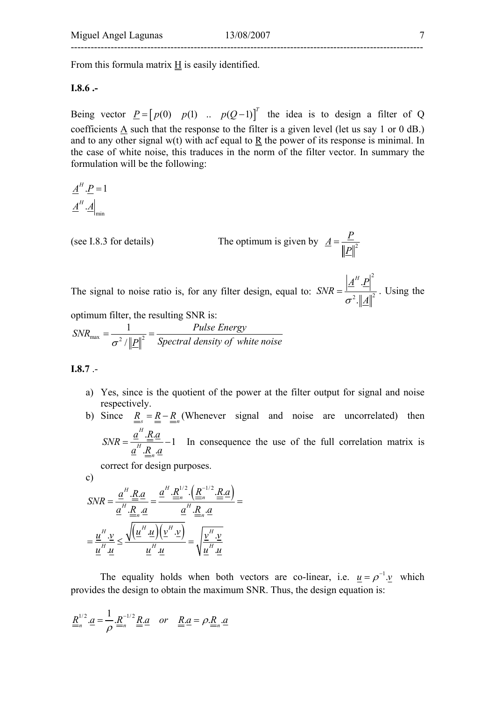## ----------------------------------------------------------------------------------------------------------

From this formula matrix  $H$  is easily identified.

#### **I.8.6 .-**

Being vector  $\underline{P} = [p(0) \quad p(1) \quad p(Q-1)]^T$  the idea is to design a filter of Q coefficients A such that the response to the filter is a given level (let us say 1 or 0 dB.) and to any other signal w(t) with acf equal to  $\underline{R}$  the power of its response is minimal. In the case of white noise, this traduces in the norm of the filter vector. In summary the formulation will be the following:

 $\underline{A}^H.\underline{A}\Big|_{\min}$  $\underline{A}^H \cdot \underline{P} = 1$ 

(see I.8.3 for details) The optimum is given by  $\underline{A} = \frac{\underline{P}}{\|\underline{P}\|^2}$ 

The signal to noise ratio is, for any filter design, equal to: 2  $\| \mathbf{1} \|^2$ . .  $\underline{A}^H.\underline{P}$  $SNR = \frac{1 - 1}{\sigma^2 \left\| A \right\|^2}$ . Using the optimum filter, the resulting SNR is:

1

 $\sum_{n=2}^{\text{max}}$   $\frac{1}{n}$   $\ln 2$ /  $SNR_{\text{max}} = \frac{1}{\sigma^2 / ||P||^2} = \frac{Pulse \ Energy}{Spectral \ density \ of \ white \ noise}$ 

**I.8.7** .-

- a) Yes, since is the quotient of the power at the filter output for signal and noise respectively.
- b) Since  $\underline{R}_{s} = \underline{R} \underline{R}_{n}$  (Whenever signal and noise are uncorrelated) then  $\frac{H}{\underline{R} \cdot \underline{a}}$ <br>*H*  $\cdot R \cdot \underline{a}$  -1 *H n a Ra*  $SNR = \frac{a}{a^H.R.a} - 1$  In consequence the use of the full correlation matrix is

correct for design purposes.

c)  
\n
$$
SNR = \frac{\underline{a}^{H} \cdot \underline{R} \cdot \underline{a}}{\underline{a}^{H} \cdot \underline{R} \cdot \underline{a}} = \frac{\underline{a}^{H} \cdot \underline{R}^{1/2} \cdot \left(\underline{R}^{-1/2} \cdot \underline{R} \cdot \underline{a}\right)}{\underline{a}^{H} \cdot \underline{R} \cdot \underline{a}} =
$$
\n
$$
= \frac{\underline{u}^{H} \cdot \underline{v}}{\underline{u}^{H} \cdot \underline{u}} \le \frac{\sqrt{\left(\underline{u}^{H} \cdot \underline{u}\right)\left(\underline{v}^{H} \cdot \underline{v}\right)}}{\underline{u}^{H} \cdot \underline{u}} = \sqrt{\frac{\underline{v}^{H} \cdot \underline{v}}{\underline{u}^{H} \cdot \underline{u}}}
$$

The equality holds when both vectors are co-linear, i.e.  $u = \rho^{-1} \cdot v$  which provides the design to obtain the maximum SNR. Thus, the design equation is:

$$
\underline{R}_{n}^{1/2}.\underline{a} = \frac{1}{\rho}.\underline{R}_{n}^{-1/2}.\underline{R}_{\cdot}.\underline{a} \quad or \quad \underline{R}_{\cdot}.\underline{a} = \rho.\underline{R}_{n}.\underline{a}
$$

2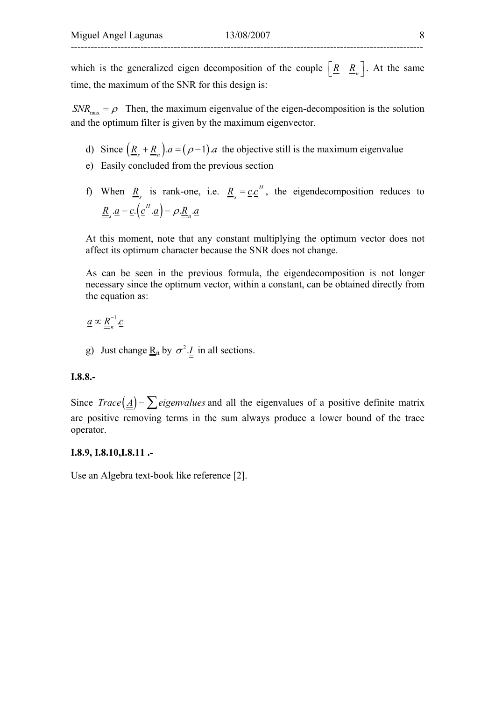which is the generalized eigen decomposition of the couple  $\left[\underline{R} \ \underline{R}_n\right]$ . At the same time, the maximum of the SNR for this design is:

 $SNR_{\text{max}} = \rho$  Then, the maximum eigenvalue of the eigen-decomposition is the solution and the optimum filter is given by the maximum eigenvector.

- d) Since  $(\underline{R}_{s} + \underline{R}_{n}) \cdot \underline{a} = (\rho 1) \cdot \underline{a}$  the objective still is the maximum eigenvalue
- e) Easily concluded from the previous section
- f) When  $\underline{R}_{s}$  is rank-one, i.e.  $\underline{R}_{s} = \underline{c} \cdot \underline{c}^{H}$ , the eigendecomposition reduces to  $\underline{R}_s \cdot \underline{a} = \underline{c} \cdot (\underline{c}^H \cdot \underline{a}) = \rho \cdot \underline{R}_n \cdot \underline{a}$

At this moment, note that any constant multiplying the optimum vector does not affect its optimum character because the SNR does not change.

As can be seen in the previous formula, the eigendecomposition is not longer necessary since the optimum vector, within a constant, can be obtained directly from the equation as:

 $\underline{a} \propto \underline{R}_{n}^{-1} \underline{c}$ 

g) Just change  $\underline{\mathbf{R}}_n$  by  $\sigma^2 \cdot \underline{I}$  in all sections.

#### **I.8.8.-**

Since  $Trace(\underline{A}) = \sum$  *eigenvalues* and all the eigenvalues of a positive definite matrix are positive removing terms in the sum always produce a lower bound of the trace operator.

#### **I.8.9, I.8.10,I.8.11 .-**

Use an Algebra text-book like reference [2].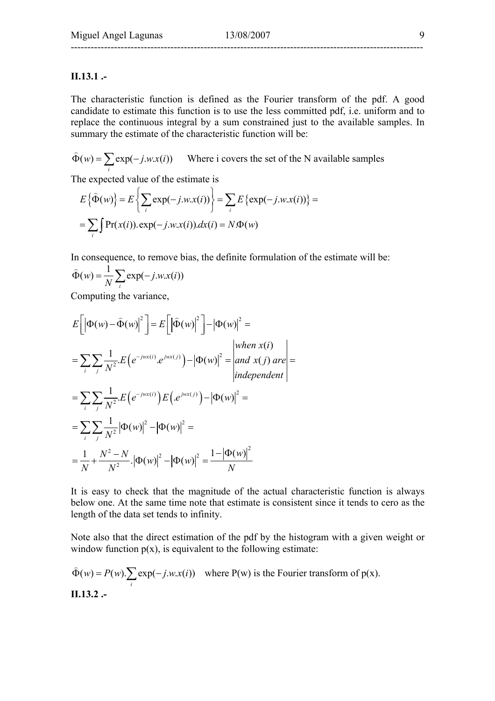#### **II.13.1 .-**

The characteristic function is defined as the Fourier transform of the pdf. A good candidate to estimate this function is to use the less committed pdf, i.e. uniform and to replace the continuous integral by a sum constrained just to the available samples. In summary the estimate of the characteristic function will be:

 $(w) = \sum \exp(-j.w.x(i))$  $\hat{\Phi}(w) = \sum_{i} \exp(-j.w.x(i))$  Where i covers the set of the N available samples

The expected value of the estimate is

$$
E\{\widehat{\Phi}(w)\} = E\left\{\sum_{i} \exp(-j.w.x(i))\right\} = \sum_{i} E\left\{\exp(-j.w.x(i))\right\} =
$$
  
= 
$$
\sum_{i} \int \Pr(x(i)).\exp(-j.w.x(i)).dx(i) = N.\Phi(w)
$$

In consequence, to remove bias, the definite formulation of the estimate will be:

$$
\widehat{\Phi}(w) = \frac{1}{N} \sum_{i} \exp(-j.w.x(i))
$$

Computing the variance,

$$
E\left[\left|\Phi(w) - \hat{\Phi}(w)\right|^2\right] = E\left[\left|\hat{\Phi}(w)\right|^2\right] - \left|\Phi(w)\right|^2 =
$$
\n
$$
= \sum_{i} \sum_{j} \frac{1}{N^2} E\left(e^{-jwx(i)} \cdot e^{jwx(j)}\right) - \left|\Phi(w)\right|^2 = \begin{vmatrix} when \ x(i) \\ and \ x(j) \ are \\ independent \end{vmatrix} =
$$
\n
$$
= \sum_{i} \sum_{j} \frac{1}{N^2} E\left(e^{-jwx(i)}\right) E\left(e^{jwx(j)}\right) - \left|\Phi(w)\right|^2 =
$$
\n
$$
= \sum_{i} \sum_{j} \frac{1}{N^2} \left|\Phi(w)\right|^2 - \left|\Phi(w)\right|^2 =
$$
\n
$$
= \frac{1}{N} + \frac{N^2 - N}{N^2} \left|\Phi(w)\right|^2 - \left|\Phi(w)\right|^2 = \frac{1 - \left|\Phi(w)\right|^2}{N}
$$

It is easy to check that the magnitude of the actual characteristic function is always below one. At the same time note that estimate is consistent since it tends to cero as the length of the data set tends to infinity.

Note also that the direct estimation of the pdf by the histogram with a given weight or window function  $p(x)$ , is equivalent to the following estimate:

$$
\widehat{\Phi}(w) = P(w) \cdot \sum_{i} \exp(-j.w.x(i)) \quad \text{where } P(w) \text{ is the Fourier transform of } p(x).
$$
  
**II.13.2** -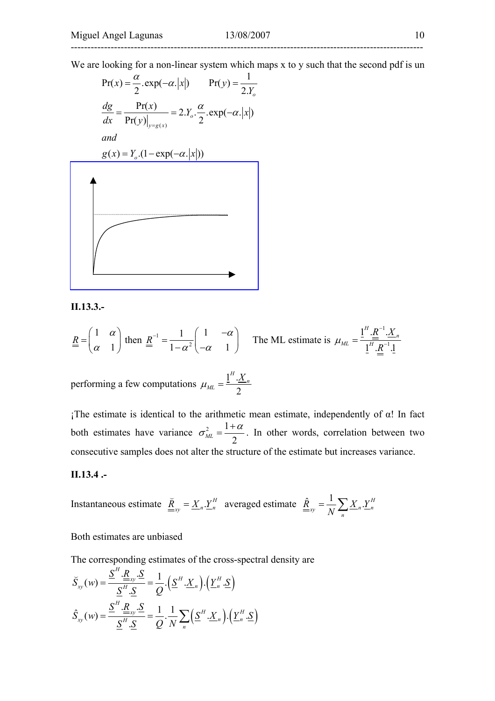We are looking for a non-linear system which maps x to y such that the second pdf is un

$$
Pr(x) = \frac{\alpha}{2} \cdot exp(-\alpha. |x|) \qquad Pr(y) = \frac{1}{2.Y_o}
$$
  
\n
$$
\frac{dg}{dx} = \frac{Pr(x)}{Pr(y)|_{y=g(x)}} = 2.Y_o \cdot \frac{\alpha}{2} \cdot exp(-\alpha. |x|)
$$
  
\nand  
\n
$$
g(x) = Y_o \cdot (1 - exp(-\alpha. |x|))
$$

**II.13.3.-** 

$$
\underline{R} = \begin{pmatrix} 1 & \alpha \\ \alpha & 1 \end{pmatrix}
$$
 then 
$$
\underline{R}^{-1} = \frac{1}{1 - \alpha^2} \begin{pmatrix} 1 & -\alpha \\ -\alpha & 1 \end{pmatrix}
$$
 The ML estimate is  $\mu_{ML} = \frac{1^H \cdot \underline{R}^{-1} \cdot \underline{X}_n}{1^H \cdot \underline{R}^{-1} \cdot 1}$ 

performing a few computations  $\mu_{ML} = \frac{1}{2}$ 2 *H*  $n_{ML} = \frac{1-\frac{\Delta}{2}}{2}$  $\mu_{ML} = \frac{1^H \cdot X}{2}$ 

 $i$ The estimate is identical to the arithmetic mean estimate, independently of α! In fact both estimates have variance  $\sigma_{ML}^2 = \frac{1}{2}$  $\mu$ <sup>2</sup> 2  $\sigma_{ML}^2 = \frac{1+\alpha}{2}$ . In other words, correlation between two consecutive samples does not alter the structure of the estimate but increases variance.

#### **II.13.4 .-**

Instantaneous estimate  $\underline{\tilde{R}}_{xy} = \underline{X}_n \cdot \underline{Y}_n^H$  averaged estimate  $\underline{\hat{R}}_{xy} = \frac{1}{N} \sum \underline{X}_n \cdot \underline{Y}_n^H$  $\frac{\hat{R}}{\sum_{xy}} = \frac{1}{N} \sum_{n} \underline{X}_n \cdot \underline{Y}_n^H$ 

Both estimates are unbiased

The corresponding estimates of the cross-spectral density are

$$
\widetilde{S}_{xy}(w) = \frac{\underline{S}^H \cdot \underline{R}_{xy} \cdot \underline{S}}{\underline{S}^H \cdot \underline{S}} = \frac{1}{Q} \cdot (\underline{S}^H \cdot \underline{X}_n) \cdot (\underline{Y}_n^H \cdot \underline{S})
$$
\n
$$
\widehat{S}_{xy}(w) = \frac{\underline{S}^H \cdot \underline{R}_{xy} \cdot \underline{S}}{\underline{S}^H \cdot \underline{S}} = \frac{1}{Q} \cdot \frac{1}{N} \sum_n (\underline{S}^H \cdot \underline{X}_n) \cdot (\underline{Y}_n^H \cdot \underline{S})
$$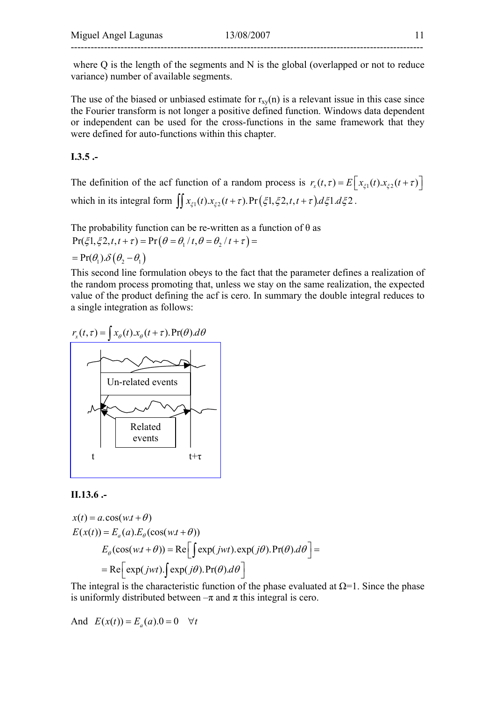where Q is the length of the segments and N is the global (overlapped or not to reduce variance) number of available segments.

The use of the biased or unbiased estimate for  $r_{xy}(n)$  is a relevant issue in this case since the Fourier transform is not longer a positive defined function. Windows data dependent or independent can be used for the cross-functions in the same framework that they were defined for auto-functions within this chapter.

### **I.3.5 .-**

The definition of the acf function of a random process is  $r_x(t, \tau) = E\left[x_{\xi_1}(t). x_{\xi_2}(t+\tau)\right]$ which in its integral form  $\iint x_{\xi_1}(t) x_{\xi_2}(t+\tau) \cdot \Pr(\xi_1,\xi_2,t,t+\tau) d\xi_1 d\xi_2$ .

The probability function can be re-written as a function of  $\theta$  as  $Pr(\xi_1, \xi_2, t, t + \tau) = Pr(\theta = \theta_1 / t, \theta = \theta_2 / t + \tau) =$ 

$$
= \Pr(\theta_1) \delta(\theta_2 - \theta_1)
$$

This second line formulation obeys to the fact that the parameter defines a realization of the random process promoting that, unless we stay on the same realization, the expected value of the product defining the acf is cero. In summary the double integral reduces to a single integration as follows:



#### **II.13.6 .-**

$$
x(t) = a \cos(w \cdot t + \theta)
$$
  
\n
$$
E(x(t)) = E_a(a) \cdot E_\theta(\cos(w \cdot t + \theta))
$$
  
\n
$$
E_\theta(\cos(w \cdot t + \theta)) = \text{Re}\left[\int \exp(jwt) \cdot \exp(j\theta) \cdot \Pr(\theta) \cdot d\theta\right] =
$$
  
\n
$$
= \text{Re}\left[\exp(jwt) \cdot \int \exp(j\theta) \cdot \Pr(\theta) \cdot d\theta\right]
$$

The integral is the characteristic function of the phase evaluated at  $\Omega$ =1. Since the phase is uniformly distributed between  $-\pi$  and  $\pi$  this integral is cero.

And  $E(x(t)) = E_a(a) \cdot 0 = 0 \quad \forall t$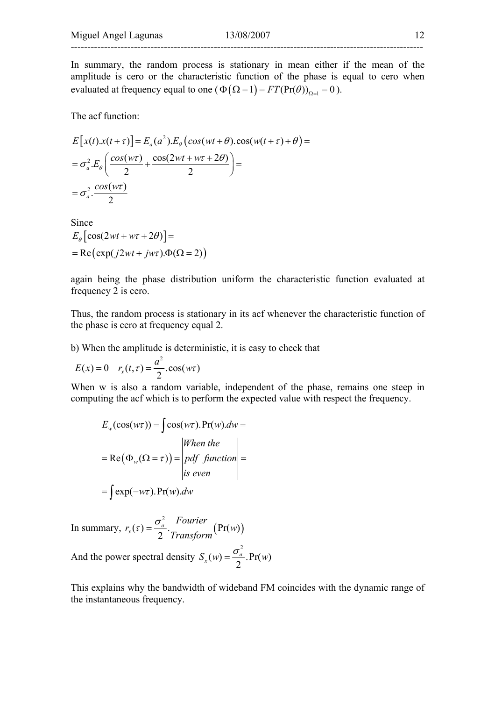In summary, the random process is stationary in mean either if the mean of the amplitude is cero or the characteristic function of the phase is equal to cero when evaluated at frequency equal to one  $(\Phi(\Omega = 1) = FT(Pr(\theta))_{\Omega = 1} = 0)$ .

The acf function:

$$
E[x(t).x(t+\tau)] = E_a(a^2).E_\theta\left(\cos(wt+\theta).\cos(w(t+\tau)+\theta)\right) =
$$
  
=  $\sigma_a^2.E_\theta\left(\frac{\cos(w\tau)}{2} + \frac{\cos(2wt + w\tau + 2\theta)}{2}\right) =$   
=  $\sigma_a^2.\frac{\cos(w\tau)}{2}$ 

Since

$$
E_{\theta} \left[ \cos(2wt + w\tau + 2\theta) \right] =
$$
  
= Re(exp(j2wt + jw\tau).\Phi(\Omega = 2))

again being the phase distribution uniform the characteristic function evaluated at frequency 2 is cero.

Thus, the random process is stationary in its acf whenever the characteristic function of the phase is cero at frequency equal 2.

b) When the amplitude is deterministic, it is easy to check that

$$
E(x) = 0 \quad r_x(t, \tau) = \frac{a^2}{2} \cdot \cos(w\tau)
$$

When w is also a random variable, independent of the phase, remains one steep in computing the acf which is to perform the expected value with respect the frequency.

$$
E_w(\cos(w\tau)) = \int \cos(w\tau) \cdot \Pr(w) \cdot dw =
$$

$$
= \text{Re}(\Phi_w(\Omega = \tau)) = \begin{vmatrix} When the \\ pdf function \\ is even \end{vmatrix} =
$$

$$
= \int \exp(-w\tau) \cdot \Pr(w) \cdot dw
$$

In summary,  $r_x(\tau) = \frac{6a}{\tau}$ . 2  $f_x(\tau) = \frac{\sigma_a}{2} \cdot \frac{\text{Power}}{\text{Transform}} (Pr(w))$ *Fourier*  $r_r(\tau) = \frac{G_a}{\tau}$  *m*  $\tau$  (Pr(w) *Transform*  $(\tau) = \frac{\sigma}{\tau}$ And the power spectral density 2  $S_x(w) = \frac{\sigma_a}{2}$ . Pr(*w*)

This explains why the bandwidth of wideband FM coincides with the dynamic range of the instantaneous frequency.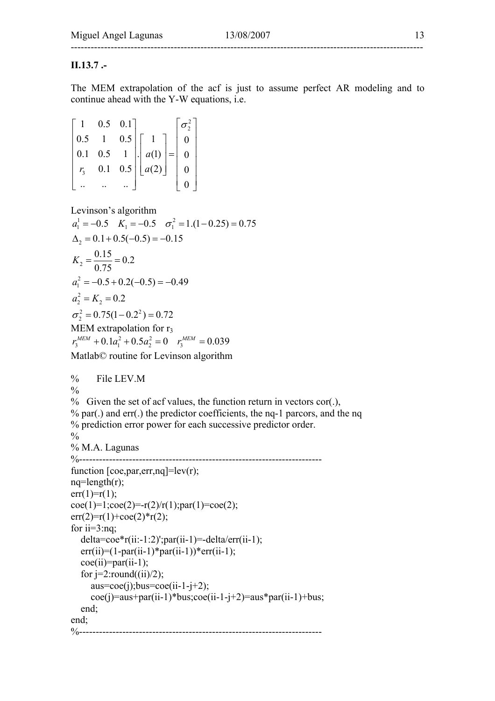### **II.13.7 .-**

The MEM extrapolation of the acf is just to assume perfect AR modeling and to continue ahead with the Y-W equations, i.e.

| $1 \t 0.5 \t 0.1$ |                                                                                                                                                                         |  |
|-------------------|-------------------------------------------------------------------------------------------------------------------------------------------------------------------------|--|
|                   |                                                                                                                                                                         |  |
|                   |                                                                                                                                                                         |  |
|                   | 0.5 1 0.5 $\begin{bmatrix} 1 \\ 0.1 \\ 0.1 \\ 0.1 \end{bmatrix}$ = $\begin{bmatrix} 1 \\ a(1) \\ a(2) \end{bmatrix}$ = $\begin{bmatrix} 0 \\ 0 \\ 0 \\ 0 \end{bmatrix}$ |  |
|                   |                                                                                                                                                                         |  |

Levinson's algorithm

```
1 - 0.5 V - 0.5 \pi^2a_1^1 = -0.5 K_1 = -0.5 \sigma_1^2 = 1.(1 - 0.25) = 0.75\Delta_2 = 0.1 + 0.5(-0.5) = -0.15\frac{0.15}{2} = \frac{0.15}{0.75} = 0.22
a_1^2 = -0.5 + 0.2(-0.5) = -0.492
a_2^2 = K_2 = 0.22 - 0.75(1) 0.2^2\sigma_2^2 = 0.75(1 - 0.2^2) = 0.720.75
 K_2 = \frac{0.15}{0.75} =MEM extrapolation for r_3r_3^{MEM} + 0.1a_1^2 + 0.5a_2^2 = 0 r_3^{MEM} = 0.039Matlab© routine for Levinson algorithm 
% File LEV.M 
\frac{0}{0}% Given the set of acf values, the function return in vectors cor(.), 
% par(.) and err(.) the predictor coefficients, the nq-1 parcors, and the nq 
% prediction error power for each successive predictor order. 
\frac{0}{0}% M.A. Lagunas 
%--------------------------
function [coe, par, err, nq] = lev(r);nq=length(r); 
err(1)=r(1);\text{coef}(1)=1;\text{coef}(2)=-r(2)/r(1); \text{par}(1)=\text{coef}(2);err(2)=r(1)+coe(2)*r(2);for i = 3:nq;
   delta=coe*r(ii:-1:2)';par(ii-1)=-delta/err(ii-1);
   err(ii)=(1-par(ii-1)*par(ii-1))*err(ii-1);\text{coe}(ii)=\text{par}(ii-1);for j=2:round((ii)/2);
      auss=coe(i);bus=coe(ii-1-i+2); coe(j)=aus+par(ii-1)*bus;coe(ii-1-j+2)=aus*par(ii-1)+bus; 
    end; 
end; 
%-------------------------------------------------------------------------
```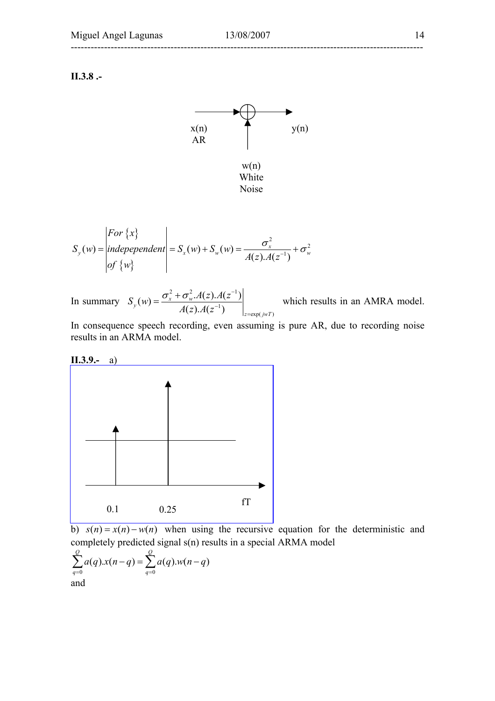**II.3.8 .-** 



$$
S_{y}(w) = \begin{vmatrix} For \{x\} \\ independent \\ of \{w\} \end{vmatrix} = S_{x}(w) + S_{w}(w) = \frac{\sigma_{x}^{2}}{A(z) \cdot A(z^{-1})} + \sigma_{w}^{2}
$$

In summary 
$$
S_y(w) = \frac{\sigma_x^2 + \sigma_w^2 A(z) A(z^{-1})}{A(z) A(z^{-1})}\Bigg|_{z = \exp(jwT)}
$$

which results in an AMRA model.

In consequence speech recording, even assuming is pure AR, due to recording noise results in an ARMA model.



b)  $s(n) = x(n) - w(n)$  when using the recursive equation for the deterministic and completely predicted signal s(n) results in a special ARMA model

$$
\sum_{q=0}^{Q} a(q) . x(n-q) = \sum_{q=0}^{Q} a(q) . w(n-q)
$$
  
and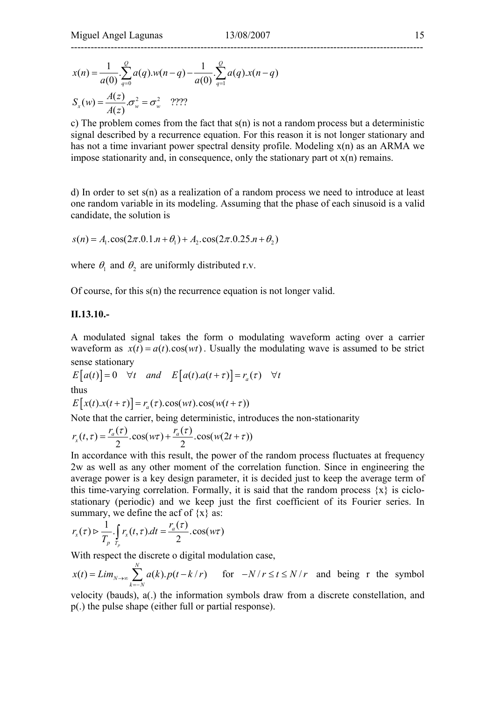$$
x(n) = \frac{1}{a(0)} \sum_{q=0}^{Q} a(q) w(n-q) - \frac{1}{a(0)} \sum_{q=1}^{Q} a(q) x(n-q)
$$
  

$$
S_x(w) = \frac{A(z)}{A(z)} \sigma_w^2 = \sigma_w^2
$$
 ????

c) The problem comes from the fact that  $s(n)$  is not a random process but a deterministic signal described by a recurrence equation. For this reason it is not longer stationary and has not a time invariant power spectral density profile. Modeling x(n) as an ARMA we impose stationarity and, in consequence, only the stationary part ot  $x(n)$  remains.

d) In order to set s(n) as a realization of a random process we need to introduce at least one random variable in its modeling. Assuming that the phase of each sinusoid is a valid candidate, the solution is

$$
s(n) = A_1 \cdot \cos(2\pi \cdot 0.1 \cdot n + \theta_1) + A_2 \cdot \cos(2\pi \cdot 0.25 \cdot n + \theta_2)
$$

where  $\theta_1$  and  $\theta_2$  are uniformly distributed r.v.

Of course, for this s(n) the recurrence equation is not longer valid.

#### **II.13.10.-**

A modulated signal takes the form o modulating waveform acting over a carrier waveform as  $x(t) = a(t) \cos(wt)$ . Usually the modulating wave is assumed to be strict sense stationary

 $E[a(t)] = 0 \quad \forall t \quad and \quad E[a(t).a(t+\tau)] = r_a(\tau) \quad \forall t$ thus

 $E[x(t).x(t + \tau)] = r_a(\tau).cos(wt).cos(w(t + \tau))$ 

Note that the carrier, being deterministic, introduces the non-stationarity

$$
r_x(t,\tau) = \frac{r_a(\tau)}{2} \cdot \cos(w\tau) + \frac{r_a(\tau)}{2} \cdot \cos(w(2t+\tau))
$$

In accordance with this result, the power of the random process fluctuates at frequency 2w as well as any other moment of the correlation function. Since in engineering the average power is a key design parameter, it is decided just to keep the average term of this time-varying correlation. Formally, it is said that the random process  $\{x\}$  is ciclostationary (periodic) and we keep just the first coefficient of its Fourier series. In summary, we define the acf of  $\{x\}$  as:

$$
r_x(\tau) \triangleright \frac{1}{T_p} \cdot \int_{T_p} r_x(t, \tau) \cdot dt = \frac{r_a(\tau)}{2} \cdot \cos(w\tau)
$$

With respect the discrete o digital modulation case,

$$
x(t) = Lim_{N \to \infty} \sum_{k=-N}^{N} a(k).p(t-k/r)
$$
 for  $-N/r \le t \le N/r$  and being r the symbol

velocity (bauds), a(.) the information symbols draw from a discrete constellation, and p(.) the pulse shape (either full or partial response).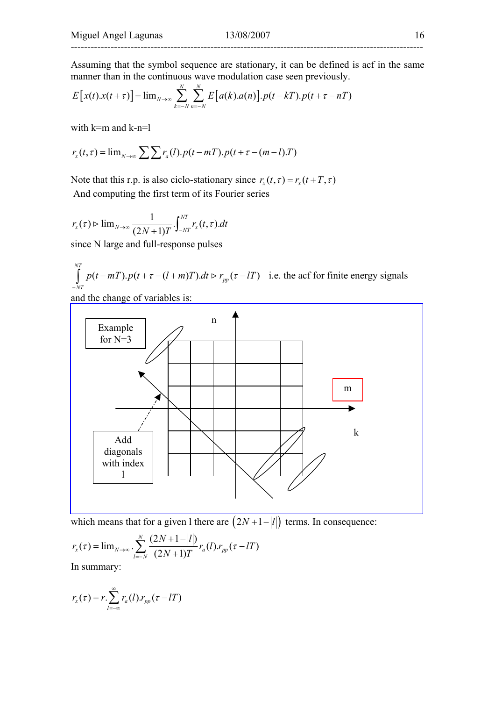Assuming that the symbol sequence are stationary, it can be defined is acf in the same manner than in the continuous wave modulation case seen previously.

$$
E[x(t).x(t+\tau)] = \lim_{N\to\infty}\sum_{k=-N}^{N}\sum_{n=-N}^{N}E[a(k).a(n)].p(t-kT).p(t+\tau-nT)
$$

with k=m and k-n=l

$$
r_x(t,\tau) = \lim_{N \to \infty} \sum \sum r_a(l).p(t-mT).p(t+\tau-(m-l).T)
$$

Note that this r.p. is also ciclo-stationary since  $r_x(t, \tau) = r_x(t + T, \tau)$ And computing the first term of its Fourier series

$$
r_x(\tau) \rhd \lim_{N \to \infty} \frac{1}{(2N+1)T} \int_{-NT}^{NT} r_x(t, \tau) dt
$$

since N large and full-response pulses

$$
\int_{-NT}^{NT} p(t - mT) \cdot p(t + \tau - (l + m)T) \cdot dt \rightharpoonup r_{pp}(\tau - lT)
$$
 i.e. the acf for finite energy signals

and the change of variables is:



which means that for a given l there are  $(2N + 1 - |l|)$  terms. In consequence:

$$
r_{x}(\tau) = \lim_{N \to \infty} \sum_{l=-N}^{N} \frac{(2N+1-|l|)}{(2N+1)T} r_{a}(l) r_{pp}(\tau - lT)
$$

In summary:

$$
r_x(\tau) = r \sum_{l=-\infty}^{\infty} r_a(l) r_{pp}(\tau - lT)
$$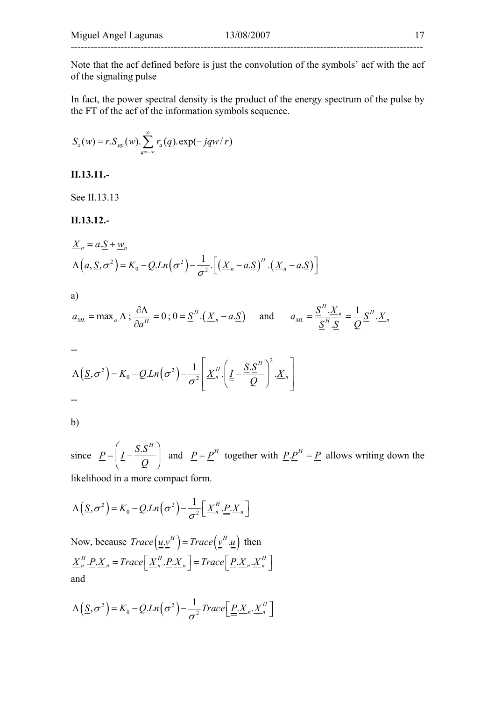Note that the acf defined before is just the convolution of the symbols' acf with the acf of the signaling pulse

In fact, the power spectral density is the product of the energy spectrum of the pulse by the FT of the acf of the information symbols sequence.

$$
S_x(w) = r.S_{pp}(w). \sum_{q=-\infty}^{\infty} r_a(q). \exp(-jqw/r)
$$

**II.13.11.-** 

See II.13.13

**II.13.12.-** 

$$
\underline{X}_n = a.\underline{S} + \underline{w}_n
$$
  
 
$$
\Lambda(a,\underline{S},\sigma^2) = K_0 - Q.Ln(\sigma^2) - \frac{1}{\sigma^2} \cdot \left[ \left( \underline{X}_n - a.\underline{S} \right)^n \cdot \left( \underline{X}_n - a.\underline{S} \right) \right]
$$

a)

$$
a_{ML} = \max_a \Lambda \; ; \; \frac{\partial \Lambda}{\partial a^H} = 0 \; ; \; 0 = \underline{S}^H \cdot (\underline{X}_n - a \cdot \underline{S}) \quad \text{and} \quad a_{ML} = \frac{\underline{S}^H \cdot \underline{X}_n}{\underline{S}^H \cdot \underline{S}} = \frac{1}{Q} \underline{S}^H \cdot \underline{X}_n
$$

--

$$
\Lambda(\underline{S},\sigma^2) = K_0 - Q.Ln(\sigma^2) - \frac{1}{\sigma^2} \left[ \underline{X}_n^H \cdot \left( \underline{I} - \frac{\underline{S}.\underline{S}^H}{Q} \right)^2 \cdot \underline{X}_n \right]
$$

b)

since  $P = \left( \underline{I} - \frac{\underline{S} \cdot \underline{S}^H}{2} \right)$ *Q*  $\left( S.S^H\right)$  $=\left(\frac{I}{m} - \frac{\Delta \Delta}{Q}\right)$  and  $\frac{P}{m} = \frac{P}{m}$  together with  $\frac{P}{m} = \frac{P}{m}$  allows writing down the likelihood in a more compact form.

$$
\Lambda\left(\underline{S},\sigma^2\right) = K_0 - Q.Ln\left(\sigma^2\right) - \frac{1}{\sigma^2}\left[\underline{X}_n^H.\underline{P}.\underline{X}_n\right]
$$

Now, because  $Trace(\underline{\underline{u}} \underline{v}^H) = Trace(\underline{\underline{v}}^H \underline{\underline{u}})$  then  $\underline{X}^H_n \cdot \underline{P}_1 \cdot \underline{X}_n = Trace \Big[ \underline{X}^H_n \cdot \underline{P}_1 \cdot \underline{X}_n \Big] = Trace \Big[ \underline{P}_1 \cdot \underline{X}_n \cdot \underline{X}^H_n \Big]$ and

$$
\Lambda\left(\underline{S},\sigma^2\right) = K_0 - Q.Ln\left(\sigma^2\right) - \frac{1}{\sigma^2}Trace\left[\underline{P}.X_n.\underline{X}_n^H\right]
$$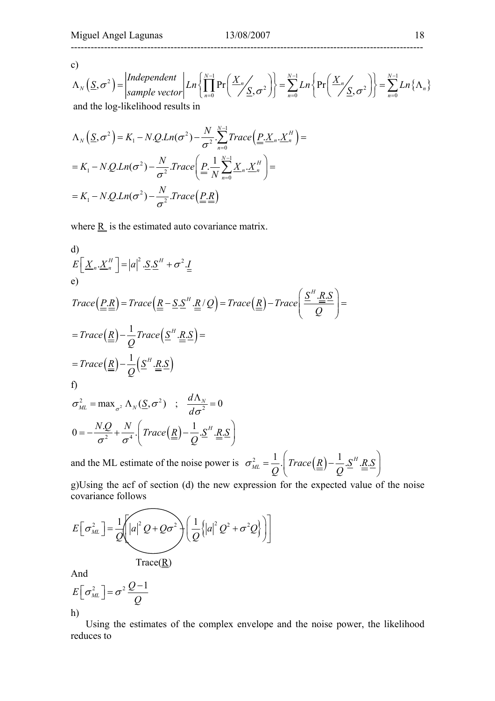c)

$$
\Lambda_N(\underline{S}, \sigma^2) = \begin{vmatrix} \text{Independent} \\ \text{sample vector} \end{vmatrix} Ln \left\{ \prod_{n=0}^{N-1} \Pr\left(\frac{X_n}{S}, \sigma^2\right) \right\} = \sum_{n=0}^{N-1} Ln \left\{ \Pr\left(\frac{X_n}{S}, \sigma^2\right) \right\} = \sum_{n=0}^{N-1} Ln \left\{ \Lambda_n \right\}
$$
  
and the log-likelihood results in

$$
\Lambda_N(\underline{S}, \sigma^2) = K_1 - N \cdot Q \cdot Ln(\sigma^2) - \frac{N}{\sigma^2} \cdot \sum_{n=0}^{N-1} Trace \left( \underline{P} \cdot \underline{X}_n \cdot \underline{X}_n^H \right) =
$$
  
=  $K_1 - N \cdot Q \cdot Ln(\sigma^2) - \frac{N}{\sigma^2} \cdot Trace \left( \underline{P} \cdot \frac{1}{N} \sum_{n=0}^{N-1} \underline{X}_n \cdot \underline{X}_n^H \right) =$   
=  $K_1 - N \cdot Q \cdot Ln(\sigma^2) - \frac{N}{\sigma^2} \cdot Trace \left( \underline{P} \cdot \underline{R} \right)$ 

where  $\underline{R}$  is the estimated auto covariance matrix.

d)  
\n
$$
E\left[\underline{X}_n.\underline{X}_n^H\right] = |a|^2.\underline{S}.\underline{S}^H + \sigma^2.\underline{I}
$$
\ne)  
\n
$$
Trace\left(\underline{P}.\underline{R}\right) = Trace\left(\underline{R} - \underline{S}.\underline{S}^H.\underline{R}/Q\right) = Trace\left(\underline{R}\right) - Trace\left(\frac{\underline{S}^H.\underline{R}.\underline{S}}{Q}\right) =
$$
\n
$$
= Trace\left(\underline{R}\right) - \frac{1}{Q}Trace\left(\underline{S}^H.\underline{R}.\underline{S}\right) =
$$
\n
$$
= Trace\left(\underline{R}\right) - \frac{1}{Q}\left(\underline{S}^H.\underline{R}.\underline{S}\right)
$$
\nf)  
\n
$$
\sigma_{ML}^2 = \max_{\sigma^2} \Lambda_N(\underline{S}, \sigma^2) \quad ; \quad \frac{d\Lambda_N}{d\sigma^2} = 0
$$
\n
$$
0 = -\frac{N.Q}{\sigma^2} + \frac{N}{\sigma^4} \cdot \left(Trace\left(\underline{R}\right) - \frac{1}{Q}.\underline{S}^H.\underline{R}.\underline{S}\right)
$$

and the ML estimate of the noise power is  $\sigma_{ML}^2 = \frac{1}{Q} \left( Trace(\underline{R}) - \frac{1}{Q} \cdot \underline{S}^H \cdot \underline{R} \cdot \underline{S}$  $=\frac{1}{Q}\left(Trace(\underline{R})-\frac{1}{Q}\underline{S}^{H}\underline{R}\underline{S}\right)$ 

g)Using the acf of section (d) the new expression for the expected value of the noise covariance follows

$$
E\left[\sigma_{ML}^{2}\right] = \frac{1}{Q}\left(\left|a\right|^{2}Q + Q\sigma^{2}\right)\left(\frac{1}{Q}\left\{\left|a\right|^{2}Q^{2} + \sigma^{2}Q\right\}\right)
$$

$$
\text{Trace}(\underline{\mathbf{R}})
$$

And

$$
E\left[\sigma_{ML}^{2}\right] = \sigma^{2} \frac{Q-1}{Q}
$$
  
h)

 Using the estimates of the complex envelope and the noise power, the likelihood reduces to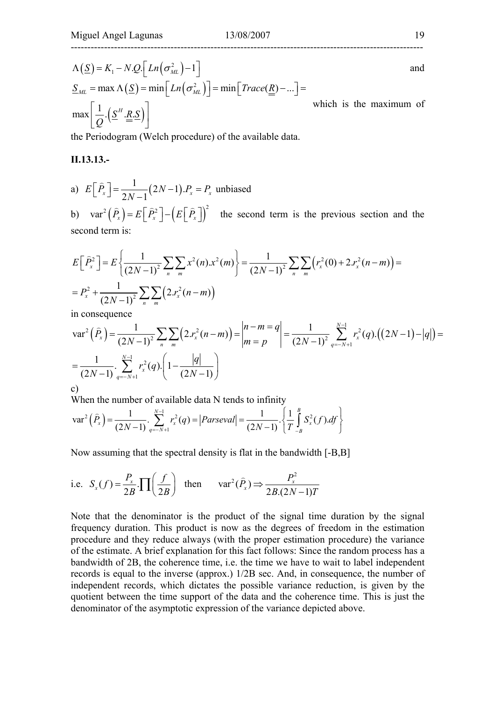$$
\Lambda(\underline{S}) = K_1 - N \cdot Q \cdot \left[ Ln(\sigma_{ML}^2) - 1 \right]
$$
\nand\n
$$
\underline{S}_{ML} = \max \Lambda(\underline{S}) = \min \left[ Ln(\sigma_{ML}^2) \right] = \min \left[ Trace(\underline{R}) - ... \right] =
$$
\n
$$
\max \left[ \frac{1}{Q} \cdot (\underline{S}^H \cdot \underline{R} \cdot \underline{S}) \right]
$$
\nwhich is the maximum of

the Periodogram (Welch procedure) of the available data.

#### **II.13.13.-**

a) 
$$
E\left[\hat{P}_x\right] = \frac{1}{2N-1}(2N-1).P_x = P_x
$$
 unbiased

b)  $\text{var}^2(\hat{P}_x) = E\left[\hat{P}_x^2\right] - \left(E\left[\hat{P}_x\right]\right)^2$  the second term is the previous section and the second term is:

$$
E\left[\hat{P}_x^2\right] = E\left\{\frac{1}{(2N-1)^2} \sum_n \sum_m x^2(n) x^2(m)\right\} = \frac{1}{(2N-1)^2} \sum_n \sum_m \left(r_x^2(0) + 2r_x^2(n-m)\right) =
$$
  
=  $P_x^2 + \frac{1}{(2N-1)^2} \sum_n \sum_m \left(2r_x^2(n-m)\right)$ 

in consequence

$$
\operatorname{var}^{2}\left(\widehat{P}_{x}\right) = \frac{1}{\left(2N-1\right)^{2}} \sum_{n} \sum_{m} \left(2 x_{x}^{2}(n-m)\right) = \begin{vmatrix} n-m=q \\ m=p \end{vmatrix} = \frac{1}{\left(2N-1\right)^{2}} \sum_{q=-N+1}^{N-1} r_{x}^{2}(q) \cdot \left(\left(2N-1\right) - |q|\right) = \frac{1}{\left(2N-1\right)} \cdot \sum_{q=-N+1}^{N-1} r_{x}^{2}(q) \cdot \left(1 - \frac{|q|}{\left(2N-1\right)}\right)
$$
\n
$$
c)
$$

When the number of available data N tends to infinity

$$
\text{var}^2\left(\widehat{P}_x\right) = \frac{1}{(2N-1)} \sum_{q=-N+1}^{N-1} r_x^2(q) = \left|Parseval \right| = \frac{1}{(2N-1)} \cdot \left\{ \frac{1}{T} \int_{-B}^{B} S_x^2(f).df \right\}
$$

Now assuming that the spectral density is flat in the bandwidth [-B,B]

i.e. 
$$
S_x(f) = \frac{P_x}{2B} \cdot \prod \left(\frac{f}{2B}\right)
$$
 then  $var^2(\hat{P}_x) \Rightarrow \frac{P_x^2}{2B.(2N-1)T}$ 

Note that the denominator is the product of the signal time duration by the signal frequency duration. This product is now as the degrees of freedom in the estimation procedure and they reduce always (with the proper estimation procedure) the variance of the estimate. A brief explanation for this fact follows: Since the random process has a bandwidth of 2B, the coherence time, i.e. the time we have to wait to label independent records is equal to the inverse (approx.) 1/2B sec. And, in consequence, the number of independent records, which dictates the possible variance reduction, is given by the quotient between the time support of the data and the coherence time. This is just the denominator of the asymptotic expression of the variance depicted above.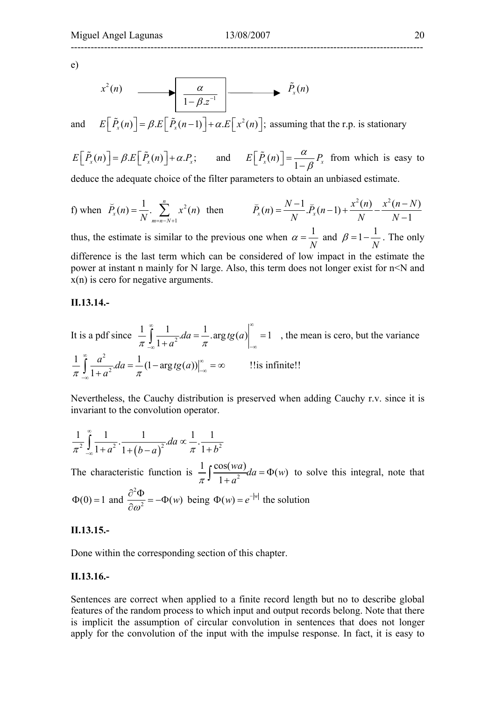e)

$$
x^{2}(n) \longrightarrow \boxed{\frac{\alpha}{1-\beta z^{-1}}}
$$

and  $E\left[\tilde{P}_x(n)\right] = \beta.E\left[\tilde{P}_x(n-1)\right] + \alpha.E\left[x^2(n)\right]$ ; assuming that the r.p. is stationary

 $E\left[\tilde{P}_x(n)\right] = \beta.E\left[\tilde{P}_x(n)\right] + \alpha.P_x;$  and  $E\left[\tilde{P}_x(n)\right] = \frac{\alpha}{1-\beta}P_x$  $\left[ \tilde{P}_x(n) \right] = \frac{a}{1 - \beta} P_x$  from which is easy to

deduce the adequate choice of the filter parameters to obtain an unbiased estimate.

f) when 
$$
\overline{P}_x(n) = \frac{1}{N} \cdot \sum_{m=n-N+1}^{n} x^2(n)
$$
 then  $\overline{P}_x(n) = \frac{N-1}{N} \cdot \overline{P}_x(n-1) + \frac{x^2(n)}{N} - \frac{x^2(n-N)}{N-1}$ 

thus, the estimate is similar to the previous one when  $\alpha = \frac{1}{10}$ *N*  $\alpha = \frac{1}{N}$  and  $\beta = 1 - \frac{1}{N}$ . The only difference is the last term which can be considered of low impact in the estimate the power at instant n mainly for N large. Also, this term does not longer exist for n<N and x(n) is cero for negative arguments.

#### **II.13.14.-**

It is a pdf since  $\frac{1}{\pi} \int_{0}^{\infty} \frac{1}{1+a^2} da = \frac{1}{\pi} \cdot \arg t g(a) \Big|_{-\infty}^{\infty} = 1$ ∞ <sub>1</sub> 1 |∞  $\int_{-\infty}^{\infty} \frac{1}{1+a^2} da = \frac{1}{\pi} \arg t g(a) \Big|_{-\infty} = 1$ , the mean is cero, but the variance 2  $\frac{1}{2\pi} \int_{-\infty}^{\infty} \frac{a^2}{1+a^2} da = \frac{1}{2\pi} (1 - \arg t g(a))$  $\pi \int$ <sub>- $\infty$ </sub> 1+a<sup>2</sup>  $\pi$  $\int_{0}^{\infty} a^{2} \frac{1}{a^{2}} \, dx$  $\int_{-\infty}^{\infty} \frac{a}{1+a^2} da = \frac{1}{\pi} (1 - \arg t g(a)) \Big|_{-\infty}^{\infty} = \infty$  !!is infinite!! −∞

Nevertheless, the Cauchy distribution is preserved when adding Cauchy r.v. since it is invariant to the convolution operator.

$$
\frac{1}{\pi^2} \int_{-\infty}^{\infty} \frac{1}{1+a^2} \cdot \frac{1}{1+\left(b-a\right)^2} da \propto \frac{1}{\pi} \cdot \frac{1}{1+b^2}
$$

The characteristic function is  $\frac{1}{\pi} \int \frac{\cos(wa)}{1+a^2} da = \Phi(w)$  $\pi$ <sup>J</sup> 1+a  $\int \frac{\cos(wa)}{1+a^2} da = \Phi(w)$  to solve this integral, note that  $\Phi(0) = 1$  and 2  $\frac{\partial^2 \Phi}{\partial \omega^2} = -\Phi(w)$  being  $\Phi(w) = e^{-|w|}$  the solution

#### **II.13.15.-**

Done within the corresponding section of this chapter.

#### **II.13.16.-**

Sentences are correct when applied to a finite record length but no to describe global features of the random process to which input and output records belong. Note that there is implicit the assumption of circular convolution in sentences that does not longer apply for the convolution of the input with the impulse response. In fact, it is easy to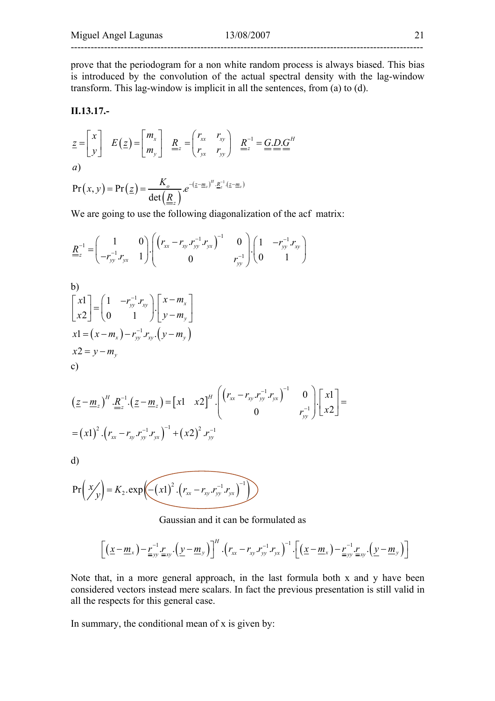prove that the periodogram for a non white random process is always biased. This bias is introduced by the convolution of the actual spectral density with the lag-window transform. This lag-window is implicit in all the sentences, from (a) to (d).

#### **II.13.17.-**

$$
\underline{z} = \begin{bmatrix} x \\ y \end{bmatrix} \quad E(\underline{z}) = \begin{bmatrix} m_x \\ m_y \end{bmatrix} \quad \underline{R}_z = \begin{pmatrix} r_{xx} & r_{xy} \\ r_{yx} & r_{yy} \end{pmatrix} \quad \underline{R}_z^{-1} = \underline{G} \cdot \underline{D} \cdot \underline{G}^H
$$
  
(a)

$$
Pr(x, y) = Pr(z) = \frac{K_o}{det(\underline{R})} e^{-(z - \underline{m}_z)^H \cdot \underline{R}_z^{-1} (z - \underline{m}_z)}
$$

We are going to use the following diagonalization of the acf matrix:

$$
\underline{R}_{z}^{-1} = \begin{pmatrix} 1 & 0 \\ -r_{yy}^{-1}r_{yx} & 1 \end{pmatrix} \begin{pmatrix} \left(r_{xx} - r_{xy} \cdot r_{yy}^{-1} \cdot r_{yx}\right)^{-1} & 0 \\ 0 & r_{yy}^{-1} \end{pmatrix} \begin{pmatrix} 1 & -r_{yy}^{-1} \cdot r_{xy} \\ 0 & 1 \end{pmatrix}
$$

b)  
\n
$$
\begin{bmatrix} x1 \\ x2 \end{bmatrix} = \begin{pmatrix} 1 & -r_{yy}^{-1} r_{xy} \\ 0 & 1 \end{pmatrix} \begin{bmatrix} x - m_x \\ y - m_y \end{bmatrix}
$$
\n
$$
x1 = (x - m_x) - r_{yy}^{-1} r_{xy} \cdot (y - m_y)
$$
\n
$$
x2 = y - m_y
$$
\nc)

$$
\left(\underline{z} - \underline{m}_z\right)^H \cdot \underline{R}_z^{-1} \cdot \left(\underline{z} - \underline{m}_z\right) = \begin{bmatrix} x_1 & x_2 \end{bmatrix}^H \cdot \begin{bmatrix} \left(r_{xx} - r_{xy} \cdot r_{yy}^{-1} \cdot r_{yx}\right)^{-1} & 0\\ 0 & r_{yy}^{-1} \end{bmatrix} \cdot \begin{bmatrix} x_1\\ x_2 \end{bmatrix} = \left(x_1\right)^2 \cdot \left(r_{xx} - r_{xy} \cdot r_{yy}^{-1} \cdot r_{yx}\right)^{-1} + \left(x_2\right)^2 \cdot r_{yy}^{-1}
$$

d)

$$
Pr(X/y) = K_2 \cdot exp\left(-(x1)^2 \cdot (r_{xx} - r_{xy} \cdot r_{yy}^{-1} \cdot r_{yx})^{-1}\right)
$$

Gaussian and it can be formulated as

$$
\left[\left(\underline{x}-\underline{m}_x\right)-\underline{r}_{yy}^{-1}\underline{r}_{xy}\cdot\left(\underline{y}-\underline{m}_y\right)\right]^H\cdot\left(r_{xx}-r_{xy}\cdot r_{yy}^{-1}\cdot r_{yx}\right)^{-1}\cdot\left[\left(\underline{x}-\underline{m}_x\right)-\underline{r}_{yy}^{-1}\underline{r}_{xy}\cdot\left(\underline{y}-\underline{m}_y\right)\right]
$$

Note that, in a more general approach, in the last formula both x and y have been considered vectors instead mere scalars. In fact the previous presentation is still valid in all the respects for this general case.

In summary, the conditional mean of x is given by: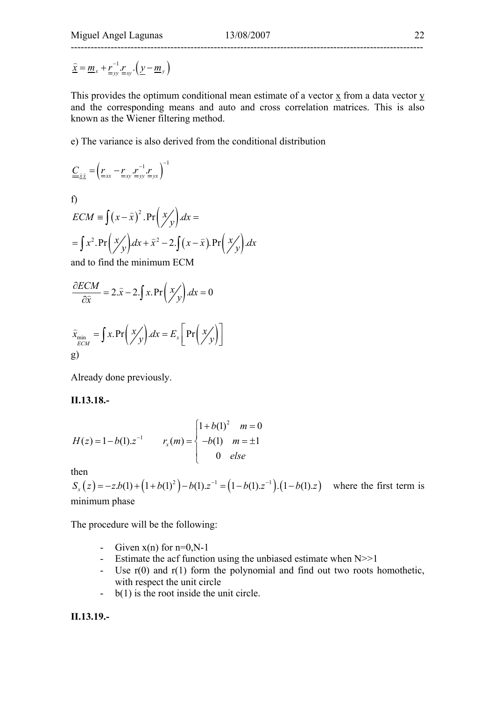$\hat{\mathbf{x}} = \underline{m}_x + \underline{r}_{yy}^{-1} \cdot \underline{r}_{xy} \cdot (\underline{y} - \underline{m}_y)$ 

This provides the optimum conditional mean estimate of a vector x from a data vector y and the corresponding means and auto and cross correlation matrices. This is also known as the Wiener filtering method.

e) The variance is also derived from the conditional distribution

$$
\underline{\underline{C}}_{\underline{\widehat{x}}\underline{\widehat{x}}} = \left(\underline{\underline{r}}_{xx} - \underline{\underline{r}}_{xy} \underline{\underline{r}}_{yy}^{-1} \underline{\underline{r}}_{yx}\right)^{-1}
$$

f)

$$
ECM \equiv \int (x - \hat{x})^2 \cdot \Pr\left(\frac{x}{y}\right) dx =
$$
  
=  $\int x^2 \cdot \Pr\left(\frac{x}{y}\right) dx + \hat{x}^2 - 2 \cdot \int (x - \hat{x}) \cdot \Pr\left(\frac{x}{y}\right) dx$   
and to find the minimum ECM

and to find the minimum ECM

$$
\frac{\partial ECM}{\partial \hat{x}} = 2.\hat{x} - 2.\int x. \Pr\left(\frac{x}{y}\right) dx = 0
$$

$$
\widehat{x}_{\min} = \int x \cdot \Pr\left(\frac{x}{y}\right) dx = E_x \left[\Pr\left(\frac{x}{y}\right)\right]
$$
\ng)

Already done previously.

**II.13.18.-** 

$$
H(z) = 1 - b(1).z^{-1} \qquad r_x(m) = \begin{cases} 1 + b(1)^2 & m = 0 \\ -b(1) & m = \pm 1 \\ 0 & else \end{cases}
$$

then

 $S_x(z) = -zb(1) + (1 + b(1)^2) - b(1)z^{-1} = (1 - b(1)z^{-1}) \cdot (1 - b(1)z)$  where the first term is minimum phase

The procedure will be the following:

- Given  $x(n)$  for  $n=0, N-1$
- Estimate the acf function using the unbiased estimate when  $N \geq 1$
- Use r(0) and r(1) form the polynomial and find out two roots homothetic, with respect the unit circle
- b(1) is the root inside the unit circle.

**II.13.19.-**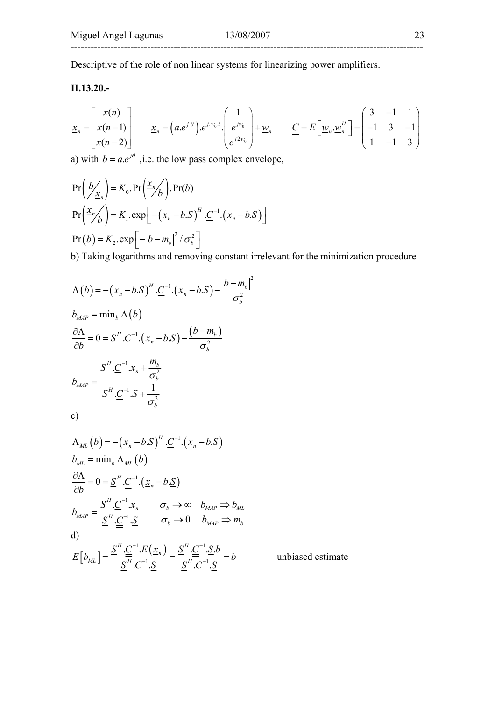Descriptive of the role of non linear systems for linearizing power amplifiers.

### **II.13.20.-**

$$
\underline{x}_n = \begin{bmatrix} x(n) \\ x(n-1) \\ x(n-2) \end{bmatrix} \qquad \underline{x}_n = \left( a e^{j \theta} \right) e^{j w_0 t} \cdot \begin{bmatrix} 1 \\ e^{j w_0} \\ e^{j 2 w_0} \end{bmatrix} + \underline{w}_n \qquad \underline{C} = E \begin{bmatrix} \underline{w}_n \cdot \underline{w}_n^H \\ -1 \end{bmatrix} = \begin{bmatrix} 3 & -1 & 1 \\ -1 & 3 & -1 \\ 1 & -1 & 3 \end{bmatrix}
$$

a) with  $b = ae^{i\theta}$ , i.e. the low pass complex envelope,

$$
Pr\left(\frac{b}{x_n}\right) = K_0. Pr\left(\frac{x_n}{b}\right). Pr(b)
$$
  
Pr $\left(\frac{x_n}{b}\right) = K_1. exp\left[-\left(\frac{x_n - b.S}{s}\right)^H \cdot \frac{C}{s}\right]. \left(\frac{x_n - b.S}{s}\right)$   
Pr(b) = K<sub>2</sub>. exp $\left[-\left|b - m_b\right|^2 / \sigma_b^2\right]$ 

b) Taking logarithms and removing constant irrelevant for the minimization procedure

$$
\Lambda(b) = -(\underline{x}_n - b.\underline{S})^H \cdot \underline{C}^{-1} \cdot (\underline{x}_n - b.\underline{S}) - \frac{|b - m_b|^2}{\sigma_b^2}
$$
  
\n
$$
b_{MAP} = \min_b \Lambda(b)
$$
  
\n
$$
\frac{\partial \Lambda}{\partial b} = 0 = \underline{S}^H \cdot \underline{C}^{-1} \cdot (\underline{x}_n - b.\underline{S}) - \frac{(b - m_b)}{\sigma_b^2}
$$
  
\n
$$
b_{MAP} = \frac{\underline{S}^H \cdot \underline{C}^{-1} \cdot \underline{x}_n + \frac{m_b}{\sigma_b^2}}{\underline{S}^H \cdot \underline{C}^{-1} \cdot \underline{S} + \frac{1}{\sigma_b^2}}
$$
  
\n
$$
c)
$$

$$
\Lambda_{ML}(b) = -(\underline{x}_n - b.\underline{S})^H \cdot \underline{C}^{-1} \cdot (\underline{x}_n - b.\underline{S})
$$
  
\n
$$
b_{ML} = \min_b \Lambda_{ML}(b)
$$
  
\n
$$
\frac{\partial \Lambda}{\partial b} = 0 = \underline{S}^H \cdot \underline{C}^{-1} \cdot (\underline{x}_n - b.\underline{S})
$$
  
\n
$$
b_{MAP} = \frac{\underline{S}^H \cdot \underline{C}^{-1} \cdot \underline{x}_n}{\underline{S}^H \cdot \underline{C}^{-1} \cdot \underline{S}} \qquad \sigma_b \to \infty \qquad b_{MAP} \Rightarrow b_{ML}
$$
  
\n(d)  
\n
$$
E[b_{ML}] = \frac{\underline{S}^H \cdot \underline{C}^{-1} \cdot E(\underline{x}_n)}{\underline{S}^H \cdot \underline{C}^{-1} \cdot \underline{S}} = \frac{\underline{S}^H \cdot \underline{C}^{-1} \cdot \underline{S} \cdot b}{\underline{S}^H \cdot \underline{C}^{-1} \cdot \underline{S}} = b
$$
 unbiased estimate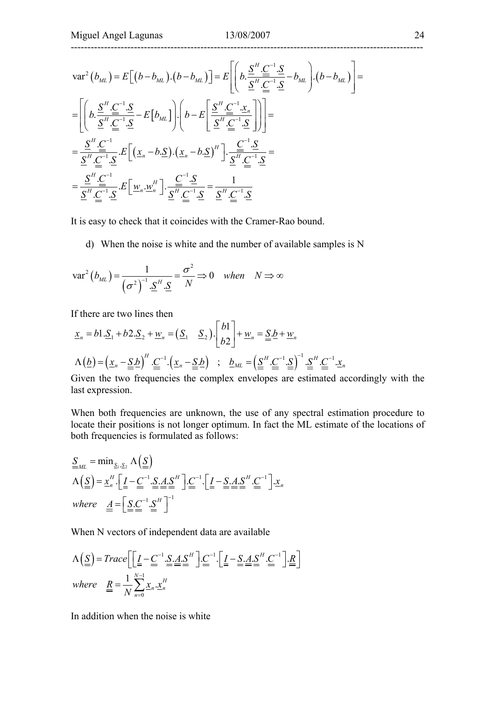$$
\operatorname{var}^{2}(b_{ML}) = E\Big[(b - b_{ML}) \cdot (b - b_{ML})\Big] = E\Big[\Big(b \cdot \frac{\underline{S}^{H} \cdot \underline{\underline{C}}^{-1} \cdot \underline{S}}{\underline{S}^{H} \cdot \underline{\underline{C}}^{-1} \cdot \underline{S}} - b_{ML}\Big)\Big](b - b_{ML})\Big] =
$$
\n
$$
= \Big[\Big(b \cdot \frac{\underline{S}^{H} \cdot \underline{\underline{C}}^{-1} \cdot \underline{S}}{\underline{S}^{H} \cdot \underline{\underline{C}}^{-1} \cdot \underline{S}} - E\Big[b_{ML}\Big)\Big)\Big(b - E\Big[\frac{\underline{S}^{H} \cdot \underline{\underline{C}}^{-1} \cdot \underline{x}_{n}}{\underline{S}^{H} \cdot \underline{\underline{C}}^{-1} \cdot \underline{S}}\Big]\Big)\Big] =
$$
\n
$$
= \frac{\underline{S}^{H} \cdot \underline{\underline{C}}^{-1}}{\underline{S}^{H} \cdot \underline{\underline{C}}^{-1} \cdot \underline{S}} \cdot E\Big[\Big((\underline{x}_{n} - b \cdot \underline{S}) \cdot (\underline{x}_{n} - b \cdot \underline{S})^{H}\Big) \cdot \frac{\underline{\underline{C}}^{-1} \cdot \underline{S}}{\underline{S}^{H} \cdot \underline{\underline{C}}^{-1} \cdot \underline{S}} =
$$
\n
$$
= \frac{\underline{S}^{H} \cdot \underline{\underline{C}}^{-1} \cdot \underline{S}}{\underline{S}^{H} \cdot \underline{\underline{C}}^{-1} \cdot \underline{S}} \cdot E\Big[\underline{w}_{n} \cdot \underline{w}_{n}^{H}\Big] \cdot \frac{\underline{\underline{C}}^{-1} \cdot \underline{S}}{\underline{S}^{H} \cdot \underline{\underline{C}}^{-1} \cdot \underline{S}} = \frac{1}{\underline{S}^{H} \cdot \underline{\underline{C}}^{-1} \cdot \underline{S}}
$$

It is easy to check that it coincides with the Cramer-Rao bound.

d) When the noise is white and the number of available samples is N

$$
\text{var}^2\left(b_{ML}\right) = \frac{1}{\left(\sigma^2\right)^{-1} \cdot \underline{S}^H \cdot \underline{S}} = \frac{\sigma^2}{N} \Rightarrow 0 \quad when \quad N \Rightarrow \infty
$$

If there are two lines then

$$
\underline{x}_n = b1.\underline{S}_1 + b2.\underline{S}_2 + \underline{w}_n = (\underline{S}_1 \quad \underline{S}_2). \begin{bmatrix} b1 \\ b2 \end{bmatrix} + \underline{w}_n = \underline{\underline{S}}.\underline{b} + \underline{w}_n
$$
  

$$
\Lambda(\underline{b}) = (\underline{x}_n - \underline{\underline{S}}.\underline{b})^H \cdot \underline{\underline{C}}^{-1}. (\underline{x}_n - \underline{\underline{S}}.\underline{b}) \quad ; \quad \underline{b}_{ML} = (\underline{\underline{S}}^H \cdot \underline{\underline{C}}^{-1}.\underline{S})^{-1} \cdot \underline{\underline{S}}^H \cdot \underline{\underline{C}}^{-1}.\underline{x}_n
$$

Given the two frequencies the complex envelopes are estimated accordingly with the last expression.

When both frequencies are unknown, the use of any spectral estimation procedure to locate their positions is not longer optimum. In fact the ML estimate of the locations of both frequencies is formulated as follows:

$$
\underline{\underline{S}}_{ML} = \min_{\underline{S}_1, \underline{S}_2} \Lambda \left( \underline{\underline{S}} \right)
$$
\n
$$
\Lambda \left( \underline{\underline{S}} \right) = \underline{x}_n^H \cdot \left[ \underline{I} - \underline{C}^{-1} \cdot \underline{S} \cdot \underline{A} \cdot \underline{S}^H \right] \cdot \underline{C}^{-1} \cdot \left[ \underline{I} - \underline{S} \cdot \underline{A} \cdot \underline{S}^H \cdot \underline{C}^{-1} \right] \cdot \underline{x}_n
$$
\nwhere

\n
$$
\underline{A} = \left[ \underline{S} \cdot \underline{C}^{-1} \cdot \underline{S}^H \right]^{-1}
$$

When N vectors of independent data are available

$$
\Lambda \left( \underline{S} \right) = Trace \left[ \underline{I} - \underline{C}^{-1} \cdot \underline{S} \cdot \underline{A} \cdot \underline{S}^{H} \right] \cdot \underline{C}^{-1} \cdot \left[ \underline{I} - \underline{S} \cdot \underline{A} \cdot \underline{S}^{H} \cdot \underline{C}^{-1} \right] \cdot \underline{R} \right]
$$
\nwhere

\n
$$
\underline{R} = \frac{1}{N} \sum_{n=0}^{N-1} \underline{x}_{n} \cdot \underline{x}_{n}^{H}
$$

In addition when the noise is white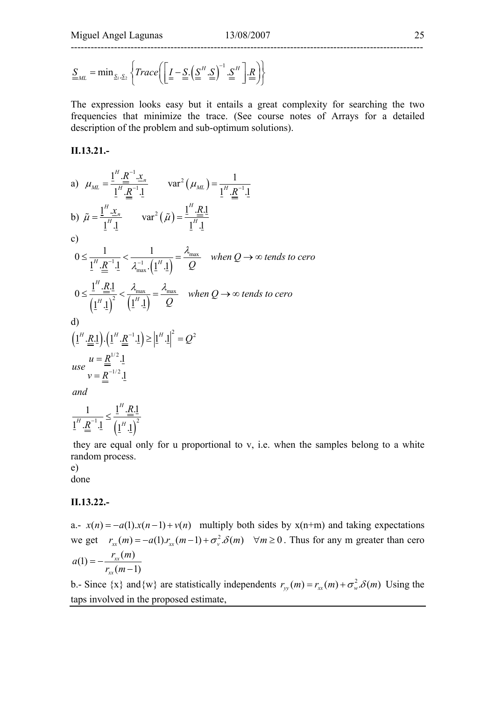$$
\underline{S}_{ML} = \min_{\underline{S}_1, \underline{S}_2} \left\{ Trace \left( \underline{I} - \underline{S} \cdot (\underline{S}^H \cdot \underline{S})^{-1} \cdot \underline{S}^H \right) \underline{R} \right\}
$$

The expression looks easy but it entails a great complexity for searching the two frequencies that minimize the trace. (See course notes of Arrays for a detailed description of the problem and sub-optimum solutions).

#### **II.13.21.-**

a) 
$$
\mu_{ML} = \frac{1^H \cdot \underline{R}^{-1} \cdot \underline{x}_n}{1^H \cdot \underline{R}^{-1} \cdot 1}
$$
  $var^2(\mu_{ML}) = \frac{1}{1^H \cdot \underline{R}^{-1} \cdot 1}$   
\nb)  $\tilde{\mu} = \frac{1^H \cdot \underline{x}_n}{1^H \cdot 1}$   $var^2(\tilde{\mu}) = \frac{1^H \cdot \underline{R} \cdot 1}{1^H \cdot 1}$   
\nc)  
\n $0 \le \frac{1}{1^H \cdot \underline{R}^{-1} \cdot 1} < \frac{1}{\lambda_{max}^{-1} \cdot (1^H \cdot 1)} = \frac{\lambda_{max}}{Q}$  when  $Q \to \infty$  tends to zero  
\n $0 \le \frac{1^H \cdot \underline{R} \cdot 1}{(1^H \cdot 1)^2} < \frac{\lambda_{max}}{(1^H \cdot 1)} = \frac{\lambda_{max}}{Q}$  when  $Q \to \infty$  tends to zero  
\nd)  
\n $(1^H \cdot \underline{R} \cdot 1) \cdot (1^H \cdot \underline{R}^{-1} \cdot 1) \ge |1^H \cdot 1|^2 = Q^2$   
\nuse  $u = \frac{R^{1/2} \cdot 1}{v = \frac{R^{-1/2} \cdot 1}{1}}$   
\nand  
\n $1 = \frac{1^H \cdot \underline{R} \cdot 1}{1} \cdot \frac{1^H \cdot \underline{R} \cdot 1}{1} = \frac{1^H \cdot \underline{R} \cdot 1}{1}$ 

 they are equal only for u proportional to v, i.e. when the samples belong to a white random process.

## e)

done

#### **II.13.22.-**

 $\left( \underline{1}^{H} \cdot \underline{1} \right)^{2}$ 

 $\underline{1}^H \cdot \underline{R}^{-1} \cdot \underline{1}$   $(\underline{1}^H \cdot \underline{1})$ 

 $H$   $R^{-1}$  1  $(AH$ 

 $\frac{R^{-1}}{R^{-1}}$ .<sup>1</sup>

a.-  $x(n) = -a(1) \cdot x(n-1) + v(n)$  multiply both sides by  $x(n+m)$  and taking expectations we get  $r_{xx}(m) = -a(1) r_{xx}(m-1) + \sigma_y^2 \delta(m)$   $\forall m \ge 0$ . Thus for any m greater than cero  $(1) = -\frac{r_{xx}(m)}{r_{xx}(m-1)}$ *xx*  $a(1) = -\frac{r_{xx}(m)}{r_{xx}(m-1)}$ 

b.- Since  $\{x\}$  and  $\{w\}$  are statistically independents  $r_w(m) = r_w(m) + \sigma_w^2 \delta(m)$  Using the taps involved in the proposed estimate,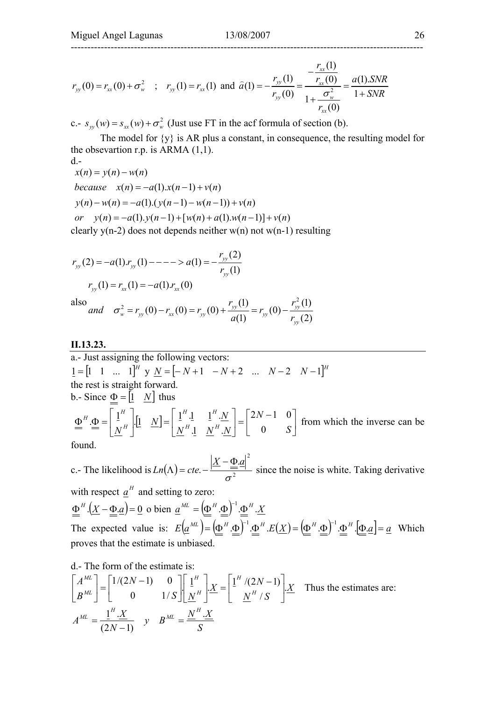$(1)$ 

$$
r_{yy}(0) = r_{xx}(0) + \sigma_w^2 \quad ; \quad r_{yy}(1) = r_{xx}(1) \text{ and } \hat{a}(1) = -\frac{r_{yy}(1)}{r_{yy}(0)} = \frac{-\frac{r_{xx}(1)}{r_{xx}(0)}}{1 + \frac{\sigma_w^2}{r_{xx}(0)}} = \frac{a(1).SNR}{1 + SNR}
$$

c.-  $s_{yy}(w) = s_{yy}(w) + \sigma_w^2$  (Just use FT in the acf formula of section (b).

 The model for {y} is AR plus a constant, in consequence, the resulting model for the obsevartion r.p. is ARMA  $(1,1)$ .

 $d$  $x(n) = y(n) - w(n)$  $because \quad x(n) = -a(1).x(n-1) + v(n)$  $y(n) - w(n) = -a(1) \cdot (y(n-1) - w(n-1)) + v(n)$  $or \quad y(n) = -a(1) \cdot y(n-1) + [w(n) + a(1) \cdot w(n-1)] + v(n)$ 

clearly  $y(n-2)$  does not depends neither  $w(n)$  not  $w(n-1)$  resulting

$$
r_{yy}(2) = -a(1) \cdot r_{yy}(1) - - - - > a(1) = -\frac{r_{yy}(2)}{r_{yy}(1)}
$$

$$
r_{yy}(1) = r_{xx}(1) = -a(1) \cdot r_{xx}(0)
$$

also  
and 
$$
\sigma_w^2 = r_{yy}(0) - r_{xx}(0) = r_{yy}(0) + \frac{r_{yy}(1)}{a(1)} = r_{yy}(0) - \frac{r_{yy}^2(1)}{r_{yy}(2)}
$$

#### **II.13.23.**

a.- Just assigning the following vectors:  $[1 = [1 \ 1 \ ... \ 1]^H$  **y**  $N = [-N+1 \ -N+2 \ ... \ N-2 \ N-1]^H$ the rest is straight forward. b.- Since  $\Phi = \begin{bmatrix} 1 & N \end{bmatrix}$  thus  $\left[ \frac{1}{2} \quad \frac{N}{N} \right] = \left[ \begin{array}{ccc} \frac{1}{2} & \frac{1}{2} & \frac{1}{2} & \frac{N}{2N} \\ \frac{1}{2} & \frac{1}{2} & \frac{1}{2} & \frac{1}{2N} \end{array} \right] = \left[ \begin{array}{ccc} 2N & 1 & 0 \\ 0 & 0 \end{array} \right]$  $\rfloor$  $\begin{vmatrix} 2N-1 & 0 \\ 0 & S \end{vmatrix}$ L  $\Big| = \Big| \begin{matrix} 2N - \\ 0 \end{matrix} \Big|$  $\overline{\phantom{a}}$  $\begin{array}{ccc} \boxed{1}^H.\underline{1} & \boxed{1}^H.\underline{N} \\ \sqrt{N} & \sqrt{N} & \sqrt{N} \end{array}$ L  $\begin{vmatrix} 1 & \underline{N} \end{vmatrix}$  $\rfloor$  $\left| \begin{array}{c} 1^H \ \frac{1}{M} \end{array} \right|$ L L  $\Phi'' = \Phi = \frac{1}{N^H} \left| \frac{1}{N} \right| \left| \frac{N}{N} \right| = \frac{1}{N^H} \left| \frac{1}{N^H N} \right| \left| \frac{N}{N} \right| \left| \frac{N}{N} \right| \left| \frac{N}{N} \right| \left| \frac{N}{N} \right|$ *N*  $N^H.1 \quad N^H. N$  $[N] = \begin{bmatrix} 1^H & 1 & 1 \\ 0 & 1 & 1 \end{bmatrix}^H \cdot \frac{N}{N}$  $N^H$ <sup> $H$ </sup>  $\stackrel{\text{1.}}{=}$   $\stackrel{\text{2.}}{=}$   $N^H$ .<sup>1</sup>  $N^H$  $H$  **1 H** *H*  $H_{\rm 4}$   $\left| \right.$   $\frac{1}{4}$ 0  $2N - 1 = 0$  $\frac{1}{2}$   $\frac{N}{4}$ .  $1^{\frac{1}{n}} \Phi = \left| \begin{array}{cc} 1^{\frac{n}{n}} & 1 \\ 0 & N \end{array} \right| = \left| \begin{array}{cc} 1^{\frac{n}{n}} & 1 \\ 0 & 1 \end{array} \right| = \left| \begin{array}{cc} 2N-1 & 0 \\ 0 & 0 \end{array} \right|$  from which the inverse can be

found.

c.- The likelihood is  $Ln(\Lambda) = cte. - \frac{1}{\sigma^2}$  $Ln(\Lambda) = cte. - \frac{|\underline{X} - \underline{\Phi} \cdot \underline{a}|^2}{2}$  since the noise is white. Taking derivative σ with respect  $\underline{a}^H$  and setting to zero:  $\Phi^H$ . $(X - \Phi \cdot \mathbf{a}) = 0$  o bien  $\mathbf{a}^{ML} = (\Phi^H \cdot \Phi)^{-1} \cdot \Phi^H \cdot X$ The expected value is:  $E(a^{ML}) = (\Phi^H \cdot \Phi)^{-1} \cdot \Phi^H \cdot E(X) = (\Phi^H \cdot \Phi)^{-1} \cdot \Phi^H \cdot [\Phi \cdot a] = a$  Which proves that the estimate is unbiased.

d.- The form of the estimate is:

$$
\begin{bmatrix} A^{ML} \\ B^{ML} \end{bmatrix} = \begin{bmatrix} 1/(2N-1) & 0 \\ 0 & 1/S \end{bmatrix} \begin{bmatrix} 1^H \\ \frac{N}{N} \end{bmatrix} \cdot \frac{X}{N} = \begin{bmatrix} 1^H / (2N-1) \\ \frac{N^H / S \end{bmatrix} \cdot \frac{X}{N}
$$
 Thus the estimates are:  

$$
A^{ML} = \frac{1^H \cdot X}{(2N-1)} \quad y \quad B^{ML} = \frac{N^H \cdot X}{S}
$$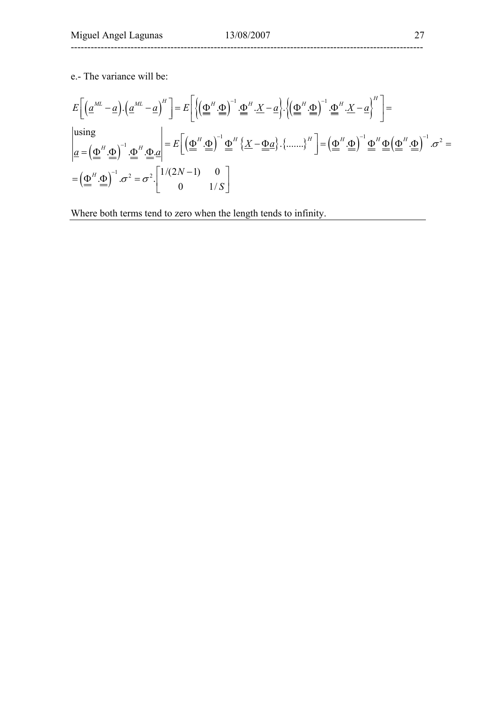e.- The variance will be:

$$
E\left[\left(\underline{a}^{ML} - \underline{a}\right) \cdot \left(\underline{a}^{ML} - \underline{a}\right)^H\right] = E\left[\left\{\left(\underline{\underline{\Phi}}^H \cdot \underline{\underline{\Phi}}\right)^{-1} \cdot \underline{\underline{\Phi}}^H \cdot X - \underline{a}\right\} \cdot \left\{\left(\underline{\underline{\Phi}}^H \cdot \underline{\underline{\Phi}}\right)^{-1} \cdot \underline{\underline{\Phi}}^H \cdot X - \underline{a}\right\}^H\right] =
$$
\n
$$
\begin{aligned}\n\text{using} \\
\underline{a} = \left(\underline{\underline{\Phi}}^H \cdot \underline{\underline{\Phi}}\right)^{-1} \cdot \underline{\underline{\Phi}}^H \cdot \underline{\underline{\Phi}} \cdot \underline{a} = E\left[\left(\underline{\underline{\Phi}}^H \cdot \underline{\underline{\Phi}}\right)^{-1} \underline{\underline{\Phi}}^H \left\{X - \underline{\underline{\Phi}} \underline{a}\right\} \cdot \left\{\dots\right\}^H\right] = \left(\underline{\underline{\Phi}}^H \cdot \underline{\underline{\Phi}}\right)^{-1} \underline{\underline{\Phi}}^H \underline{\underline{\Phi}} \left(\underline{\underline{\Phi}}^H \cdot \underline{\underline{\Phi}}\right)^{-1} \cdot \sigma^2 =\\
&= \left(\underline{\underline{\Phi}}^H \cdot \underline{\underline{\Phi}}\right)^{-1} \cdot \sigma^2 = \sigma^2 \cdot \begin{bmatrix} 1/(2N-1) & 0 \\ 0 & 1/S \end{bmatrix}\n\end{aligned}
$$

Where both terms tend to zero when the length tends to infinity.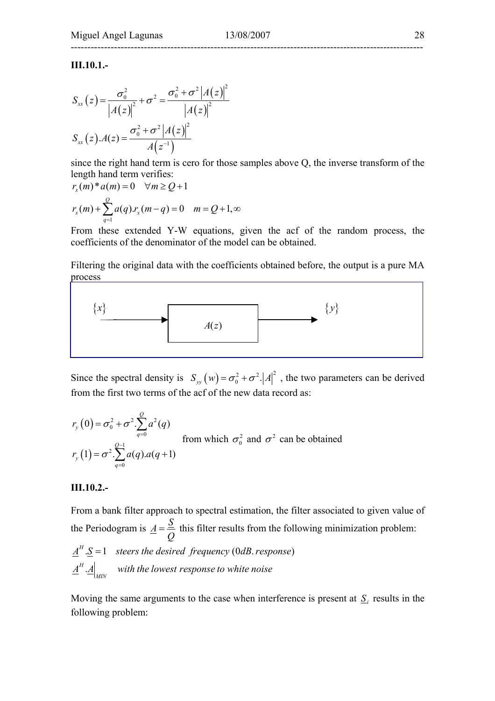## ----------------------------------------------------------------------------------------------------------

#### **III.10.1.-**

$$
S_{xx}(z) = \frac{\sigma_0^2}{|A(z)|^2} + \sigma^2 = \frac{\sigma_0^2 + \sigma^2 |A(z)|^2}{|A(z)|^2}
$$

$$
S_{xx}(z) \cdot A(z) = \frac{\sigma_0^2 + \sigma^2 |A(z)|^2}{A(z^{-1})}
$$

since the right hand term is cero for those samples above Q, the inverse transform of the length hand term verifies:

$$
r_x(m)^* a(m) = 0 \quad \forall m \ge Q+1
$$
  

$$
r_x(m) + \sum_{q=1}^{Q} a(q) . r_x(m-q) = 0 \quad m = Q+1, \infty
$$

From these extended Y-W equations, given the acf of the random process, the coefficients of the denominator of the model can be obtained.

Filtering the original data with the coefficients obtained before, the output is a pure MA process



Since the spectral density is  $S_{yy}(w) = \sigma_0^2 + \sigma^2$ . |A|<sup>2</sup>, the two parameters can be derived from the first two terms of the acf of the new data record as:

$$
r_y(0) = \sigma_0^2 + \sigma^2 \cdot \sum_{q=0}^{Q} a^2(q)
$$
  
from which  $\sigma_0^2$  and  $\sigma^2$  can be obtained  

$$
r_y(1) = \sigma^2 \cdot \sum_{q=0}^{Q-1} a(q) . a(q+1)
$$

#### **III.10.2.-**

From a bank filter approach to spectral estimation, the filter associated to given value of the Periodogram is  $\underline{A} = \frac{S}{Q}$  this filter results from the following minimization problem:  $\underline{A}^H \cdot \underline{S} = 1$  steers the desired frequency (0dB response) . *H*  $\frac{A^{\prime\prime}}{A}$  *a* with the lowest response to white noise

Moving the same arguments to the case when interference is present at  $S_i$  results in the following problem: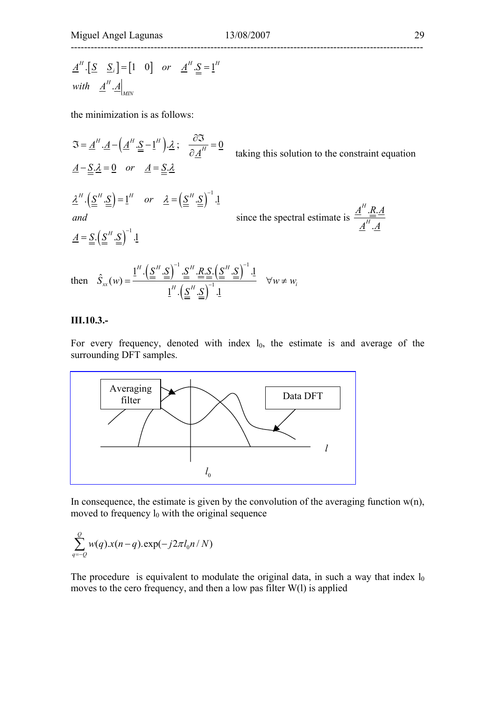$$
\underline{A}^H \cdot [\underline{S} \quad \underline{S}_i] = [1 \quad 0] \quad or \quad \underline{A}^H \cdot \underline{S} = \underline{1}^H
$$
  
with  $\underline{A}^H \cdot \underline{A} \Big|_{MIN}$ 

the minimization is as follows:

$$
\mathfrak{I} = \underline{A}^H \cdot \underline{A} - \left(\underline{A}^H \cdot \underline{S} - \underline{1}^H\right) \cdot \underline{\lambda} \; ; \quad \frac{\partial \mathfrak{I}}{\partial \underline{A}^H} = 0 \qquad \text{taking this solution to the constraint equation}
$$
\n
$$
\underline{A} - \underline{\underline{S}} \cdot \underline{\lambda} = 0 \quad or \quad \underline{A} = \underline{\underline{S}} \cdot \underline{\lambda}
$$
\n
$$
\underline{\lambda}^H \cdot \left(\underline{\underline{S}}^H \cdot \underline{\underline{S}}\right) = \underline{1}^H \quad or \quad \underline{\lambda} = \left(\underline{\underline{S}}^H \cdot \underline{\underline{S}}\right)^{-1} \cdot \underline{1} \qquad \text{since the spectral estimate is } \frac{\underline{A}^H \cdot \underline{\underline{R}} \cdot \underline{A}}{\underline{A}^H \cdot \underline{A}}
$$
\n
$$
\underline{A} = \underline{\underline{S}} \cdot \left(\underline{\underline{S}}^H \cdot \underline{\underline{S}}\right)^{-1} \cdot \underline{1}
$$
\n
$$
\text{then } \hat{S}_{xx}(w) = \frac{\underline{1}^H \cdot \left(\underline{\underline{S}}^H \cdot \underline{\underline{S}}\right)^{-1} \cdot \underline{\underline{S}}^H \cdot \underline{\underline{R}} \cdot \underline{\underline{S}} \cdot \left(\underline{\underline{S}}^H \cdot \underline{\underline{S}}\right)^{-1} \cdot \underline{1}}{\underline{1}^H \cdot \left(\underline{\underline{S}}^H \cdot \underline{\underline{S}}\right)^{-1} \cdot \underline{1}} \qquad \forall w \neq w_i
$$

#### **III.10.3.-**

For every frequency, denoted with index  $l_0$ , the estimate is and average of the surrounding DFT samples.



In consequence, the estimate is given by the convolution of the averaging function  $w(n)$ , moved to frequency  $l_0$  with the original sequence

$$
\sum_{q=-Q}^{Q} w(q).x(n-q).\exp(-j2\pi l_0 n/N)
$$

The procedure is equivalent to modulate the original data, in such a way that index  $l_0$ moves to the cero frequency, and then a low pas filter W(l) is applied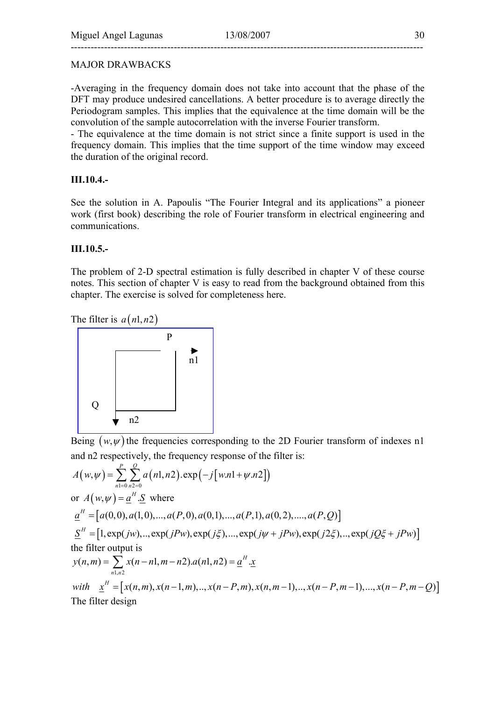### MAJOR DRAWBACKS

-Averaging in the frequency domain does not take into account that the phase of the DFT may produce undesired cancellations. A better procedure is to average directly the Periodogram samples. This implies that the equivalence at the time domain will be the convolution of the sample autocorrelation with the inverse Fourier transform.

- The equivalence at the time domain is not strict since a finite support is used in the frequency domain. This implies that the time support of the time window may exceed the duration of the original record.

### **III.10.4.-**

See the solution in A. Papoulis "The Fourier Integral and its applications" a pioneer work (first book) describing the role of Fourier transform in electrical engineering and communications.

### **III.10.5.-**

The problem of 2-D spectral estimation is fully described in chapter V of these course notes. This section of chapter V is easy to read from the background obtained from this chapter. The exercise is solved for completeness here.

The filter is  $a(n1, n2)$ 



Being  $(w, \psi)$  the frequencies corresponding to the 2D Fourier transform of indexes n1 and n2 respectively, the frequency response of the filter is:

$$
A(w,\psi) = \sum_{n=0}^{P} \sum_{n=20}^{Q} a(n1, n2) . \exp(-j[w.n1 + \psi.n2])
$$
  
or  $A(w,\psi) = \underline{a}^{H} . \underline{S}$  where  

$$
\underline{a}^{H} = [a(0,0), a(1,0), ..., a(P,0), a(0,1), ..., a(P,1), a(0,2), ..., a(P,Q)]
$$

$$
\underline{S}^{H} = [1, \exp(jw), ..., \exp(jPw), \exp(j\xi), ..., \exp(j\psi + jPw), \exp(j2\xi), ..., \exp(jQ\xi + jPw)]
$$
  
the filter output is  

$$
y(n,m) = \sum_{n1,n \ge 1} x(n-n1, m-n2).a(n1, n2) = \underline{a}^{H} . \underline{x}
$$
  
with 
$$
\underline{x}^{H} = [x(n,m), x(n-1,m), ..., x(n-P,m), x(n,m-1), ..., x(n-P,m-1), ..., x(n-P,m-Q)]
$$
  
The filter design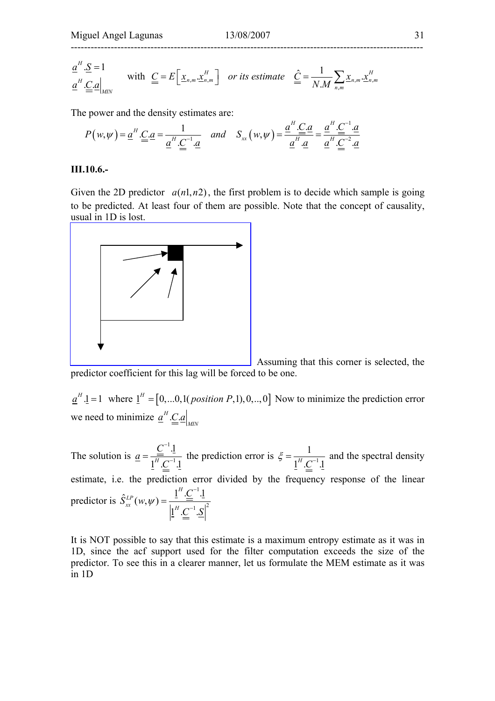$$
\underline{a}^H \cdot \underline{S} = 1
$$
\nwith  $\underline{C} = E\left[\underline{x}_{n,m} \cdot \underline{x}_{n,m}^H\right]$  or its estimate  $\underline{\hat{C}} = \frac{1}{N \cdot M} \sum_{n,m} \underline{x}_{n,m} \cdot \underline{x}_{n,m}^H$ 

The power and the density estimates are:

$$
P(w,\psi) = \underline{a}^H \cdot \underline{C} \cdot \underline{a} = \frac{1}{\underline{a}^H \cdot \underline{C}^{-1} \cdot \underline{a}} \quad \text{and} \quad S_{xx}(w,\psi) = \frac{\underline{a}^H \cdot \underline{C} \cdot \underline{a}}{\underline{a}^H \cdot \underline{a}} = \frac{\underline{a}^H \cdot \underline{C}^{-1} \cdot \underline{a}}{\underline{a}^H \cdot \underline{C}^{-2} \cdot \underline{a}}
$$

#### **III.10.6.-**

Given the 2D predictor  $a(n1, n2)$ , the first problem is to decide which sample is going to be predicted. At least four of them are possible. Note that the concept of causality, usual in 1D is lost.



 Assuming that this corner is selected, the predictor coefficient for this lag will be forced to be one.

 $\underline{a}^H \cdot \underline{1} = 1$  where  $\underline{1}^H = [0,...0,1(\text{position }P,1),0,...,0]$  Now to minimize the prediction error we need to minimize  $\underline{a}^H \underline{\underline{C}} \underline{a} \Big|_{MN}$ 

The solution is 1 1 .1  $1^H.C^{-1}.1$ *C a C* −  $=\frac{C^{-1} \cdot 1}{1^{H} \cdot C^{-1} \cdot 1}$  the prediction error is  $\xi = \frac{1}{1^{H} \cdot C^{-1} \cdot 1}$  and the spectral density estimate, i.e. the prediction error divided by the frequency response of the linear predictor is 1  $\hat{S}_{xx}^{LP}(w, w) = \frac{\underline{1}^H \cdot \underline{C}^{-1} \cdot \underline{1}}{\left| \underline{1}^H \cdot \underline{C}^{-1} \cdot \underline{N} \right|^2}$  ${\underline{1}}^H.C^{-1}.$ *H LP*  $\chi$ *x*  $(W, \psi)$  –  $\vert_{1}$ *C*  $S^{LP}_{rr}(w)$  $C^{-1}.\underline{S}$ ψ −  $=\frac{2\frac{1}{\epsilon}}{\frac{1}{2}H}$ 

It is NOT possible to say that this estimate is a maximum entropy estimate as it was in 1D, since the acf support used for the filter computation exceeds the size of the predictor. To see this in a clearer manner, let us formulate the MEM estimate as it was in 1D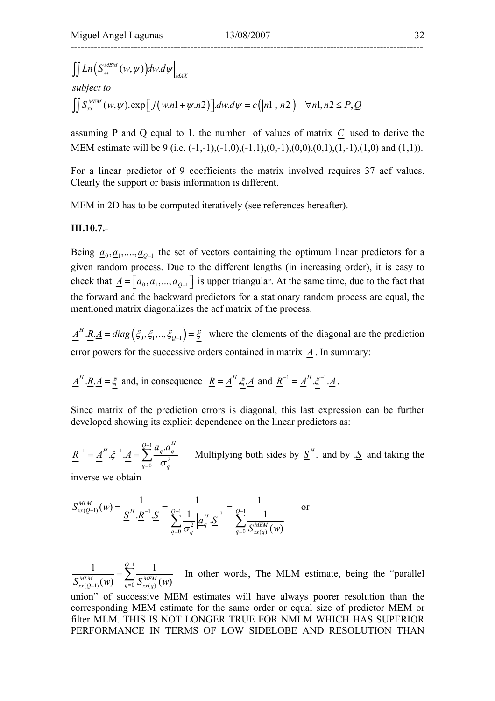$$
\iint Ln(S_{xx}^{MEM}(w,\psi))dw.d\psi\Big|_{MAX}
$$
\nsubject to\n
$$
\iint S_{xx}^{MEM}(w,\psi).\exp[j(w.n1+\psi.n2)]dwd\psi = c(|n|, |n2|) \quad \forall n1, n2 \leq P, Q
$$

assuming P and Q equal to 1. the number of values of matrix *C* used to derive the MEM estimate will be 9 (i.e.  $(-1,-1)$ , $(-1,0)$ , $(-1,1)$ , $(0,-1)$ , $(0,0)$ , $(0,1)$ , $(1,-1)$ , $(1,0)$  and  $(1,1)$ ).

For a linear predictor of 9 coefficients the matrix involved requires 37 acf values. Clearly the support or basis information is different.

MEM in 2D has to be computed iteratively (see references hereafter).

### **III.10.7.-**

Being  $\underline{a}_0, \underline{a}_1, \dots, \underline{a}_{Q-1}$  the set of vectors containing the optimum linear predictors for a given random process. Due to the different lengths (in increasing order), it is easy to check that  $\underline{A} = [\underline{a}_0, \underline{a}_1, ..., \underline{a}_{Q-1}]$  is upper triangular. At the same time, due to the fact that the forward and the backward predictors for a stationary random process are equal, the mentioned matrix diagonalizes the acf matrix of the process.

 $\underline{A}^H \cdot \underline{R} \cdot \underline{A} = diag(\xi_0, \xi_1, ..., \xi_{Q-1}) = \xi$  where the elements of the diagonal are the prediction error powers for the successive orders contained in matrix  $\mathbf{\underline{A}}$ . In summary:

$$
\underline{\underline{A}}^H \cdot \underline{\underline{R}} \cdot \underline{\underline{A}} = \frac{\xi}{=} \text{ and, in consequence } \underline{\underline{R}} = \underline{\underline{A}}^H \cdot \underline{\xi} \cdot \underline{\underline{A}} \text{ and } \underline{\underline{R}}^{-1} = \underline{\underline{A}}^H \cdot \underline{\xi}^{-1} \cdot \underline{\underline{A}}.
$$

Since matrix of the prediction errors is diagonal, this last expression can be further developed showing its explicit dependence on the linear predictors as:

1  $\frac{dH}{d}$   $\frac{e^{-1}}{1}$  $\sigma_q^2$  $H \leq A^{-1} A = \sum_{q=0}^{Q-1} \frac{a_q \cdot a_q^H}{q^Q}$  $q=0$   $\boldsymbol{\theta}_q$  $a_a \cdot a$  $\underline{R}^{-1} = \underline{A}^H \cdot \xi^{-1} \cdot \underline{A} = \sum_{\alpha=0} \frac{\underline{A} \cdot \xi^{\alpha}}{\sigma}$  $-1$   $4^H$   $e^{-1}$   $4^{\frac{Q-1}{2}}$  $=\underline{A}^H \cdot \xi^{-1} \cdot \underline{A} = \sum_{q=0}^{\infty} \frac{a_q \cdot a_q}{\sigma_q^2}$  Multiplying both sides by  $\underline{S}^H$ . and by .<u>S</u> and taking the

inverse we obtain

$$
S_{xx(Q-1)}^{MLM}(w) = \frac{1}{\underline{S}^H \cdot \underline{R}^{-1} \cdot \underline{S}} = \frac{1}{\sum_{q=0}^{Q-1} \frac{1}{\sigma_q^2} \left| \underline{a}_q^H \cdot \underline{S} \right|^2} = \frac{1}{\sum_{q=0}^{Q-1} \frac{1}{S_{xx(q)}^{MLM}(w)}} \quad \text{or}
$$

1  $(Q-1)$  (*W*)  $q=0$   $\mathcal{S}_{xx(q)}$ 1  $\frac{Q-1}{P}$  1  $(w)$   $\sum_{q=0}^{\infty} S_{rr(q)}^{MEM}(w)$ *Q*  $S^{MLM}_{xx(Q-1)}(w)$   $\overline{\phantom{a}}^{Q}_{q=0}$   $S^{MEM}_{xx(q)}(w)$ −  $\frac{1}{\Gamma_{-1}(w)} = \sum_{q=0}^{\infty} \frac{1}{S_{xx(q)}^{MEM}(w)}$  In other words, The MLM estimate, being the "parallel

union" of successive MEM estimates will have always poorer resolution than the corresponding MEM estimate for the same order or equal size of predictor MEM or filter MLM. THIS IS NOT LONGER TRUE FOR NMLM WHICH HAS SUPERIOR PERFORMANCE IN TERMS OF LOW SIDELOBE AND RESOLUTION THAN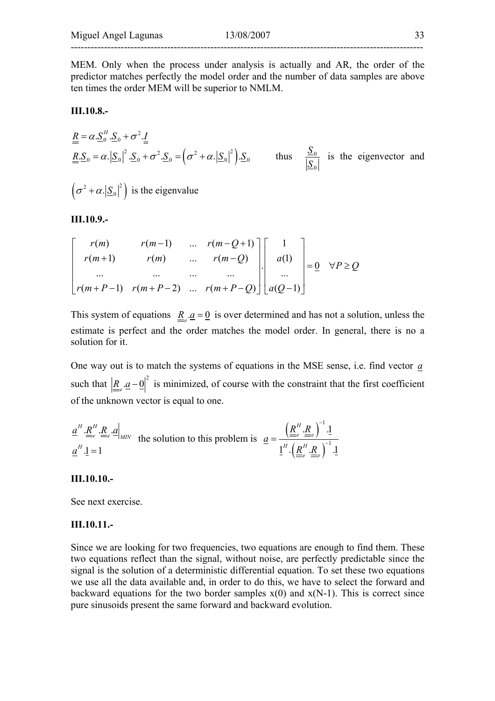MEM. Only when the process under analysis is actually and AR, the order of the predictor matches perfectly the model order and the number of data samples are above ten times the order MEM will be superior to NMLM.

#### **III.10.8.-**

$$
\underline{\underline{R}} = \alpha \cdot \underline{S}_0^H \cdot \underline{S}_0 + \sigma^2 \cdot \underline{I}
$$
\n
$$
\underline{\underline{R}} \cdot \underline{S}_0 = \alpha \cdot |\underline{S}_0|^2 \cdot \underline{S}_0 + \sigma^2 \cdot \underline{S}_0 = (\sigma^2 + \alpha \cdot |\underline{S}_0|^2) \cdot \underline{S}_0
$$
\nthus

\n
$$
\frac{\underline{S}_0}{|\underline{S}_0|}
$$
\nis the eigenvector and

 $(\sigma^2 + \alpha |\underline{S}_0|^2)$  is the eigenvalue

#### **III.10.9.-**

$$
\begin{bmatrix} r(m) & r(m-1) & \dots & r(m-Q+1) \\ r(m+1) & r(m) & \dots & r(m-Q) \\ \dots & \dots & \dots & \dots \\ r(m+P-1) & r(m+P-2) & \dots & r(m+P-Q) \end{bmatrix} \begin{bmatrix} 1 \\ a(1) \\ \dots \\ a(Q-1) \end{bmatrix} = \underline{0} \quad \forall P \ge Q
$$

This system of equations  $\underline{R}_e \cdot \underline{a} = \underline{0}$  is over determined and has not a solution, unless the estimate is perfect and the order matches the model order. In general, there is no a solution for it.

One way out is to match the systems of equations in the MSE sense, i.e. find vector *a* such that  $\underline{R}_e \cdot \underline{a} - \underline{0} \Big|^2$  is minimized, of course with the constraint that the first coefficient of the unknown vector is equal to one.

$$
\underline{a}^H \cdot \underline{R}^H \cdot \underline{R}_e \cdot \underline{a}\Big|_{MIN} \text{ the solution to this problem is } \underline{a} = \frac{\left(\underline{R}^H \cdot \underline{R}_e\right)^{-1} \cdot \underline{1}}{\underline{1}^H \cdot \left(\underline{R}^H \cdot \underline{R}_e\right)^{-1} \cdot \underline{1}}.
$$

#### **III.10.10.-**

See next exercise.

#### **III.10.11.-**

Since we are looking for two frequencies, two equations are enough to find them. These two equations reflect than the signal, without noise, are perfectly predictable since the signal is the solution of a deterministic differential equation. To set these two equations we use all the data available and, in order to do this, we have to select the forward and backward equations for the two border samples  $x(0)$  and  $x(N-1)$ . This is correct since pure sinusoids present the same forward and backward evolution.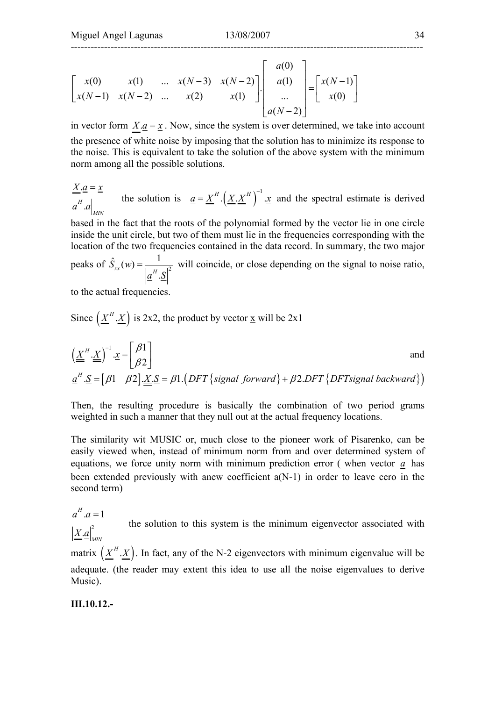$$
\begin{bmatrix} x(0) & x(1) & \dots & x(N-3) & x(N-2) \ x(N-1) & x(N-2) & \dots & x(2) & x(1) \end{bmatrix} \cdot \begin{bmatrix} a(0) \\ a(1) \\ \dots \\ a(N-2) \end{bmatrix} = \begin{bmatrix} x(N-1) \\ x(0) \end{bmatrix}
$$

in vector form  $X.a = x$ . Now, since the system is over determined, we take into account the presence of white noise by imposing that the solution has to minimize its response to the noise. This is equivalent to take the solution of the above system with the minimum norm among all the possible solutions.

$$
\underline{\underline{X}} \cdot \underline{a} = \underline{x}
$$
\nthe solution is

\n
$$
\underline{a} = \underline{\underline{X}}^H \cdot \left( \underline{\underline{X}} \cdot \underline{\underline{X}}^H \right)^{-1} \cdot \underline{x}
$$
\nand the spectral estimate is derived

based in the fact that the roots of the polynomial formed by the vector lie in one circle inside the unit circle, but two of them must lie in the frequencies corresponding with the location of the two frequencies contained in the data record. In summary, the two major

peaks of  $\hat{S}_{xx}(w) = \frac{1}{1 - (u^2 - 1)^2}$  $S_{xx}(w) = \frac{1}{|a|^H}$  $\underline{a}^H.\underline{S}$  $=\frac{1}{\sqrt{2}}$  will coincide, or close depending on the signal to noise ratio,

to the actual frequencies.

Since 
$$
\left(\underline{\underline{X}}^H \cdot \underline{\underline{X}}\right)
$$
 is 2x2, the product by vector  $\underline{x}$  will be 2x1

$$
\left(\underline{\underline{X}}^H \cdot \underline{\underline{X}}\right)^{-1} \cdot \underline{x} = \begin{bmatrix} \beta 1 \\ \beta 2 \end{bmatrix}
$$
 and  

$$
\underline{a}^H \cdot \underline{S} = [\beta 1 \quad \beta 2] \cdot \underline{\underline{X}} \cdot \underline{S} = \beta 1. \left(DFT \{signal forward\} + \beta 2. DFT \{DFT signal backward\} \right)
$$

Then, the resulting procedure is basically the combination of two period grams weighted in such a manner that they null out at the actual frequency locations.

The similarity wit MUSIC or, much close to the pioneer work of Pisarenko, can be easily viewed when, instead of minimum norm from and over determined system of equations, we force unity norm with minimum prediction error ( when vector *a* has been extended previously with anew coefficient a(N-1) in order to leave cero in the second term)

 $\mathbf{X}$ . $a\big|_{MN}^2$  $\underline{a}^H \cdot \underline{a} = 1$ the solution to this system is the minimum eigenvector associated with

matrix  $(\underline{X}^H \cdot \underline{X})$ . In fact, any of the N-2 eigenvectors with minimum eigenvalue will be adequate. (the reader may extent this idea to use all the noise eigenvalues to derive Music).

#### **III.10.12.-**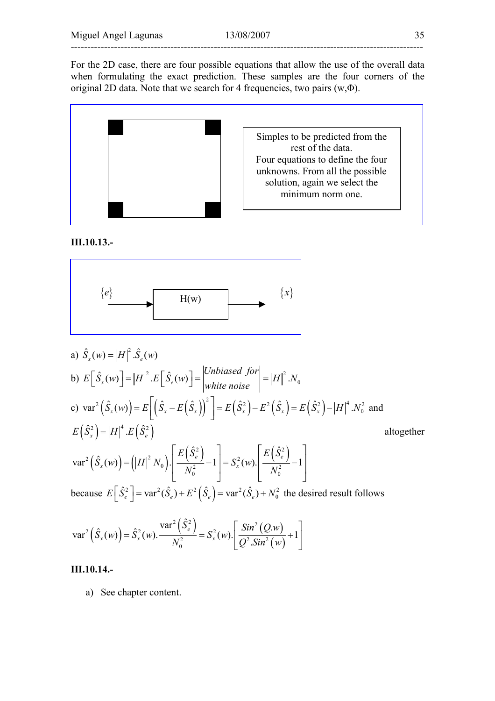For the 2D case, there are four possible equations that allow the use of the overall data when formulating the exact prediction. These samples are the four corners of the original 2D data. Note that we search for 4 frequencies, two pairs  $(w, \Phi)$ .



**III.10.13.-** 



a) 
$$
\hat{S}_x(w) = |H|^2 \cdot \hat{S}_e(w)
$$
  
\nb)  $E[\hat{S}_x(w)] = |H|^2 \cdot E[\hat{S}_e(w)] = \left|\frac{Unbiased \text{ for}}{white \text{ noise}}\right| = |H|^2 \cdot N_0$   
\nc)  $\text{var}^2(\hat{S}_x(w)) = E[(\hat{S}_x - E(\hat{S}_x))^2] = E(\hat{S}_x^2) - E^2(\hat{S}_x) = E(\hat{S}_x^2) - |H|^4 \cdot N_0^2$  and  
\n $E(\hat{S}_x^2) = |H|^4 \cdot E(\hat{S}_e^2)$   
\n $\text{var}^2(\hat{S}_x(w)) = (|H|^2 N_0) \cdot \left[\frac{E(\hat{S}_e^2)}{N_0^2} - 1\right] = S_x^2(w) \cdot \left[\frac{E(\hat{S}_e^2)}{N_0^2} - 1\right]$   
\nbecause  $E[\hat{S}_e^2] = \text{var}^2(\hat{S}_e) + E^2(\hat{S}_e) = \text{var}^2(\hat{S}_e) + N_0^2$  the desired result follows

$$
\text{var}^2\left(\hat{S}_x(w)\right) = \hat{S}_x^2(w) \cdot \frac{\text{var}^2\left(\hat{S}_e^2\right)}{N_0^2} = S_x^2(w) \cdot \left[\frac{\text{Sin}^2\left(Q.w\right)}{Q^2.\text{Sin}^2\left(w\right)} + 1\right]
$$

#### **III.10.14.-**

a) See chapter content.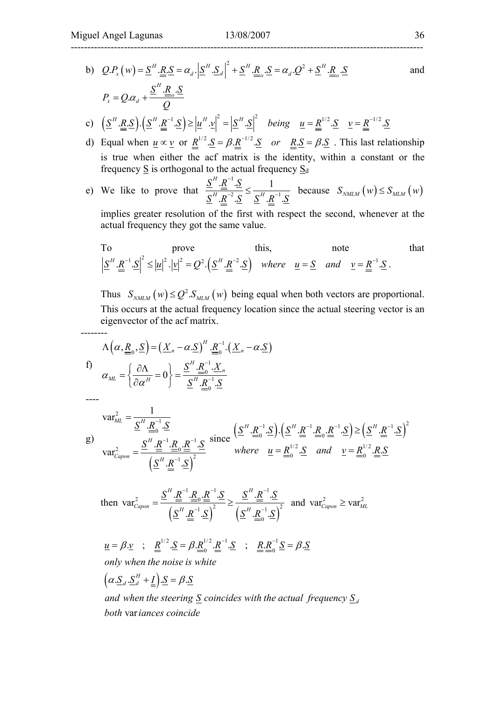--------

## ----------------------------------------------------------------------------------------------------------

b) 
$$
Q.P_x(w) = \underline{S}^H \cdot \underline{R} \cdot \underline{S} = \alpha_d \cdot |\underline{S}^H \cdot \underline{S}_d|^2 + \underline{S}^H \cdot \underline{R}_o \cdot \underline{S} = \alpha_d \cdot Q^2 + \underline{S}^H \cdot \underline{R}_o \cdot \underline{S}
$$
 and  
\n
$$
P_x = Q.\alpha_d + \frac{\underline{S}^H \cdot \underline{R}_o \cdot \underline{S}}{Q}
$$
\nc)  $(\underline{S}^H \cdot \underline{R} \cdot \underline{S}) \cdot (\underline{S}^H \cdot \underline{R}^{-1} \cdot \underline{S}) \ge |\underline{u}^H \cdot \underline{v}|^2 = |\underline{S}^H \cdot \underline{S}|^2$  being  $\underline{u} = \underline{R}^{1/2} \cdot \underline{S} \quad \underline{v} = \underline{R}^{-1/2} \cdot \underline{S}$ 

d) Equal when 
$$
\underline{u} \propto \underline{v}
$$
 or  $\underline{R}^{1/2} \cdot \underline{S} = \beta \cdot \underline{R}^{-1/2} \cdot \underline{S}$  or  $\underline{R} \cdot \underline{S} = \beta \cdot \underline{S}$ . This last relationship is true when either the acf matrix is the identity, within a constant or the frequency  $\underline{S}$  is orthogonal to the actual frequency  $\underline{S}_d$ 

e) We like to prove that 
$$
\frac{S^H \cdot \underline{R}^{-1} \cdot S}{S^H \cdot \underline{R}^{-2} \cdot S} \leq \frac{1}{S^H \cdot \underline{R}^{-1} \cdot S}
$$
 because  $S_{NMLM}(w) \leq S_{MLM}(w)$ 

implies greater resolution of the first with respect the second, whenever at the actual frequency they got the same value.

To prove this, note note that 
$$
\left|\underline{S}^H \cdot \underline{R}^{-1} \cdot \underline{S}\right|^2 \leq |\underline{u}|^2 \cdot |\underline{v}|^2 = Q^2 \cdot \left(\underline{S}^H \cdot \underline{R}^{-2} \cdot \underline{S}\right) \quad where \quad \underline{u} = \underline{S} \quad and \quad \underline{v} = \underline{R}^{-1} \cdot \underline{S}.
$$

Thus  $S_{NMLM}(w) \le Q^2 \cdot S_{MLM}(w)$  being equal when both vectors are proportional. This occurs at the actual frequency location since the actual steering vector is an eigenvector of the acf matrix.

$$
\Lambda\left(\alpha,\underline{R}_0,\underline{S}\right) = \left(\underline{X}_n - \alpha.\underline{S}\right)^H \cdot \underline{R}_0^{-1} \cdot \left(\underline{X}_n - \alpha.\underline{S}\right)
$$
  
  
f)  

$$
\alpha_{ML} = \left\{\frac{\partial\Lambda}{\partial\alpha^H} = 0\right\} = \frac{\underline{S}^H \cdot \underline{R}_0^{-1} \cdot \underline{X}_n}{\underline{S}^H \cdot \underline{R}_0^{-1} \cdot \underline{S}}
$$

--- g)  $(\underline{S}^{\prime\prime} \cdot \underline{R}^{\prime\prime} \cdot \underline{S})$ 2 1 0  $1$  ת $^{-1}$ 2  $\equiv$   $\equiv$   $\equiv$   $\equiv$  $1 \text{ }\mathsf{c}$  $\lambda^2$  $var_{ML}^2 = \frac{1}{\underline{S}^H . R_{0}^{-1}}$  $\text{var}_{Canon}^2 = \frac{\underline{S}^H \cdot \underline{R}^{-1} \cdot \underline{R}_0 \cdot \underline{R}^{-1} \cdot \underline{R}_0}{\frac{1}{\cdot 2} \cdot \underline{R}^{-1} \cdot \underline{R}_0}$  $\mathbb{R}^{-1}$ .  $ML = H$ *H*  $\frac{Capon}{d}$   $\frac{H}{d}$  $S<sup>H</sup>$ . $R<sub>o</sub><sup>-1</sup>$ . $S$  ${\underline {\cal S}} ^H.{\underline {\bar R}} ^{-1}.{\underline {\bar R}} _{\alpha}.{\underline {\bar R}} ^{-1}.{\underline {\bar S}}$  $\underline{S}^H. R^{-1}.\underline{S}$ − −1 *ח* − − = = since  $(S^H \underline{\cdot R}^{-1} \underline{\cdot S}) \cdot (S^H \underline{\cdot R}^{-1} \underline{\cdot R}^{-1} \underline{\cdot S}) \ge (\underline{S}^H \underline{\cdot R}^{-1} \cdot \underline{S})^2$  $1/2$   $\alpha$   $\beta$   $\beta$   $\beta$   $\beta$   $\beta$  $0 \cong$   $\cdots$   $\cdots$   $\cdots$   $\cdots$  $[R_{0}^{-1}.S_{0}]$ .  $(S^{H}.R^{-1}.R_{0}.R^{-1}.S_{0}) \geq (S^{H}.R^{-1}.S_{0}$  $\underline{S}$  and  $\underline{v} = \underline{R}^{1/2}$ .  $\underline{R}$ .  $\underline{S}^H. R_{\circ}^{-1}.S$ .  $\underline{S}^H. R^{-1}.R_{\circ}. R^{-1}.S$ .  $\underline{S}^H. R^{-1}.S$ *where*  $u = R_0^{1/2} S$  *and*  $v = R_0^{1/2} R S$  $\binom{-1}{0}$ .  $\left(\underline{S}^{H} R^{-1} R_{0} R^{-1} \cdot \underline{S}\right) \geq \left(\underline{S}^{H} R^{-1}\right)$  $=R_0^{1/2}.S$  and  $v=$ 

then 
$$
\text{var}_{Capon}^2 = \frac{\underline{S}^H \cdot \underline{\underline{R}}^{-1} \cdot \underline{R}_0 \cdot \underline{\underline{R}}^{-1} \cdot \underline{S}}{\left(\underline{S}^H \cdot \underline{R}^{-1} \cdot \underline{S}\right)^2} \ge \frac{\underline{S}^H \cdot \underline{R}^{-1} \cdot \underline{S}}{\left(\underline{S}^H \cdot \underline{R}_0^{-1} \cdot \underline{S}\right)^2}
$$
 and  $\text{var}_{Capon}^2 \ge \text{var}_{ML}^2$ 

 $\underline{u} = \beta \cdot \underline{v}$  ;  $\underline{R}^{1/2} \cdot \underline{S} = \beta \cdot \underline{R}^{1/2} \cdot \underline{R}^{-1} \cdot \underline{S}$  ;  $\underline{R} \cdot \underline{R}^{-1} \cdot \underline{S} = \beta \cdot \underline{S}$ *only when the noise is white*

 $(\alpha . \underline{S}_d . \underline{S}_d^H + \underline{I}). \underline{S} = \beta.$  $\alpha \cdot S_d \cdot S_d^H + \underline{I} \cdot \underline{S} = \beta \cdot S$ 

both variances coincide and when the steering  $\underline{S}$  coincides with the actual frequency  $\underline{S}_d$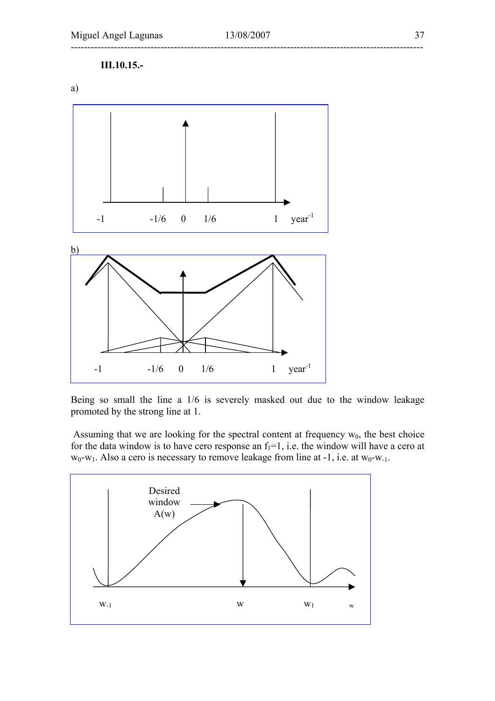

Being so small the line a 1/6 is severely masked out due to the window leakage promoted by the strong line at 1.

Assuming that we are looking for the spectral content at frequency  $w_0$ , the best choice for the data window is to have cero response an  $f_1=1$ , i.e. the window will have a cero at  $w_0-w_1$ . Also a cero is necessary to remove leakage from line at -1, i.e. at  $w_0-w_{-1}$ .

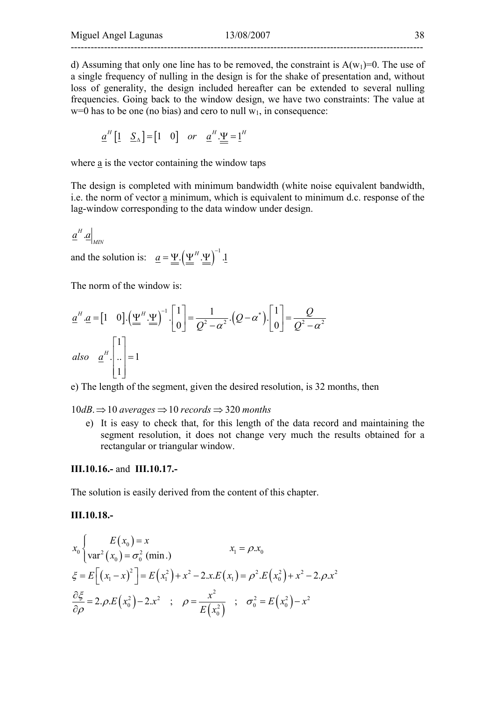d) Assuming that only one line has to be removed, the constraint is  $A(w_1)=0$ . The use of a single frequency of nulling in the design is for the shake of presentation and, without loss of generality, the design included hereafter can be extended to several nulling frequencies. Going back to the window design, we have two constraints: The value at  $w=0$  has to be one (no bias) and cero to null  $w_1$ , in consequence:

$$
\underline{a}^H \begin{bmatrix} 1 & \underline{S}_{\Delta} \end{bmatrix} = \begin{bmatrix} 1 & 0 \end{bmatrix} \quad \text{or} \quad \underline{a}^H \cdot \underline{\Psi} = \underline{1}^H
$$

where a is the vector containing the window taps

The design is completed with minimum bandwidth (white noise equivalent bandwidth, i.e. the norm of vector a minimum, which is equivalent to minimum d.c. response of the lag-window corresponding to the data window under design.

$$
\underline{a}^H.\underline{a}\Big|_{MN}
$$

and the solution is:  $\underline{a} = \underline{\Psi} \cdot (\underline{\Psi}^H \cdot \underline{\Psi})^{-1} \cdot \underline{1}$ 

The norm of the window is:

$$
\underline{a}^{H} \cdot \underline{a} = \begin{bmatrix} 1 & 0 \end{bmatrix} \cdot \left(\frac{\underline{\Psi}}{m} \cdot \frac{\underline{\Psi}}{m}\right)^{-1} \cdot \begin{bmatrix} 1 \\ 0 \end{bmatrix} = \frac{1}{Q^{2} - \alpha^{2}} \cdot \left(Q - \alpha^{*}\right) \cdot \begin{bmatrix} 1 \\ 0 \end{bmatrix} = \frac{Q}{Q^{2} - \alpha^{2}}
$$
\n  
\nalso  $\underline{a}^{H} \cdot \begin{bmatrix} 1 \\ 0 \\ 1 \end{bmatrix} = 1$ 

e) The length of the segment, given the desired resolution, is 32 months, then

 $10 dB \Rightarrow 10$  averages  $\Rightarrow 10$  records  $\Rightarrow 320$  months

e) It is easy to check that, for this length of the data record and maintaining the segment resolution, it does not change very much the results obtained for a rectangular or triangular window.

#### **III.10.16.-** and **III.10.17.-**

The solution is easily derived from the content of this chapter.

**III.10.18.-** 

$$
x_0\begin{cases} E(x_0) = x & x_1 = \rho.x_0 \\ \text{var}^2(x_0) = \sigma_0^2 \text{ (min.)} & x_1 = \rho.x_0 \end{cases}
$$
  

$$
\xi = E\Big[ (x_1 - x)^2 \Big] = E(x_1^2) + x^2 - 2.x.E(x_1) = \rho^2.E(x_0^2) + x^2 - 2.\rho.x^2
$$
  

$$
\frac{\partial \xi}{\partial \rho} = 2.\rho.E(x_0^2) - 2.x^2 \quad ; \quad \rho = \frac{x^2}{E(x_0^2)} \quad ; \quad \sigma_0^2 = E(x_0^2) - x^2
$$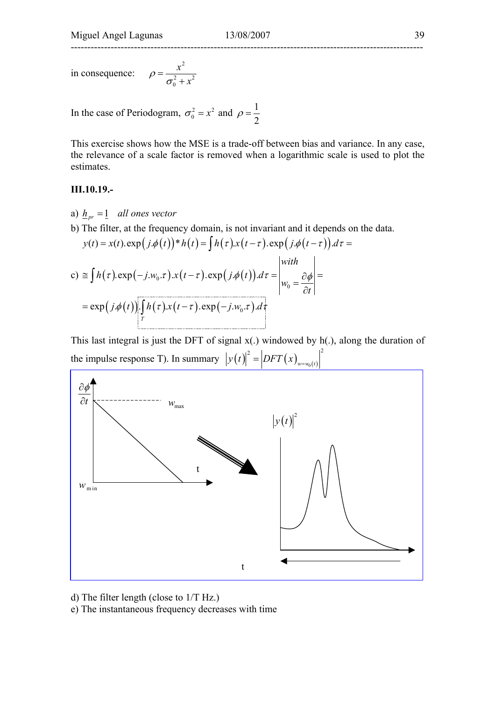in consequence: 2 2  $\sqrt{2}$ 0 *x*  $\rho = \frac{x}{\sigma_0^2 + x}$ 

In the case of Periodogram,  $\sigma_0^2 = x^2$  and  $\rho = \frac{1}{2}$ 

This exercise shows how the MSE is a trade-off between bias and variance. In any case, the relevance of a scale factor is removed when a logarithmic scale is used to plot the estimates.

#### **III.10.19.-**

- a)  $h_{pr} = 1$  *all ones vector*
- b) The filter, at the frequency domain, is not invariant and it depends on the data.

$$
y(t) = x(t) \cdot \exp(j \cdot \phi(t)) * h(t) = \int h(\tau) \cdot x(t-\tau) \cdot \exp(j \cdot \phi(t-\tau)) d\tau =
$$

c) 
$$
\cong \int h(\tau) \exp(-j.w_0 \cdot \tau) \cdot x(t-\tau) \cdot \exp(j \cdot \phi(t)) d\tau = \begin{vmatrix} with \\ w_0 = \frac{\partial \phi}{\partial t} \end{vmatrix} = \exp(j \cdot \phi(t)) \cdot \int_{T} h(\tau) \cdot x(t-\tau) \cdot \exp(-j.w_0 \cdot \tau) \cdot d\tau
$$

This last integral is just the DFT of signal  $x(.)$  windowed by  $h(.)$ , along the duration of the impulse response T). In summary  $|y(t)|^2 = |DFT(x)|_{y=y_0(t)}^2$ 



d) The filter length (close to 1/T Hz.)

e) The instantaneous frequency decreases with time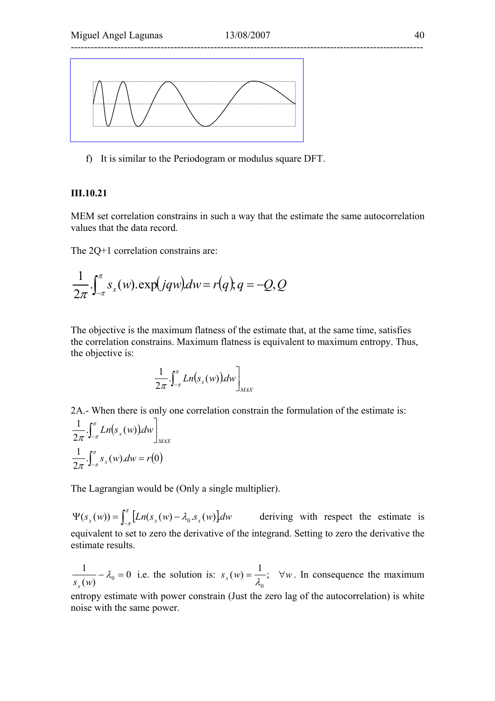

f) It is similar to the Periodogram or modulus square DFT.

#### **III.10.21**

MEM set correlation constrains in such a way that the estimate the same autocorrelation values that the data record.

The 2Q+1 correlation constrains are:

$$
\frac{1}{2\pi} \int_{-\pi}^{\pi} s_x(w) . \exp(jqw) dw = r(q); q = -Q, Q
$$

The objective is the maximum flatness of the estimate that, at the same time, satisfies the correlation constrains. Maximum flatness is equivalent to maximum entropy. Thus, the objective is:

$$
\frac{1}{2\pi} \cdot \int_{-\pi}^{\pi} Ln(s_x(w)) dw \bigg]_{MAX}
$$

2A.- When there is only one correlation constrain the formulation of the estimate is:

$$
\frac{1}{2\pi} \cdot \int_{-\pi}^{\pi} Ln(s_x(w)) dw \bigg]_{MAX}
$$

$$
\frac{1}{2\pi} \cdot \int_{-\pi}^{\pi} s_x(w) dw = r(0)
$$

The Lagrangian would be (Only a single multiplier).

 $\Psi(s_x(w)) = \int_{-\pi}^{\pi} [Ln(s_x(w) - \lambda_0 \cdot s_x(w)] dw$  deriving with respect the estimate is equivalent to set to zero the derivative of the integrand. Setting to zero the derivative the estimate results.

0  $\frac{1}{s_x(w)} - \lambda_0 = 0$  i.e. the solution is:  $s_x(w) = \frac{1}{\lambda_0}$ ;  $\forall w$ . In consequence the maximum entropy estimate with power constrain (Just the zero lag of the autocorrelation) is white noise with the same power.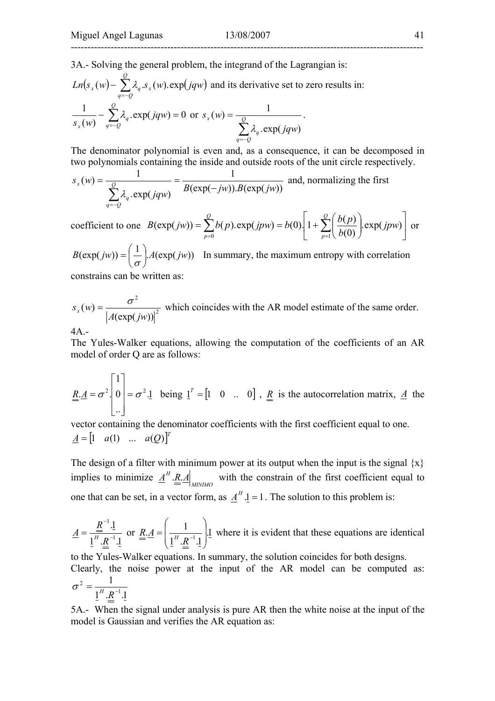## ----------------------------------------------------------------------------------------------------------

3A.- Solving the general problem, the integrand of the Lagrangian is:

$$
Ln(s_x(w) - \sum_{q=-Q}^{Q} \lambda_q . s_x(w). \exp(jqw)
$$
 and its derivative set to zero results in:  

$$
\frac{1}{s_x(w)} - \sum_{q=-Q}^{Q} \lambda_q . \exp(jqw) = 0 \text{ or } s_x(w) = \frac{1}{\sum_{q=-Q}^{Q} \lambda_q . \exp(jqw)}.
$$

The denominator polynomial is even and, as a consequence, it can be decomposed in two polynomials containing the inside and outside roots of the unit circle respectively.

$$
s_x(w) = \frac{1}{\sum_{q=-Q}^{Q} \lambda_q \cdot \exp(jqw)} = \frac{1}{B(\exp(-jw)).B(\exp(jw))}
$$
 and, normalizing the first

coefficient to one 
$$
B(\exp(jw)) = \sum_{p=0}^{Q} b(p) \cdot \exp(jpw) = b(0) \left[ 1 + \sum_{p=1}^{Q} \left( \frac{b(p)}{b(0)} \right) \cdot \exp(jpw) \right]
$$
 or

 $B(\exp(jw)) = \left(\frac{1}{\sigma}\right) A(\exp(jw))$  $\setminus$  $=\left(\frac{1}{\sigma}\right)A(\exp(jw))$  In summary, the maximum entropy with correlation constrains can be written as:

2 2  $(\exp(jw))$  $(w)$ *A jw*  $s_x(w) = \frac{\sigma}{|w|}$  which coincides with the AR model estimate of the same order.

4A.-

The Yules-Walker equations, allowing the computation of the coefficients of an AR model of order Q are as follows:

$$
\underline{\underline{R}}.\underline{A} = \sigma^2 \begin{bmatrix} 1 \\ 0 \\ \vdots \end{bmatrix} = \sigma^2.\underline{1} \quad \text{being } \underline{1}^T = \begin{bmatrix} 1 & 0 & \dots & 0 \end{bmatrix}, \underline{\underline{R}} \text{ is the autocorrelation matrix, } \underline{A} \text{ the}
$$

vector containing the denominator coefficients with the first coefficient equal to one.  $A = \begin{bmatrix} 1 & a(1) & \dots & a(Q) \end{bmatrix}^T$ 

The design of a filter with minimum power at its output when the input is the signal  $\{x\}$ implies to minimize  $\underline{A}^H \cdot \underline{R} \cdot \underline{A} \Big|_{MINIMO}$  with the constrain of the first coefficient equal to one that can be set, in a vector form, as  $\underline{A}^H \cdot \underline{1} = 1$ . The solution to this problem is:

$$
\underline{A} = \frac{\underline{R}^{-1} \cdot \underline{1}}{\underline{1}^H \cdot \underline{R}^{-1} \cdot \underline{1}}
$$
 or 
$$
\underline{R} \cdot \underline{A} = \left(\frac{1}{\underline{1}^H \cdot \underline{R}^{-1} \cdot \underline{1}}\right) \underline{1}
$$
 where it is evident that these equations are identical

to the Yules-Walker equations. In summary, the solution coincides for both designs. Clearly, the noise power at the input of the AR model can be computed as:  $1^H . R^{-1} .1$ 1 1  $\sigma^2 = \frac{1}{1^H . R^-}$ 

5A.- When the signal under analysis is pure AR then the white noise at the input of the model is Gaussian and verifies the AR equation as: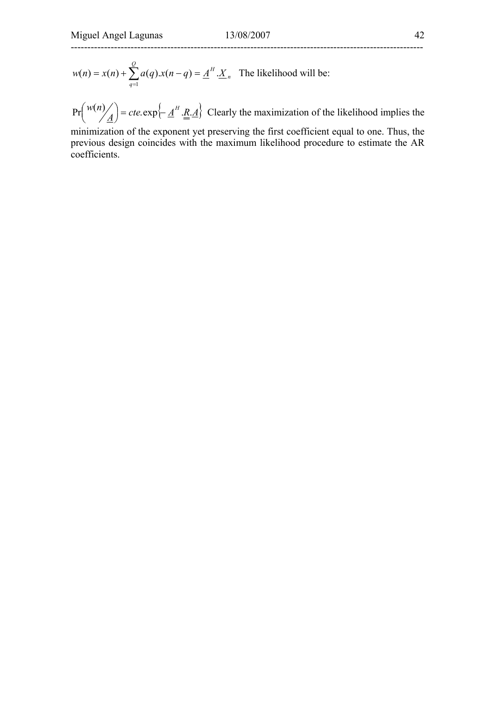$$
w(n) = x(n) + \sum_{q=1}^{Q} a(q) \cdot x(n-q) = \underline{A}^{H} \cdot \underline{X}_{n}
$$
 The likelihood will be:

 $Pr\left(\frac{w(n)}{\underline{A}}\right) = cte \exp\left\{-\underline{A}^H \cdot \underline{R} \cdot \underline{A}\right\}$  $\binom{w(n)}{4}$  = cte.exp $\left\{\frac{A^H}{A}, R, \frac{A}{A}\right\}$  Clearly the maximization of the likelihood implies the

minimization of the exponent yet preserving the first coefficient equal to one. Thus, the previous design coincides with the maximum likelihood procedure to estimate the AR coefficients.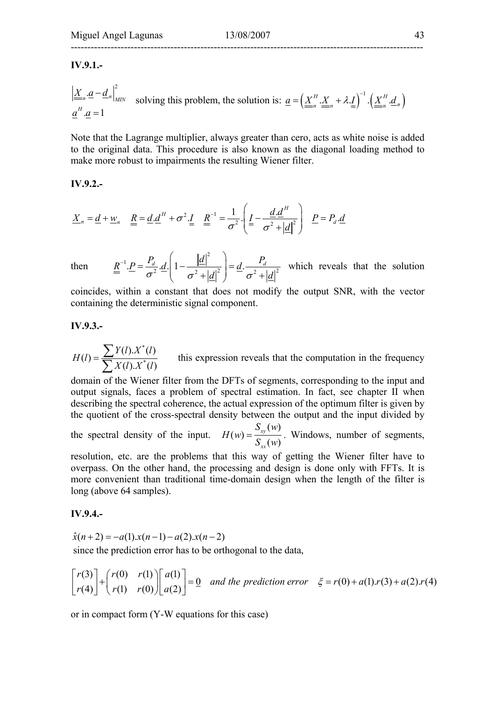## ----------------------------------------------------------------------------------------------------------

#### **IV.9.1.-**

$$
\left| \underline{\underline{X}}_n \cdot \underline{a} - \underline{d}_n \right|_{MIN}^2 \quad \text{solving this problem, the solution is: } \underline{a} = \left( \underline{\underline{X}}_n^H \cdot \underline{\underline{X}}_n + \lambda \cdot \underline{I} \right)^{-1} \cdot \left( \underline{\underline{X}}_n^H \cdot \underline{d}_n \right)
$$

Note that the Lagrange multiplier, always greater than cero, acts as white noise is added to the original data. This procedure is also known as the diagonal loading method to make more robust to impairments the resulting Wiener filter.

#### **IV.9.2.-**

$$
\underline{X}_n = \underline{d} + \underline{w}_n \quad \underline{\underline{R}} = \underline{d} \cdot \underline{d}^H + \sigma^2 \cdot \underline{I} \quad \underline{\underline{R}}^{-1} = \frac{1}{\sigma^2} \cdot \left( \underline{I} - \frac{\underline{d} \cdot \underline{d}^H}{\sigma^2 + |\underline{d}|^2} \right) \quad \underline{P} = P_d \cdot \underline{d}
$$

then

1

2  $\underline{R}^{-1} \cdot \underline{P} = \frac{P_d}{\sigma^2} \cdot \underline{d} \cdot \left( 1 - \frac{|\underline{d}|^2}{\sigma^2 + |\underline{d}|^2} \right) = \underline{d} \cdot \frac{P_d}{\sigma^2 + |\underline{d}|^2}$  $I^{-1} \cdot \underline{P} = \frac{P_d}{\sigma^2} \cdot \underline{d} \cdot \left(1 - \frac{|\underline{d}|^2}{\sigma^2 + |\underline{d}|^2}\right) = \underline{d} \cdot \frac{P_d}{\sigma^2 + |\underline{d}|^2}$ which reveals that the solution

coincides, within a constant that does not modify the output SNR, with the vector containing the deterministic signal component.

#### **IV.9.3.-**

\*  $(I) = \frac{\sum Y(I).X^*(I)}{\sum X(I).X^*(I)}$ *H l*  $=\frac{\sum Y(l) . X^*(l)}{\sum X(l) . X^*(l)}$  this expression reveals that the computation in the frequency

domain of the Wiener filter from the DFTs of segments, corresponding to the input and output signals, faces a problem of spectral estimation. In fact, see chapter II when describing the spectral coherence, the actual expression of the optimum filter is given by the quotient of the cross-spectral density between the output and the input divided by

the spectral density of the input. *xy xx*  $S_{\scriptscriptstyle r\nu}(w)$  $H(w) = \frac{S_{xy}(w)}{S_{xx}(w)}$ . Windows, number of segments,

resolution, etc. are the problems that this way of getting the Wiener filter have to overpass. On the other hand, the processing and design is done only with FFTs. It is more convenient than traditional time-domain design when the length of the filter is long (above 64 samples).

#### **IV.9.4.-**

$$
\hat{x}(n+2) = -a(1).x(n-1) - a(2).x(n-2)
$$
  
since the prediction error has to be orthogonal to the data,

$$
\begin{bmatrix} r(3) \\ r(4) \end{bmatrix} + \begin{bmatrix} r(0) & r(1) \\ r(1) & r(0) \end{bmatrix} \begin{bmatrix} a(1) \\ a(2) \end{bmatrix} = \underline{0} \text{ and the prediction error } \xi = r(0) + a(1) \cdot r(3) + a(2) \cdot r(4)
$$

or in compact form (Y-W equations for this case)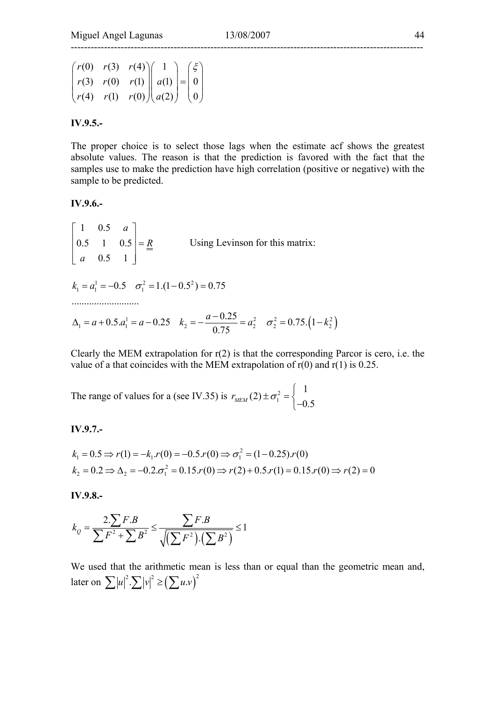$$
\begin{pmatrix} r(0) & r(3) & r(4) \ r(3) & r(0) & r(1) \ r(4) & r(1) & r(0) \end{pmatrix} \begin{pmatrix} 1 \\ a(1) \\ a(2) \end{pmatrix} = \begin{pmatrix} \xi \\ 0 \\ 0 \end{pmatrix}
$$

#### **IV.9.5.-**

The proper choice is to select those lags when the estimate acf shows the greatest absolute values. The reason is that the prediction is favored with the fact that the samples use to make the prediction have high correlation (positive or negative) with the sample to be predicted.

#### **IV.9.6.-**

1 0.5 0.5 1 0.5 0.5 1 *a R a*  $\begin{vmatrix} 1 & 0.5 & a \end{vmatrix}$  $\begin{vmatrix} 0.5 & 1 & 0.5 \end{vmatrix} =$  $\begin{bmatrix} a & 0.5 & 1 \end{bmatrix}$  Using Levinson for this matrix:  $k_1 = a - 0.25$   $k_2 = -\frac{a - 0.25}{0.25} = a_2^2$   $\sigma_2^2 = 0.75 \left(1 - k_2^2\right)$  $1 \quad 0.5 \quad -2 \quad 1.1 \quad 0.5^2$  $k_1 = a_1^1 = -0.5 \quad \sigma_1^2 = 1.(1 - 0.5^2) = 0.75$  $k_1 = a + 0.5.a_1^1 = a - 0.25$   $k_2 = -\frac{a - 0.25}{0.75} = a_2^2$   $\sigma_2^2 = 0.75.\left(1 - k_2^2\right)$ ........................... 0.75  $\Delta_1 = a + 0.5 \cdot a_1^1 = a - 0.25$   $k_2 = -\frac{a - 0.25}{a - 5} = a_2^2$   $\sigma_2^2 = 0.75 \cdot (1 - k)$ 

Clearly the MEM extrapolation for  $r(2)$  is that the corresponding Parcor is cero, i.e. the value of a that coincides with the MEM extrapolation of  $r(0)$  and  $r(1)$  is 0.25.

The range of values for a (see IV.35) is  $r_{MEM} (2) \pm \sigma_1^2$ 1  $r_{MEM} (2) \pm \sigma_1^2 = \begin{cases} 1 \\ -0.5 \end{cases}$ −

#### **IV.9.7.-**

$$
k_1 = 0.5 \Rightarrow r(1) = -k_1 \cdot r(0) = -0.5 \cdot r(0) \Rightarrow \sigma_1^2 = (1 - 0.25) \cdot r(0)
$$
  

$$
k_2 = 0.2 \Rightarrow \Delta_2 = -0.2 \cdot \sigma_1^2 = 0.15 \cdot r(0) \Rightarrow r(2) + 0.5 \cdot r(1) = 0.15 \cdot r(0) \Rightarrow r(2) = 0
$$

**IV.9.8.-** 

$$
k_Q = \frac{2\sum F.B}{\sum F^2 + \sum B^2} \le \frac{\sum F.B}{\sqrt{(\sum F^2)(\sum B^2)}} \le 1
$$

We used that the arithmetic mean is less than or equal than the geometric mean and, later on  $\sum |u|^2 \cdot \sum |v|^2 \geq (\sum u.v)^2$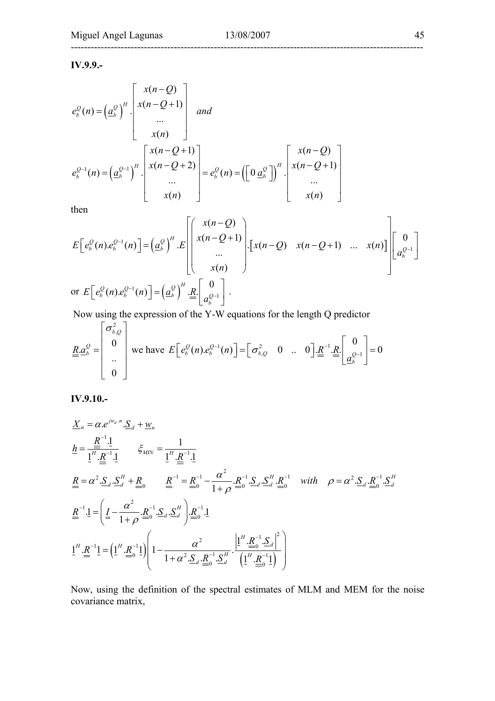**IV.9.9.-** 

$$
e_b^Q(n) = \left(\underline{a}_b^Q\right)^H \cdot \begin{bmatrix} x(n-Q) \\ x(n-Q+1) \\ \vdots \\ x(n) \end{bmatrix} \quad and
$$
  
\n
$$
e_b^{Q-1}(n) = \left(\underline{a}_b^{Q-1}\right)^H \cdot \begin{bmatrix} x(n-Q+1) \\ x(n-Q+2) \\ \vdots \\ x(n) \end{bmatrix} = e_b^Q(n) = \left(\begin{bmatrix} 0 & \underline{a}_b^Q \end{bmatrix}\right)^H \cdot \begin{bmatrix} x(n-Q) \\ x(n-Q+1) \\ \vdots \\ x(n) \end{bmatrix}
$$

then

$$
E\left[e_b^Q(n)e_b^{Q-1}(n)\right] = \left(a_b^Q\right)^H \cdot E\left[\begin{pmatrix} x(n-Q) \\ x(n-Q+1) \\ \cdots \\ x(n) \end{pmatrix}\cdot \left[x(n-Q) \quad x(n-Q+1) \quad \cdots \quad x(n)\right] \right] \left[a_b^{Q-1}\right]
$$
  
or 
$$
E\left[e_b^Q(n)e_b^{Q-1}(n)\right] = \left(a_b^Q\right)^H \cdot E\left[\begin{pmatrix} 0 \\ a_b^{Q-1} \end{pmatrix}\right].
$$

Now using the expression of the Y-W equations for the length Q predictor

$$
\underline{R} \underline{a}_{b}^{\mathcal{Q}} = \begin{bmatrix} \sigma_{b,\mathcal{Q}}^{2} \\ 0 \\ \vdots \\ 0 \end{bmatrix}
$$
 we have  $E\left[e_{b}^{\mathcal{Q}}(n)e_{b}^{\mathcal{Q}-1}(n)\right] = \left[\sigma_{b,\mathcal{Q}}^{2} \quad 0 \quad \dots \quad 0\right] \underline{R}^{-1} \underline{R} \begin{bmatrix} 0 \\ \underline{a}_{b}^{\mathcal{Q}-1} \end{bmatrix} = 0$ 

**IV.9.10.-** 

$$
\underline{X}_{n} = \alpha e^{j w_{d} \cdot n} \cdot \underline{S}_{d} + \underline{w}_{n}
$$
\n
$$
\underline{h} = \frac{\underline{R}^{-1} \cdot \underline{1}}{\underline{1}^{H} \cdot \underline{R}^{-1} \cdot \underline{1}} \qquad \xi_{MN} = \frac{1}{\underline{1}^{H} \cdot \underline{R}^{-1} \cdot \underline{1}}
$$
\n
$$
\underline{R} = \alpha^{2} \cdot \underline{S}_{d} \cdot \underline{S}_{d}^{H} + \underline{R}_{0} \qquad \underline{R}^{-1} = \underline{R}_{0}^{-1} - \frac{\alpha^{2}}{1 + \rho} \cdot \underline{R}_{0}^{-1} \cdot \underline{S}_{d} \cdot \underline{S}_{d}^{H} \cdot \underline{R}_{0}^{-1} \quad \text{with} \quad \rho = \alpha^{2} \cdot \underline{S}_{d} \cdot \underline{R}_{0}^{-1} \cdot \underline{S}_{d}^{H}
$$
\n
$$
\underline{R}^{-1} \cdot \underline{1} = \left( \underline{I} - \frac{\alpha^{2}}{1 + \rho} \cdot \underline{R}_{0}^{-1} \cdot \underline{S}_{d} \cdot \underline{S}_{d}^{H} \right) \cdot \underline{R}_{0}^{-1} \cdot \underline{1}
$$
\n
$$
\underline{1}^{H} \cdot \underline{R}^{-1} \underline{1} = \left( \underline{1}^{H} \cdot \underline{R}_{0}^{-1} \underline{1} \right) \left( 1 - \frac{\alpha^{2}}{1 + \alpha^{2} \cdot \underline{S}_{d} \cdot \underline{R}_{0}^{-1} \cdot \underline{S}_{d}^{H} \cdot \frac{\left| \underline{1}^{H} \cdot \underline{R}_{0}^{-1} \cdot \underline{S}_{d} \right|^{2}}{\left( \underline{1}^{H} \cdot \underline{R}_{0}^{-1} \underline{1} \right)} \right)
$$

Now, using the definition of the spectral estimates of MLM and MEM for the noise covariance matrix,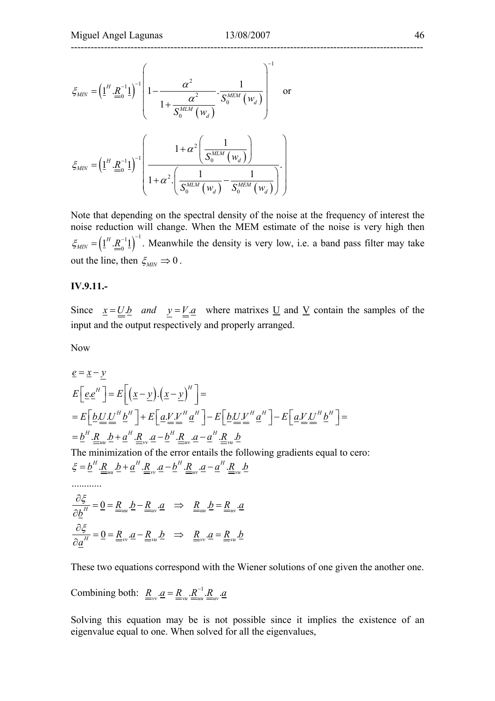$$
\xi_{MIN} = \left(\underline{1}^{H} \cdot \underline{R}_{0}^{-1} \underline{1}\right)^{-1} \left(1 - \frac{\alpha^{2}}{1 + \frac{\alpha^{2}}{S_{0}^{MLM} \left(w_{d}\right)}} \cdot \frac{1}{S_{0}^{MLM} \left(w_{d}\right)}\right)^{-1} \text{ or}
$$
\n
$$
\xi_{MIN} = \left(\underline{1}^{H} \cdot \underline{R}_{0}^{-1} \underline{1}\right)^{-1} \left(\frac{1 + \alpha^{2} \left(\frac{1}{S_{0}^{MLM} \left(w_{d}\right)}\right)}{1 + \alpha^{2} \left(\frac{1}{S_{0}^{MLM} \left(w_{d}\right)} - \frac{1}{S_{0}^{MLM} \left(w_{d}\right)}\right)}\right).
$$

Note that depending on the spectral density of the noise at the frequency of interest the noise reduction will change. When the MEM estimate of the noise is very high then  $\zeta_{MN} = \left( \underline{1}^H \cdot \underline{R}^{-1} \underline{1} \right)^{-1}$ . Meanwhile the density is very low, i.e. a band pass filter may take out the line, then  $\xi_{MIN} \Rightarrow 0$ .

#### **IV.9.11.-**

Since  $x = U.b$  and  $y = V.a$  where matrixes U and <u>V</u> contain the samples of the input and the output respectively and properly arranged.

Now

$$
\underline{e} = \underline{x} - \underline{y}
$$
\n
$$
E\left[\underline{e} \cdot \underline{e}^H\right] = E\left[\left(\underline{x} - \underline{y}\right) \cdot \left(\underline{x} - \underline{y}\right)^H\right] =
$$
\n
$$
= E\left[\underline{b} \cdot \underline{U} \cdot \underline{U}^H \underline{b}^H\right] + E\left[\underline{a} \cdot \underline{V} \cdot \underline{V}^H \underline{a}^H\right] - E\left[\underline{b} \cdot \underline{U} \cdot \underline{V}^H \underline{a}^H\right] - E\left[\underline{a} \cdot \underline{V} \cdot \underline{U}^H \underline{b}^H\right] =
$$
\n
$$
= \underline{b}^H \cdot \underline{R}_{uu} \cdot \underline{b} + \underline{a}^H \cdot \underline{R}_{vv} \cdot \underline{a} - \underline{b}^H \cdot \underline{R}_{uv} \cdot \underline{a} - \underline{a}^H \cdot \underline{R}_{vu} \cdot \underline{b}
$$
\nThe minimization of the error entails the following gradients equal to zero:\n
$$
\xi = \underline{b}^H \cdot \underline{R}_{uu} \cdot \underline{b} + \underline{a}^H \cdot \underline{R}_{vv} \cdot \underline{a} - \underline{b}^H \cdot \underline{R}_{uv} \cdot \underline{a} - \underline{a}^H \cdot \underline{R}_{vu} \cdot \underline{b}
$$
\n
$$
\dots
$$
\n
$$
\frac{\partial \xi}{\partial \underline{b}^H} = \underline{0} = \underline{R}_{uu} \cdot \underline{b} - \underline{R}_{uv} \cdot \underline{a} \implies \underline{R}_{uu} \cdot \underline{b} = \underline{R}_{uv} \cdot \underline{a}
$$

$$
\frac{\partial \xi}{\partial \underline{a}^H} = \underline{0} = \underline{R}_{vv} \cdot \underline{a} - \underline{R}_{vu} \cdot \underline{b} \implies \underline{R}_{vv} \cdot \underline{a} = \underline{R}_{vu} \cdot \underline{b}
$$

These two equations correspond with the Wiener solutions of one given the another one.

Combining both: 
$$
\underline{R}_{vv} \cdot \underline{a} = \underline{R}_{vu} \cdot \underline{R}_{uu}^{-1} \cdot \underline{R}_{uv} \cdot \underline{a}
$$

Solving this equation may be is not possible since it implies the existence of an eigenvalue equal to one. When solved for all the eigenvalues,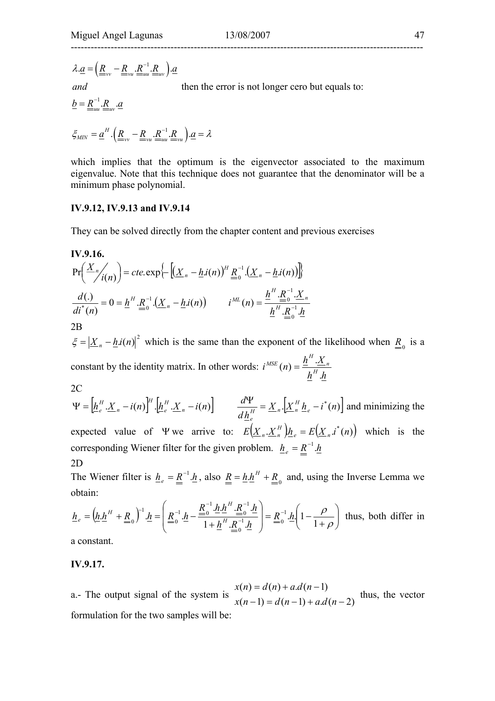$$
\lambda \underline{a} = \left( \underline{R}_{vv} - \underline{R}_{vu} \cdot \underline{R}_{uu}^{-1} \cdot \underline{R}_{uv} \right) \cdot \underline{a}
$$

*and*

then the error is not longer cero but equals to:

$$
\underline{b} = \underline{R}_{uu}^{-1} \cdot \underline{R}_{uv} \cdot \underline{a}
$$

$$
\xi_{MIN} = \underline{a}^H \cdot \left(\underline{R}_{vv} - \underline{R}_{vu} \cdot \underline{R}_{uu}^{-1} \cdot \underline{R}_{vu}\right) \cdot \underline{a} = \lambda
$$

which implies that the optimum is the eigenvector associated to the maximum eigenvalue. Note that this technique does not guarantee that the denominator will be a minimum phase polynomial.

#### **IV.9.12, IV.9.13 and IV.9.14**

They can be solved directly from the chapter content and previous exercises

**IV.9.16.**  
\n
$$
Pr\left(\frac{X_n}{i(n)}\right) = cte \cdot exp\left\{ -\left[ \left( \underline{X}_n - \underline{h} . i(n) \right)^H \underline{R}_0^{-1} . \left( \underline{X}_n - \underline{h} . i(n) \right) \right] \right\}
$$
\n
$$
\frac{d(.)}{di^*(n)} = 0 = \underline{h}^H \cdot \underline{R}_0^{-1} . \left( \underline{X}_n - \underline{h} . i(n) \right) \qquad i^{ML}(n) = \frac{\underline{h}^H \cdot \underline{R}_0^{-1} . \underline{X}_n}{\underline{h}^H \cdot \underline{R}_0^{-1} . \underline{h}}
$$
\n2B

 $\zeta = \left| \underline{X}_n - \underline{h} i(n) \right|^2$  which is the same than the exponent of the likelihood when  $\underline{R}_0$  is a constant by the identity matrix. In other words:  $i^{MSE}(n) = \frac{h^H \cdot X_n}{h^H \cdot h}$ *H MSE* .  $(n) = \frac{h^{H}}{h^{H}}$ 2C

 $\left[ \underline{h}_e^H \cdot \underline{X}_n - i(n) \right]^H \cdot \left[ \underline{h}_e^H \cdot \underline{X}_n - i(n) \right]$ *e H*  $\Psi = \left[ \underline{h}_e^H \cdot \underline{X}_n - i(n) \right]^H \cdot \left[ \underline{h}_e^H \cdot \underline{X}_n - i(n) \right]$   $\frac{d\mathbf{Y}}{d\mathbf{X}} = \underline{X}_n \cdot \left[ \underline{X}_n^H \cdot \underline{h}_e - i^*(n) \right]$ *d h d e H*  $\frac{d\Psi}{dt} = \underline{X}_n \left[ \underline{X}_n^H \underline{h}_e - i^*(n) \right]$  and minimizing the *e* expected value of  $\Psi$  we arrive to:  $E(\underline{X}_n, \underline{X}_n^H) \underline{h}_e = E(\underline{X}_n, \underline{i}^*(n))$  which is the corresponding Wiener filter for the given problem.  $h_e = \underline{R}^{-1} \cdot \underline{h}$ 2D

The Wiener filter is  $\underline{h}_e = \underline{R}^{-1} \cdot \underline{h}$ , also  $\underline{R} = \underline{h} \cdot \underline{h}^H + \underline{R}_0$  and, using the Inverse Lemma we obtain:

$$
\underline{h}_e = \left(\underline{h}.\underline{h}^H + \underline{R}_0\right)^{-1}.\underline{h} = \left(\underline{R}_0^{-1}.\underline{h} - \frac{\underline{R}_0^{-1}.\underline{h}.\underline{h}^H.\underline{R}_0^{-1}.\underline{h}}{1 + \underline{h}^H.\underline{R}_0^{-1}.\underline{h}}\right) = \underline{R}_0^{-1}.\underline{h}\left(1 - \frac{\rho}{1 + \rho}\right) \text{ thus, both differ in a constant.}
$$

a constant.

#### **IV.9.17.**

a.- The output signal of the system is  $x(n-1) = d(n-1) + a.d(n-2)$  $(n) = d(n) + a.d(n-1)$  $-1$ ) =  $d(n-1) + a.d(n = d(n) + a.d(n$  $x(n-1) = d(n-1) + a.d(n)$  $x(n) = d(n) + a.d(n)$  thus, the vector formulation for the two samples will be: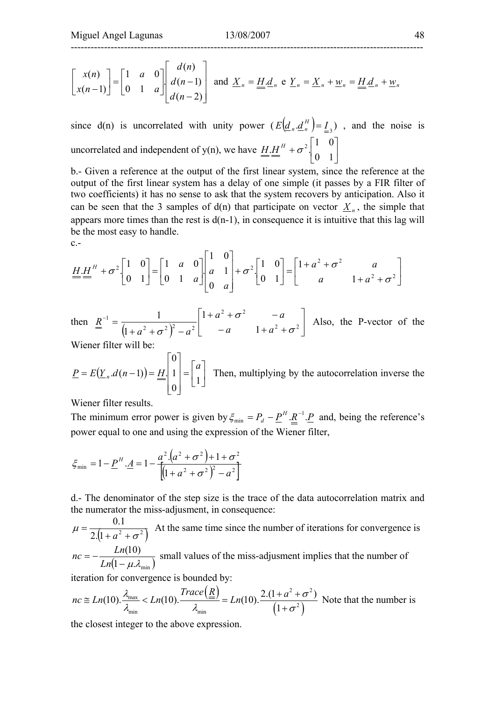$$
\begin{bmatrix} x(n) \\ x(n-1) \end{bmatrix} = \begin{bmatrix} 1 & a & 0 \\ 0 & 1 & a \end{bmatrix} \begin{bmatrix} d(n) \\ d(n-1) \\ d(n-2) \end{bmatrix}
$$
 and  $\underline{X}_n = \underline{H} \cdot \underline{d}_n$  e  $\underline{Y}_n = \underline{X}_n + \underline{w}_n = \underline{H} \cdot \underline{d}_n + \underline{w}_n$ 

since d(n) is uncorrelated with unity power  $(E(\underline{d}_n \underline{d}_n^H) = I_{\leq 3})$ , and the noise is uncorrelated and independent of y(n), we have  $\underline{H} \cdot \underline{H}^H + \sigma^2 \begin{bmatrix} 1 & 1 \\ 0 & 1 \end{bmatrix}$ J  $\begin{vmatrix} 1 & 0 \\ 0 & 1 \end{vmatrix}$ L  $+\sigma^2$ . 0 1  $H.H^H + \sigma^2 \begin{bmatrix} 1 & 0 \\ 0 & 1 \end{bmatrix}$ 

b.- Given a reference at the output of the first linear system, since the reference at the output of the first linear system has a delay of one simple (it passes by a FIR filter of two coefficients) it has no sense to ask that the system recovers by anticipation. Also it can be seen that the 3 samples of  $d(n)$  that participate on vector  $X_n$ , the simple that appears more times than the rest is  $d(n-1)$ , in consequence it is intuitive that this lag will be the most easy to handle.

 $c -$ 

$$
\underline{H} \underline{H}^{H} + \sigma^{2} \begin{bmatrix} 1 & 0 \\ 0 & 1 \end{bmatrix} = \begin{bmatrix} 1 & a & 0 \\ 0 & 1 & a \end{bmatrix} \begin{bmatrix} 1 & 0 \\ a & 1 \\ 0 & a \end{bmatrix} + \sigma^{2} \begin{bmatrix} 1 & 0 \\ 0 & 1 \end{bmatrix} = \begin{bmatrix} 1 + a^{2} + \sigma^{2} & a \\ a & 1 + a^{2} + \sigma^{2} \end{bmatrix}
$$

then  $\underline{R}^{-1} = \frac{1}{(1 + a^2 + \sigma^2)^2 - a^2} \begin{bmatrix} 1 + a + b & -a \\ -a & 1 + a^2 + \sigma^2 \end{bmatrix}$  $\left|1+a^2+\sigma^2\right|$  - a L  $\mathbf{r}$  $-a = 1 + a^2 +$  $+a^2 + \sigma^2$  –  $+a^{2} + \sigma^{2}$  +  $a^{2}$  +  $a^{2}$  +  $a^{2}$  +  $a^{2}$  +  $\sigma^{2}$ 2  $-2$  $\left[2+\sigma^2\right]^2 - a^2$  - a 1 1 1 1 σ σ  $\sigma^2$   $\begin{vmatrix} a & b \\ c & d \end{vmatrix}$  - a 1+a  $a^2 + \sigma^2$  - *a*  $a^2 + \sigma^2$   $\zeta$  *- a* Also, the P-vector of the

Wiener filter will be:

$$
\underline{P} = E(\underline{Y}_n.d(n-1)) = \underline{H} \begin{bmatrix} 0 \\ 1 \\ 0 \end{bmatrix} = \begin{bmatrix} a \\ 1 \end{bmatrix}
$$
 Then, multiplying by the autocorrelation inverse the

Wiener filter results.

The minimum error power is given by  $\xi_{\min} = P_d - \underline{P}^H \cdot \underline{R}^{-1} \cdot \underline{P}$  $\zeta_{\min} = P_d - \underline{P}^H \cdot \underline{R}^{-1} \cdot \underline{P}$  and, being the reference's power equal to one and using the expression of the Wiener filter,

$$
\xi_{\min} = 1 - \underline{P}^{H} \cdot \underline{A} = 1 - \frac{a^{2} \cdot (a^{2} + \sigma^{2}) + 1 + \sigma^{2}}{\left[ (1 + a^{2} + \sigma^{2})^{2} - a^{2} \right]}
$$

d.- The denominator of the step size is the trace of the data autocorrelation matrix and the numerator the miss-adjusment, in consequence:

$$
\mu = \frac{0.1}{2([1 + a^2 + \sigma^2])}
$$
 At the same time since the number of iterations for convergence is

 $\left( 1 - \mu \mathcal{A}_{\text{min}} \right)$  $nc = -\frac{Ln(10)}{Ln(1 - \mu \lambda_{min})}$  small values of the miss-adjusment implies that the number of

iteration for convergence is bounded by:

$$
nc \cong Ln(10). \frac{\lambda_{\max}}{\lambda_{\min}} < Ln(10). \frac{Trace(\underline{R})}{\lambda_{\min}} = Ln(10). \frac{2.(1 + a^2 + \sigma^2)}{(1 + \sigma^2)}
$$
 Note that the number is

the closest integer to the above expression.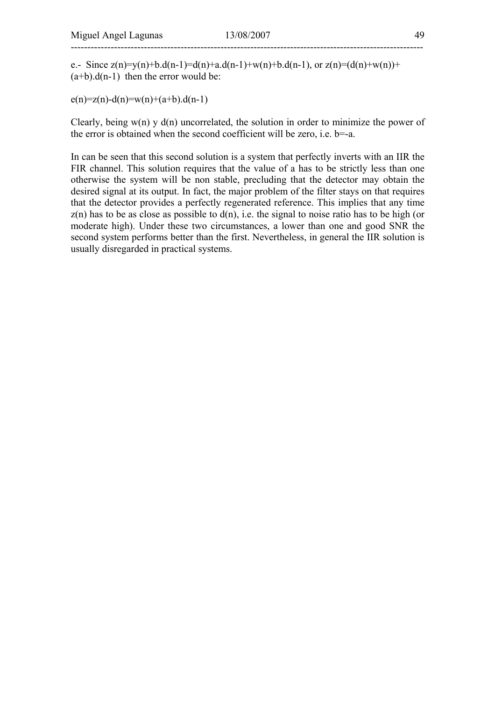e.- Since  $z(n)=y(n)+b.d(n-1)=d(n)+a.d(n-1)+w(n)+b.d(n-1)$ , or  $z(n)=(d(n)+w(n))+b.d(n-1)$  $(a+b).d(n-1)$  then the error would be:

 $e(n)=z(n)-d(n)=w(n)+(a+b).d(n-1)$ 

Clearly, being  $w(n)$  y  $d(n)$  uncorrelated, the solution in order to minimize the power of the error is obtained when the second coefficient will be zero, i.e. b=-a.

In can be seen that this second solution is a system that perfectly inverts with an IIR the FIR channel. This solution requires that the value of a has to be strictly less than one otherwise the system will be non stable, precluding that the detector may obtain the desired signal at its output. In fact, the major problem of the filter stays on that requires that the detector provides a perfectly regenerated reference. This implies that any time  $z(n)$  has to be as close as possible to  $d(n)$ , i.e. the signal to noise ratio has to be high (or moderate high). Under these two circumstances, a lower than one and good SNR the second system performs better than the first. Nevertheless, in general the IIR solution is usually disregarded in practical systems.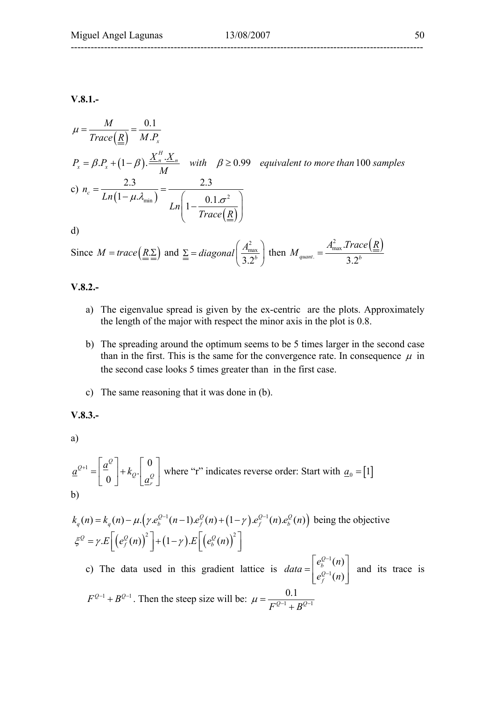# ----------------------------------------------------------------------------------------------------------

#### **V.8.1.-**

$$
\mu = \frac{M}{Trace(\underline{R})} = \frac{0.1}{M.P_x}
$$
  
\n
$$
P_x = \beta.P_x + (1-\beta) \cdot \frac{\underline{X}_n^H \cdot \underline{X}_n}{M} \quad \text{with} \quad \beta \ge 0.99 \quad \text{equivalent to more than 100 samples}
$$
  
\nc) 
$$
n_c = \frac{2.3}{Ln(1-\mu.\lambda_{\min})} = \frac{2.3}{Ln\left(1-\frac{0.1.\sigma^2}{Trace(\underline{R})}\right)}
$$
  
\nd)

Since 
$$
M = trace(\underline{R} \geq)
$$
 and  $\underline{\Sigma} = diagonal(\frac{A_{\text{max}}^2}{3.2^b})$  then  $M_{quant.} = \frac{A_{\text{max}}^2 \cdot Trace(\underline{R})}{3.2^b}$ 

#### **V.8.2.-**

- a) The eigenvalue spread is given by the ex-centric are the plots. Approximately the length of the major with respect the minor axis in the plot is 0.8.
- b) The spreading around the optimum seems to be 5 times larger in the second case than in the first. This is the same for the convergence rate. In consequence  $\mu$  in the second case looks 5 times greater than in the first case.
- c) The same reasoning that it was done in (b).

#### **V.8.3.-**

a)

$$
\underline{a}^{Q+1} = \begin{bmatrix} \underline{a}^Q \\ 0 \end{bmatrix} + k_Q \cdot \begin{bmatrix} 0 \\ \underline{a}^Q_r \end{bmatrix}
$$
 where "r" indicates reverse order: Start with  $\underline{a}_0 = [1]$   
b)

$$
k_q(n) = k_q(n) - \mu \cdot \left(\gamma \cdot e_b^{Q-1}(n-1)\cdot e_f^Q(n) + (1-\gamma) \cdot e_f^{Q-1}(n)\cdot e_b^Q(n)\right)
$$
 being the objective  

$$
\xi^Q = \gamma \cdot E\left[\left(e_f^Q(n)\right)^2\right] + (1-\gamma) \cdot E\left[\left(e_b^Q(n)\right)^2\right]
$$

c) The data used in this gradient lattice is 1 1  $(n)$  $(n)$ *Q b Q f*  $e_{h}^{Q-1}(n)$ *data*  $e_f^{Q-1}(n)$ − −  $=\begin{bmatrix} e_b^{Q-1}(n) \\ e_f^{Q-1}(n) \end{bmatrix}$  and its trace is  $F^{Q-1} + B^{Q-1}$ . Then the steep size will be:  $\mu = \frac{0.1}{F^{Q-1} + B^{Q-1}}$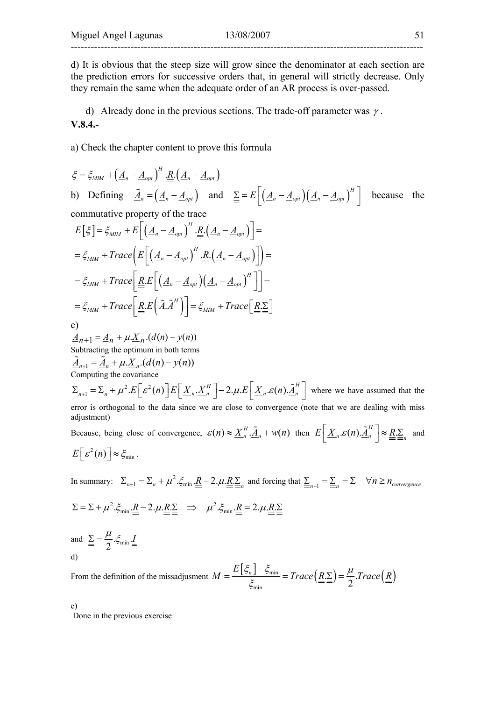d) It is obvious that the steep size will grow since the denominator at each section are the prediction errors for successive orders that, in general will strictly decrease. Only they remain the same when the adequate order of an AR process is over-passed.

d) Already done in the previous sections. The trade-off parameter was  $\gamma$ . **V.8.4.-** 

a) Check the chapter content to prove this formula

$$
\xi = \xi_{MM} + (\underline{A}_n - \underline{A}_{opt})^H \cdot \underline{R} \cdot (\underline{A}_n - \underline{A}_{opt})
$$
  
\nb) Defining  $\tilde{A}_n = (\underline{A}_n - \underline{A}_{opt})$  and  $\underline{\Sigma} = E \Big[ (\underline{A}_n - \underline{A}_{opt}) (\underline{A}_n - \underline{A}_{opt})^H \Big]$  because the commutative property of the trace  
\n
$$
E [\xi] = \xi_{MM} + E \Big[ (\underline{A}_n - \underline{A}_{opt})^H \cdot \underline{R} \cdot (\underline{A}_n - \underline{A}_{opt}) \Big] =
$$
\n
$$
= \xi_{MM} + Trace \Big[ E \Big[ (\underline{A}_n - \underline{A}_{opt})^H \cdot \underline{R} \cdot (\underline{A}_n - \underline{A}_{opt}) \Big] \Big] =
$$
\n
$$
= \xi_{MM} + Trace \Big[ \underline{R} \cdot E \Big[ (\underline{A}_n - \underline{A}_{opt})^H \cdot \underline{R} \cdot (\underline{A}_n - \underline{A}_{opt})^H \Big] \Big] =
$$
\n
$$
= \xi_{MM} + Trace \Big[ \underline{R} \cdot E \Big[ (\underline{A}_n - \underline{A}_{opt})^H \Big] = \xi_{MM} + Trace \Big[ \underline{R} \cdot \underline{\Sigma} \Big]
$$
\nc)  
\n
$$
\frac{A_{n+1}}{A_{n+1}} = \frac{A_n}{A_n} + \mu \cdot \underline{X}_n \cdot (d(n) - y(n))
$$
\nComputing the optimum in both terms  
\nSubtracting the covariance  
\n
$$
\Sigma_{n+1} = \Sigma_n + \mu^2 \cdot E \Big[ \varepsilon^2(n) \Big] E \Big[ \underline{X}_n \cdot \underline{X}_n^H \Big] - 2 \cdot \mu \cdot E \Big[ \underline{X}_n \cdot \varepsilon(n) \cdot \underline{X}_n^H \Big] \text{ where we have assumed that the error is orthogonal to the data since we are close to convergence (note that we are dealing with miss adjustment)}
$$
\nBecause, being close of convergence,  $\varepsilon(n) \approx \underline{X}_n^H \cdot \underline{A}_n + w(n)$  then  $E \Big[ \underline{X}_n \cdot \varepsilon(n) \cdot \underline{A}_n^H \Big] \approx \underline{R} \cdot \underline{R}_n$  and  $E \Big[ \varepsilon^2(n) \Big$ 

In summary:  $\Sigma_{n+1} = \Sigma_n + \mu^2 \cdot \xi_{\min} \cdot \underline{\underline{R}} - 2 \cdot \mu \cdot \underline{R} \cdot \underline{\Sigma}_n$  and forcing that  $\sum_{n=1}^{\infty} \sum_{n=1}^{\infty} \sum_{n=1}^{\infty} \forall n \ge n_{\text{convergence}}$ 

$$
\Sigma = \Sigma + \mu^2 \cdot \xi_{\min} \cdot \underline{R} - 2 \cdot \mu \cdot \underline{R} \cdot \Sigma \implies \mu^2 \cdot \xi_{\min} \cdot \underline{R} = 2 \cdot \mu \cdot \underline{R} \cdot \Sigma
$$
  
and 
$$
\Sigma = \frac{\mu}{2} \cdot \xi_{\min} \cdot \underline{I}
$$

and  $\sum_{m=1}^{\infty} \sum_{m=1}^{\infty} \mathcal{L}_{m}$ d)

From the definition of the missadjusment  $M = \frac{E[\xi_n] - \xi_{\min}}{g} = Trace(\underline{R} \underline{\Sigma}) = \frac{\mu}{2} Trace(\underline{R})$  $\frac{1}{\min} = Trace\left(\underline{R}.\Sigma\right) = \frac{\mu}{2}.$  $M = \frac{E\left[\xi_n\right] - \xi_{\min}}{Z} = Trace\left(R, \Sigma\right) = \frac{\mu}{Z}.Trace\left(R, \Sigma\right)$ ξ  $=\frac{E[\xi_n]-\xi_{\min}}{Z}=Trace(R.\Sigma)=$ 

e) Done in the previous exercise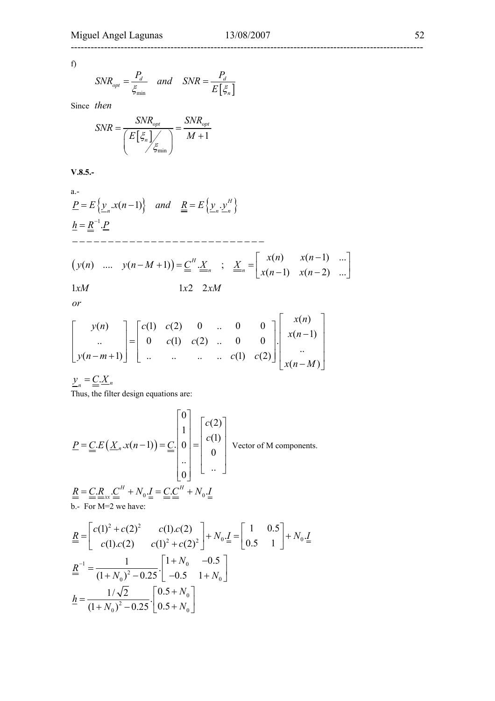----------------------------------------------------------------------------------------------------------

f)

$$
SNR_{opt} = \frac{P_d}{\xi_{\min}} \quad and \quad SNR = \frac{P_d}{E\left[\xi_n\right]}
$$

Since *then*

$$
SNR = \frac{SNR_{opt}}{\left(E\left[\xi_n\right]_{\angle\zeta_{\min}}\right)} = \frac{SNR_{opt}}{M+1}
$$

**V.8.5.-** 

a.-  
\n
$$
\underline{P} = E\left\{\underline{y}_n.x(n-1)\right\} \text{ and } \underline{R} = E\left\{\underline{y}_n.\underline{y}_n^H\right\}
$$
\n
$$
\underline{h} = \underline{R}^{-1}.\underline{P}
$$
\n
$$
---
$$
\n
$$
\left(y(n) \dots y(n-M+1)\right) = \underline{C}^H.\underline{X}_n \quad ; \quad \underline{X}_n = \begin{bmatrix} x(n) & x(n-1) & \dots \\ x(n-1) & x(n-2) & \dots \end{bmatrix}
$$
\n
$$
1xM
$$
\n
$$
1x2 \quad 2xM
$$

$$
\begin{bmatrix} y(n) \\ \vdots \\ y(n-m+1) \end{bmatrix} = \begin{bmatrix} c(1) & c(2) & 0 & \cdots & 0 & 0 \\ 0 & c(1) & c(2) & \cdots & 0 & 0 \\ \vdots & \vdots & \ddots & \vdots & \vdots & \vdots \\ 0 & \cdots & \cdots & \cdots & c(1) & c(2) \end{bmatrix} \begin{bmatrix} x(n) \\ x(n-1) \\ \vdots \\ x(n-M) \end{bmatrix}
$$

 $\underline{y}_n = \underline{C} \cdot \underline{X}_n$ 

Thus, the filter design equations are:

$$
\underline{P} = \underline{C} \cdot E \left( \underline{X}_n \cdot x(n-1) \right) = \underline{C} \cdot \begin{bmatrix} 0 \\ 1 \\ 0 \\ \vdots \\ 0 \end{bmatrix} = \begin{bmatrix} c(2) \\ c(1) \\ 0 \\ \vdots \\ 0 \end{bmatrix} \quad \text{Vector of M components.}
$$
\n
$$
\underline{R} = \underline{C} \cdot \underline{R}_{xx} \cdot \underline{C}^H + N_0 \cdot \underline{I} = \underline{C} \cdot \underline{C}^H + N_0 \cdot \underline{I}
$$
\nb.- For M=2 we have:

$$
\underline{R} = \begin{bmatrix} c(1)^2 + c(2)^2 & c(1).c(2) \\ c(1).c(2) & c(1)^2 + c(2)^2 \end{bmatrix} + N_0 \cdot \underline{I} = \begin{bmatrix} 1 & 0.5 \\ 0.5 & 1 \end{bmatrix} + N_0 \cdot \underline{I}
$$
\n
$$
\underline{R}^{-1} = \frac{1}{(1 + N_0)^2 - 0.25} \cdot \begin{bmatrix} 1 + N_0 & -0.5 \\ -0.5 & 1 + N_0 \end{bmatrix}
$$
\n
$$
\underline{h} = \frac{1/\sqrt{2}}{(1 + N_0)^2 - 0.25} \cdot \begin{bmatrix} 0.5 + N_0 \\ 0.5 + N_0 \end{bmatrix}
$$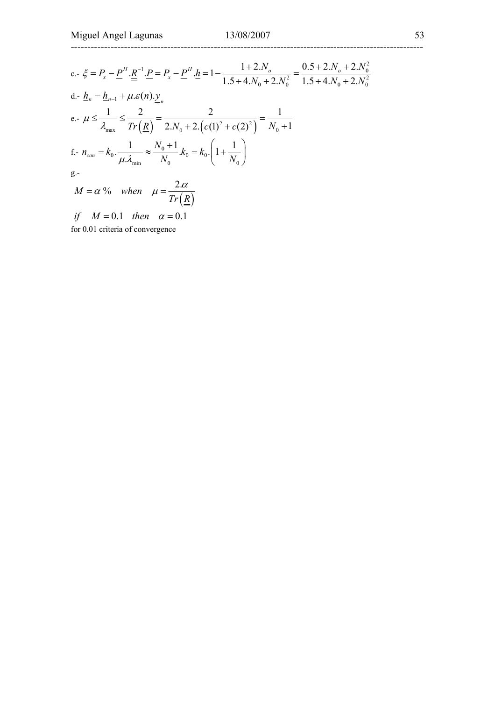## ----------------------------------------------------------------------------------------------------------

c.- 
$$
\xi = P_x - \underline{P}^H \cdot \underline{R}^{-1} \cdot \underline{P} = P_x - \underline{P}^H \cdot \underline{h} = 1 - \frac{1 + 2.N_o}{1.5 + 4.N_0 + 2.N_0^2} = \frac{0.5 + 2.N_o + 2.N_0^2}{1.5 + 4.N_0 + 2.N_0^2}
$$
  
d.-  $\underline{h}_n = \underline{h}_{n-1} + \mu \cdot \varepsilon(n) \cdot \underline{y}_n$   
e.-  $\mu \le \frac{1}{\lambda_{max}} \le \frac{2}{Tr(\underline{R})} = \frac{2}{2.N_0 + 2.(c(1)^2 + c(2)^2)} = \frac{1}{N_0 + 1}$   
f.-  $n_{con} = k_0 \cdot \frac{1}{\mu \cdot \lambda_{min}} \approx \frac{N_0 + 1}{N_0} \cdot k_0 = k_0 \cdot \left(1 + \frac{1}{N_0}\right)$   
g.-  
 $M = \alpha$  % when  $\mu = \frac{2.\alpha}{Tr(\underline{R})}$ 

*if*  $M = 0.1$  then  $\alpha = 0.1$ for 0.01 criteria of convergence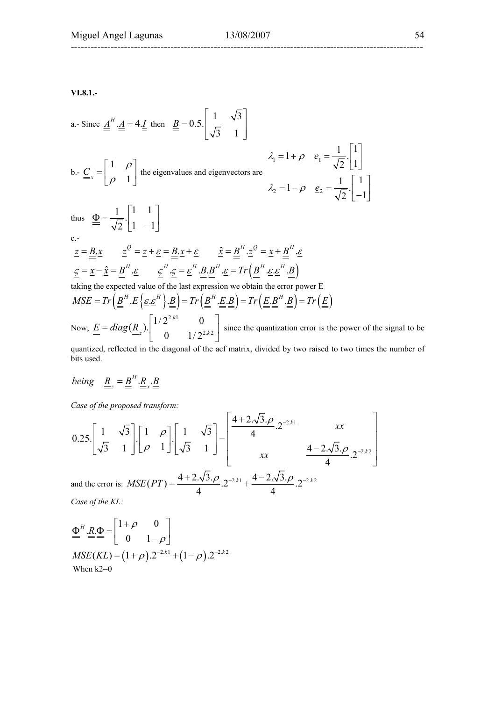**VI.8.1.-** 

a. Since 
$$
\underline{A}^H \cdot \underline{A} = 4.\underline{I}
$$
 then  $\underline{B} = 0.5.\begin{bmatrix} 1 & \sqrt{3} \\ \sqrt{3} & 1 \end{bmatrix}$ 

b.- 
$$
\underline{C}_x = \begin{bmatrix} 1 & \rho \\ \rho & 1 \end{bmatrix}
$$
 the eigenvalues and eigenvectors are

$$
\lambda_1 = 1 + \rho \quad \underline{e}_1 = \frac{1}{\sqrt{2}} \cdot \begin{bmatrix} 1 \\ 1 \end{bmatrix}
$$

$$
\lambda_2 = 1 - \rho \quad \underline{e}_2 = \frac{1}{\sqrt{2}} \cdot \begin{bmatrix} 1 \\ -1 \end{bmatrix}
$$

 $c.-$ 

$$
\underline{z} = \underline{B} \cdot \underline{x} \qquad \underline{z}^{\mathcal{Q}} = \underline{z} + \underline{\varepsilon} = \underline{B} \cdot \underline{x} + \underline{\varepsilon} \qquad \hat{\underline{x}} = \underline{B}^{H} \cdot \underline{z}^{\mathcal{Q}} = \underline{x} + \underline{B}^{H} \cdot \underline{\varepsilon}
$$
\n
$$
\underline{\underline{\varsigma}} = \underline{x} - \hat{\underline{x}} = \underline{B}^{H} \cdot \underline{\varepsilon} \qquad \underline{\underline{\varsigma}}^{H} \cdot \underline{\underline{\varsigma}} = \underline{\varepsilon}^{H} \cdot \underline{B} \cdot \underline{B}^{H} \cdot \underline{\varepsilon} = \text{Tr} \left( \underline{B}^{H} \cdot \underline{\varepsilon} \cdot \underline{\varepsilon}^{H} \cdot \underline{B} \right)
$$

taking the expected value of the last expression we obtain the error power E

 $\label{eq:2} MSE = Tr\left(\underline{\underline{B}}^H.\underline{E}\left\{\underline{\underline{\epsilon}}.\underline{\underline{\epsilon}}^H\right\}.\underline{\underline{B}}\right) = Tr\left(\underline{\underline{B}}^H.\underline{\underline{E}}.\underline{\underline{B}}\right) = Tr\left(\underline{\underline{E}}.\underline{\underline{B}}^H.\underline{\underline{B}}\right) = Tr\left(\underline{\underline{E}}\right)$ Now,  $2.k1$  $\underline{E} = diag(\underline{R}_z) \cdot \begin{bmatrix} 1/2^{2.k1} & 0 \\ 0 & 1/2^{2.k2} \end{bmatrix}$ since the quantization error is the power of the signal to be

quantized, reflected in the diagonal of the acf matrix, divided by two raised to two times the number of bits used.

being 
$$
\underline{R}_z = \underline{B}^H \cdot \underline{R}_x \cdot \underline{B}
$$

thus  $\Phi = \frac{1}{\sqrt{2}} \begin{bmatrix} 1 & 1 \end{bmatrix}$  $\underline{\Phi} = \frac{1}{\sqrt{2}} \begin{bmatrix} 1 & 1 \\ 1 & -1 \end{bmatrix}$ 

*Case of the proposed transform:* 

$$
0.25\begin{bmatrix} 1 & \sqrt{3} \\ \sqrt{3} & 1 \end{bmatrix} \begin{bmatrix} 1 & \rho \\ \rho & 1 \end{bmatrix} \begin{bmatrix} 1 & \sqrt{3} \\ \sqrt{3} & 1 \end{bmatrix} = \begin{bmatrix} \frac{4+2\sqrt{3}\cdot\rho}{4} \cdot 2^{-2\cdot k1} & xx \\ xx & \frac{4-2\sqrt{3}\cdot\rho}{4} \cdot 2^{-2\cdot k2} \end{bmatrix}
$$
  
and the error is:  $MSE(PT) = \frac{4+2\cdot\sqrt{3}\cdot\rho}{4} \cdot 2^{-2\cdot k1} + \frac{4-2\cdot\sqrt{3}\cdot\rho}{4} \cdot 2^{-2\cdot k2} \cdot 2^{-2\cdot k2}$ 

*Case of the KL:* 

$$
\underline{\Phi}^{H} \cdot \underline{R} \cdot \underline{\Phi} = \begin{bmatrix} 1+\rho & 0 \\ 0 & 1-\rho \end{bmatrix}
$$
  
\n
$$
MSE(KL) = (1+\rho) \cdot 2^{-2 \cdot k_1} + (1-\rho) \cdot 2^{-2 \cdot k_2}
$$
  
\nWhen k2=0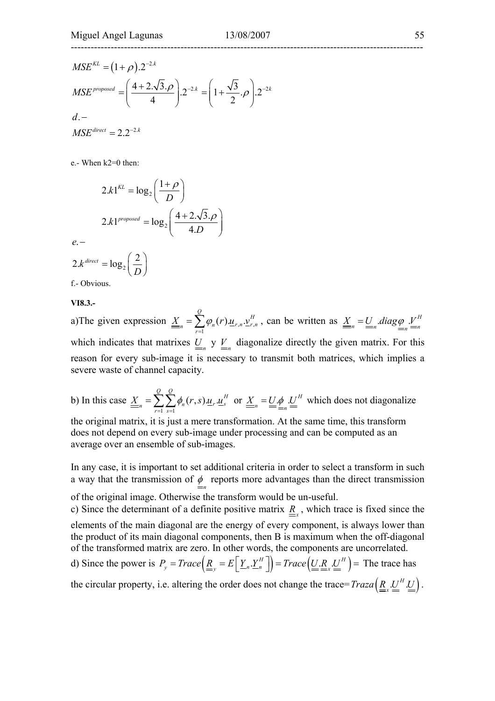$$
MSE^{KL} = (1+\rho) . 2^{-2.k}
$$
  
\n
$$
MSE^{proposed} = \left(\frac{4+2.\sqrt{3}.\rho}{4}\right) . 2^{-2.k} = \left(1+\frac{\sqrt{3}}{2}.\rho\right) . 2^{-2.k}
$$
  
\n
$$
d.-
$$
  
\n
$$
MSE^{direct} = 2.2^{-2.k}
$$

e.- When k2=0 then:

$$
2.k1^{KL} = \log_2\left(\frac{1+\rho}{D}\right)
$$

$$
2.k1^{proposed} = \log_2\left(\frac{4+2.\sqrt{3}.\rho}{4.D}\right)
$$

$$
2.k^{direct} = \log_2\left(\frac{2}{D}\right)
$$

f.- Obvious.

**VI8.3.-** 

. *e* −

a)The given expression  $\underline{\underline{X}}_n = \sum \varphi_n(r) \underline{u}_{r,n} \underline{v}_{r,n}^H$ 1  $(r)_{\frac{M_{r}}{r}}$ . *Q H H*  $\underline{X}_n = \sum_{r=1}^N \varphi_n(r) \underline{u}_{r,n} \underline{v}_{r,n}^H$  $=\sum_{r=1}^{\infty} \varphi_n(r) \underline{u}_{r,n} \underline{v}_{r,n}^H$ , can be written as  $\underline{X}_n = \underline{U}_n \cdot diag \underline{\varphi}_{n} \underline{V}_n^H$ which indicates that matrixes  $\underline{U}_n$  y  $\underline{V}_n$  diagonalize directly the given matrix. For this reason for every sub-image it is necessary to transmit both matrices, which implies a severe waste of channel capacity.

b) In this case  $1 \text{ } s=1$  $(r, s) \underline{u}_r$ .  $\frac{Q}{P}$   $\frac{Q}{P}$   $\frac{H}{P}$  $\underline{X}_{n} = \sum_{r=1}^{n} \sum_{s=1}^{n} \phi_{n}(r,s) \underline{u}_{r} \underline{u}_{s}^{t}$  $=\sum_{r=1}^{\infty}\sum_{s=1}^{\infty}\phi_n(r,s)u_r\cdot u_s^H$  or  $\underline{X}_n=\underline{U}_n\phi_n\underline{U}_n^H$  which does not diagonalize the original matrix, it is just a mere transformation. At the same time, this transform

does not depend on every sub-image under processing and can be computed as an average over an ensemble of sub-images.

In any case, it is important to set additional criteria in order to select a transform in such a way that the transmission of  $\phi$  reports more advantages than the direct transmission of the original image. Otherwise the transform would be un-useful. c) Since the determinant of a definite positive matrix  $R_{\text{r}}$ , which trace is fixed since the elements of the main diagonal are the energy of every component, is always lower than the product of its main diagonal components, then B is maximum when the off-diagonal

of the transformed matrix are zero. In other words, the components are uncorrelated. d) Since the power is  $P_y = Trace \left( \underline{R}_y = E \left[ \underline{Y}_n \cdot \underline{Y}_n^H \right] \right) = Trace \left( \underline{U}_n \cdot \underline{R}_n \cdot \underline{U}^H \right) =$  The trace has the circular property, i.e. altering the order does not change the trace=  $Traza \left( \underline{R}_{x} \underline{U}^{H} \underline{U} \right)$ .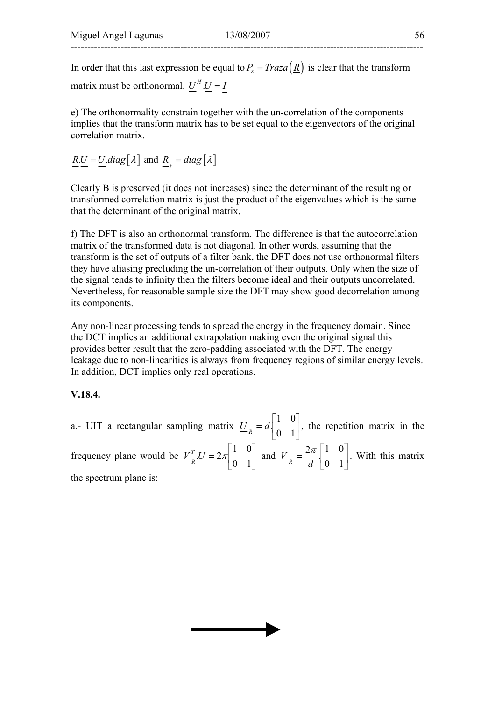In order that this last expression be equal to  $P_r = Traza(R)$  is clear that the transform matrix must be orthonormal.  $U^H U = I$ 

e) The orthonormality constrain together with the un-correlation of the components implies that the transform matrix has to be set equal to the eigenvectors of the original correlation matrix.

$$
\underline{\underline{R}}\underline{\underline{U}} = \underline{\underline{U}}\underline{diag} [\lambda] \text{ and } \underline{\underline{R}}_{y} = diag [\lambda]
$$

Clearly B is preserved (it does not increases) since the determinant of the resulting or transformed correlation matrix is just the product of the eigenvalues which is the same that the determinant of the original matrix.

f) The DFT is also an orthonormal transform. The difference is that the autocorrelation matrix of the transformed data is not diagonal. In other words, assuming that the transform is the set of outputs of a filter bank, the DFT does not use orthonormal filters they have aliasing precluding the un-correlation of their outputs. Only when the size of the signal tends to infinity then the filters become ideal and their outputs uncorrelated. Nevertheless, for reasonable sample size the DFT may show good decorrelation among its components.

Any non-linear processing tends to spread the energy in the frequency domain. Since the DCT implies an additional extrapolation making even the original signal this provides better result that the zero-padding associated with the DFT. The energy leakage due to non-linearities is always from frequency regions of similar energy levels. In addition, DCT implies only real operations.

#### **V.18.4.**

a.- UIT a rectangular sampling matrix  $\underline{U}_R = d \begin{bmatrix} 1 & 0 \\ 0 & 1 \end{bmatrix}$  $\rfloor$  $\begin{vmatrix} 1 & 0 \\ 0 & 1 \end{vmatrix}$  $= d \begin{bmatrix} 1 & 0 \\ 0 & 1 \end{bmatrix}$  $\underline{U}_R = d \begin{bmatrix} 1 & 0 \\ 0 & 1 \end{bmatrix}$ , the repetition matrix in the frequency plane would be  $V_{R}^{T} = 2\pi \begin{bmatrix} 1 & 0 \\ 0 & 1 \end{bmatrix}$  $\rfloor$  $\begin{vmatrix} 1 & 0 \\ 0 & 1 \end{vmatrix}$  $= 2\pi \begin{bmatrix} 1 & 0 \\ 0 & 1 \end{bmatrix}$  $V_{\scriptscriptstyle n}^{\scriptscriptstyle T}U=2\pi$  $\frac{V}{R} = 2\pi \begin{bmatrix} 1 & 0 \\ 0 & 1 \end{bmatrix}$  and  $\frac{V}{R} = \frac{2\pi}{d} \begin{bmatrix} 1 & 0 \\ 0 & 1 \end{bmatrix}$ J  $\begin{vmatrix} 1 & 0 \\ 0 & 1 \end{vmatrix}$  $= \frac{2\pi}{d} \begin{bmatrix} 1 & 0 \\ 0 & 1 \end{bmatrix}$ *d*  $V = \frac{2\pi}{d} \begin{bmatrix} 1 & 0 \\ 0 & 1 \end{bmatrix}$ . With this matrix the spectrum plane is:

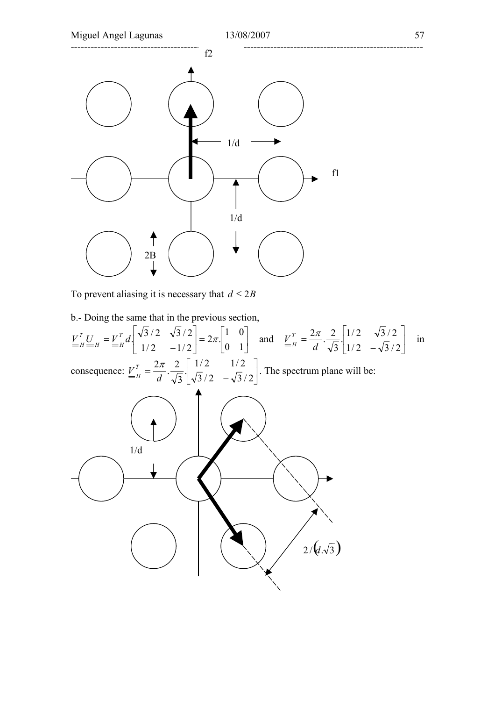

To prevent aliasing it is necessary that  $d \leq 2B$ 

![](_page_56_Figure_2.jpeg)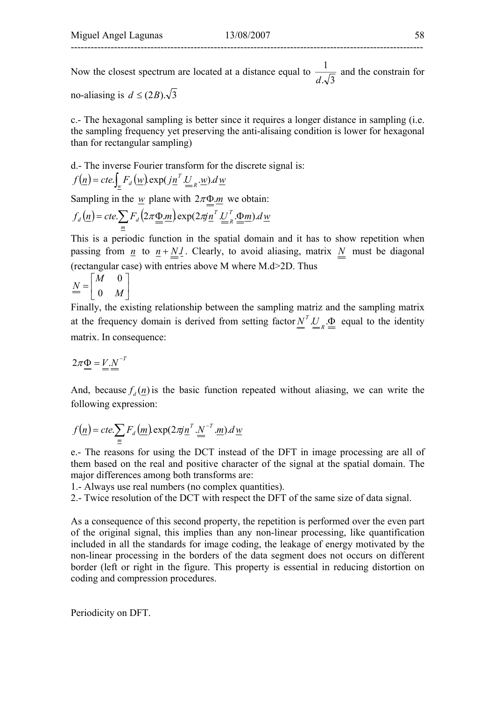Now the closest spectrum are located at a distance equal to  $\frac{1}{d\sqrt{3}}$ *d* and the constrain for

no-aliasing is  $d \leq (2B) \sqrt{3}$ 

c.- The hexagonal sampling is better since it requires a longer distance in sampling (i.e. the sampling frequency yet preserving the anti-alisaing condition is lower for hexagonal than for rectangular sampling)

d.- The inverse Fourier transform for the discrete signal is:  $f(\underline{n}) = cte. \int_w F_d(\underline{w}) \exp(j\underline{n}^T \underline{U}_{R} \cdot \underline{w}) d\underline{w}$  $= cte \int_w F_d(\underline{w}) \exp(j\underline{n}^T \underline{U}_{R} \underline{w}).$ 

Sampling in the  $w$  plane with  $2\pi\Phi \cdot m$  we obtain:

$$
f_d(\underline{n}) = cte \cdot \sum_{\underline{m}} F_d(2\pi \underline{\underline{\Phi}}.\underline{m}) \exp(2\pi i \underline{n}^T \cdot \underline{U}_R^T \cdot \underline{\underline{\Phi}}.\underline{m}) \cdot d\underline{w}
$$

This is a periodic function in the spatial domain and it has to show repetition when passing from *n* to  $n + N.l$ . Clearly, to avoid aliasing, matrix *N* must be diagonal (rectangular case) with entries above M where M.d>2D. Thus

$$
\underline{\underline{N}} = \begin{bmatrix} M & 0 \\ 0 & M \end{bmatrix}
$$

Finally, the existing relationship between the sampling matriz and the sampling matrix at the frequency domain is derived from setting factor  $\underline{N}^T \cdot \underline{U}_R \cdot \underline{\Phi}$  equal to the identity matrix. In consequence:

$$
2\pi \underline{\Phi} = \underline{V} \cdot \underline{N}^{-T}
$$

And, because  $f_a(n)$  is the basic function repeated without aliasing, we can write the following expression:

$$
f(\underline{n}) = cte.\sum_{\underline{m}} F_d(\underline{m}) \exp(2\pi i \underline{n}^T \cdot \underline{N}^{-T} \cdot \underline{m}) \cdot d\underline{w}
$$

e.- The reasons for using the DCT instead of the DFT in image processing are all of them based on the real and positive character of the signal at the spatial domain. The major differences among both transforms are:

1.- Always use real numbers (no complex quantities).

2.- Twice resolution of the DCT with respect the DFT of the same size of data signal.

As a consequence of this second property, the repetition is performed over the even part of the original signal, this implies than any non-linear processing, like quantification included in all the standards for image coding, the leakage of energy motivated by the non-linear processing in the borders of the data segment does not occurs on different border (left or right in the figure. This property is essential in reducing distortion on coding and compression procedures.

Periodicity on DFT.